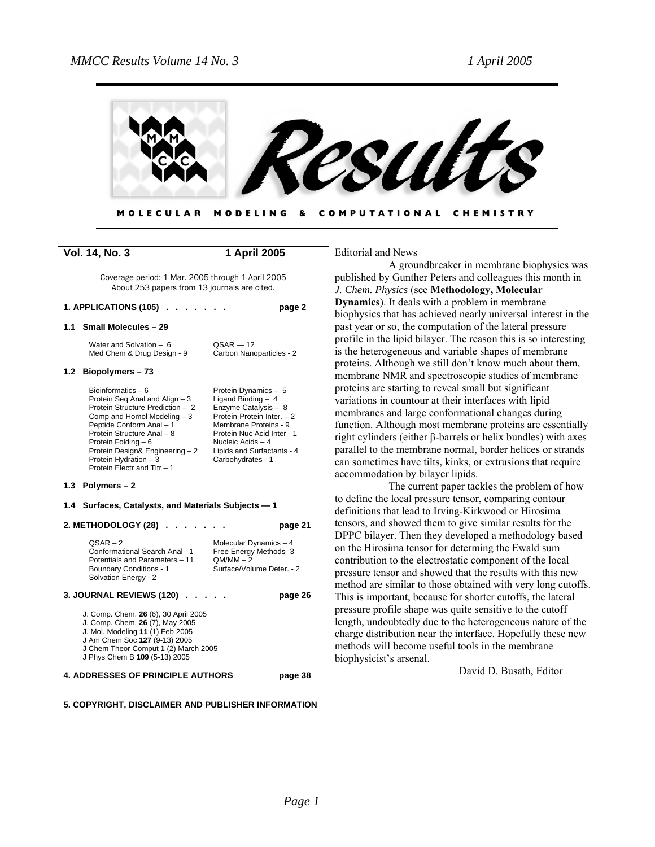

COMPUTATIONAL CHEMISTRY **MOLECULAR** MODELING &

|                                                                                                                                                                                                                       | <b>Vol. 14, No. 3</b>                                                                                                                                                                                                                                                                                | 1 April 2005                                                                                                                                                                                                                     |  |
|-----------------------------------------------------------------------------------------------------------------------------------------------------------------------------------------------------------------------|------------------------------------------------------------------------------------------------------------------------------------------------------------------------------------------------------------------------------------------------------------------------------------------------------|----------------------------------------------------------------------------------------------------------------------------------------------------------------------------------------------------------------------------------|--|
|                                                                                                                                                                                                                       | Coverage period: 1 Mar. 2005 through 1 April 2005<br>About 253 papers from 13 journals are cited.                                                                                                                                                                                                    |                                                                                                                                                                                                                                  |  |
|                                                                                                                                                                                                                       | 1. APPLICATIONS (105)                                                                                                                                                                                                                                                                                | page 2                                                                                                                                                                                                                           |  |
| 1.1                                                                                                                                                                                                                   | <b>Small Molecules - 29</b>                                                                                                                                                                                                                                                                          |                                                                                                                                                                                                                                  |  |
|                                                                                                                                                                                                                       | Water and Solvation - 6<br>Med Chem & Drug Design - 9                                                                                                                                                                                                                                                | $QSAR - 12$<br>Carbon Nanoparticles - 2                                                                                                                                                                                          |  |
|                                                                                                                                                                                                                       | 1.2 Biopolymers-73                                                                                                                                                                                                                                                                                   |                                                                                                                                                                                                                                  |  |
|                                                                                                                                                                                                                       | Bioinformatics $-6$<br>Protein Seq Anal and Align - 3<br>Protein Structure Prediction - 2<br>Comp and Homol Modeling - 3<br>Peptide Conform Anal - 1<br>Protein Structure Anal - 8<br>Protein Folding - 6<br>Protein Design& Engineering - 2<br>Protein Hydration - 3<br>Protein Electr and Titr - 1 | Protein Dynamics - 5<br>Ligand Binding $-4$<br>Enzyme Catalysis - 8<br>Protein-Protein Inter. - 2<br>Membrane Proteins - 9<br>Protein Nuc Acid Inter - 1<br>Nucleic Acids - 4<br>Lipids and Surfactants - 4<br>Carbohydrates - 1 |  |
|                                                                                                                                                                                                                       | 1.3 Polymers $-2$                                                                                                                                                                                                                                                                                    |                                                                                                                                                                                                                                  |  |
| Surfaces, Catalysts, and Materials Subjects - 1<br>1.4                                                                                                                                                                |                                                                                                                                                                                                                                                                                                      |                                                                                                                                                                                                                                  |  |
|                                                                                                                                                                                                                       | 2. METHODOLOGY (28)                                                                                                                                                                                                                                                                                  | page 21                                                                                                                                                                                                                          |  |
|                                                                                                                                                                                                                       | $OSAR - 2$<br>Conformational Search Anal - 1<br>Potentials and Parameters - 11<br><b>Boundary Conditions - 1</b><br>Solvation Energy - 2                                                                                                                                                             | Molecular Dynamics - 4<br>Free Energy Methods- 3<br>$QM/MM - 2$<br>Surface/Volume Deter. - 2                                                                                                                                     |  |
| <b>3. JOURNAL REVIEWS (120)</b><br>page 26                                                                                                                                                                            |                                                                                                                                                                                                                                                                                                      |                                                                                                                                                                                                                                  |  |
| J. Comp. Chem. 26 (6), 30 April 2005<br>J. Comp. Chem. 26 (7), May 2005<br>J. Mol. Modeling 11 (1) Feb 2005<br>J Am Chem Soc 127 (9-13) 2005<br>J Chem Theor Comput 1 (2) March 2005<br>J Phys Chem B 109 (5-13) 2005 |                                                                                                                                                                                                                                                                                                      |                                                                                                                                                                                                                                  |  |
| <b>4. ADDRESSES OF PRINCIPLE AUTHORS</b><br>page 38                                                                                                                                                                   |                                                                                                                                                                                                                                                                                                      |                                                                                                                                                                                                                                  |  |
| 5. COPYRIGHT, DISCLAIMER AND PUBLISHER INFORMATION                                                                                                                                                                    |                                                                                                                                                                                                                                                                                                      |                                                                                                                                                                                                                                  |  |

Editorial and News

A groundbreaker in membrane biophysics was published by Gunther Peters and colleagues this month in *J. Chem. Physics* (see **Methodology, Molecular Dynamics**). It deals with a problem in membrane biophysics that has achieved nearly universal interest in the past year or so, the computation of the lateral pressure profile in the lipid bilayer. The reason this is so interesting is the heterogeneous and variable shapes of membrane proteins. Although we still don't know much about them, membrane NMR and spectroscopic studies of membrane proteins are starting to reveal small but significant variations in countour at their interfaces with lipid membranes and large conformational changes during function. Although most membrane proteins are essentially right cylinders (either β-barrels or helix bundles) with axes parallel to the membrane normal, border helices or strands can sometimes have tilts, kinks, or extrusions that require accommodation by bilayer lipids.

The current paper tackles the problem of how to define the local pressure tensor, comparing contour definitions that lead to Irving-Kirkwood or Hirosima tensors, and showed them to give similar results for the DPPC bilayer. Then they developed a methodology based on the Hirosima tensor for determing the Ewald sum contribution to the electrostatic component of the local pressure tensor and showed that the results with this new method are similar to those obtained with very long cutoffs. This is important, because for shorter cutoffs, the lateral pressure profile shape was quite sensitive to the cutoff length, undoubtedly due to the heterogeneous nature of the charge distribution near the interface. Hopefully these new methods will become useful tools in the membrane biophysicist's arsenal.

David D. Busath, Editor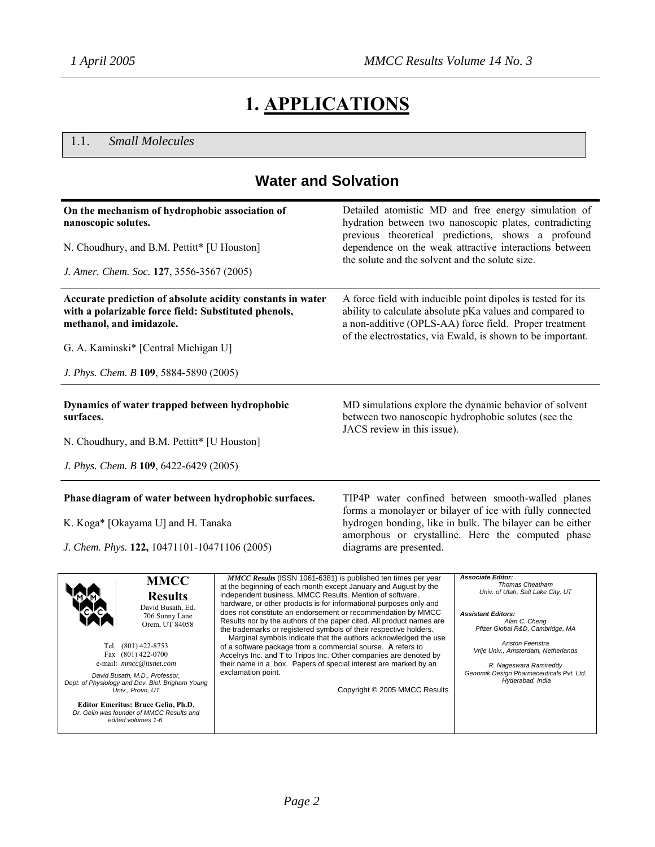# **1. APPLICATIONS**

1.1. *Small Molecules*

# **Water and Solvation**

| On the mechanism of hydrophobic association of<br>nanoscopic solutes.<br>N. Choudhury, and B.M. Pettitt* [U Houston]                                                                                                                                                                                                                                                                       |                                                                                                                                                                                                                                                                                                                                                                                                                                                                                                                                                                                                                                                                                                                                                                                  | Detailed atomistic MD and free energy simulation of<br>hydration between two nanoscopic plates, contradicting<br>previous theoretical predictions, shows a profound<br>dependence on the weak attractive interactions between |                                                                                                                                                                                                                                                                                                                        |
|--------------------------------------------------------------------------------------------------------------------------------------------------------------------------------------------------------------------------------------------------------------------------------------------------------------------------------------------------------------------------------------------|----------------------------------------------------------------------------------------------------------------------------------------------------------------------------------------------------------------------------------------------------------------------------------------------------------------------------------------------------------------------------------------------------------------------------------------------------------------------------------------------------------------------------------------------------------------------------------------------------------------------------------------------------------------------------------------------------------------------------------------------------------------------------------|-------------------------------------------------------------------------------------------------------------------------------------------------------------------------------------------------------------------------------|------------------------------------------------------------------------------------------------------------------------------------------------------------------------------------------------------------------------------------------------------------------------------------------------------------------------|
|                                                                                                                                                                                                                                                                                                                                                                                            |                                                                                                                                                                                                                                                                                                                                                                                                                                                                                                                                                                                                                                                                                                                                                                                  | the solute and the solvent and the solute size.                                                                                                                                                                               |                                                                                                                                                                                                                                                                                                                        |
| J. Amer. Chem. Soc. 127, 3556-3567 (2005)                                                                                                                                                                                                                                                                                                                                                  |                                                                                                                                                                                                                                                                                                                                                                                                                                                                                                                                                                                                                                                                                                                                                                                  |                                                                                                                                                                                                                               |                                                                                                                                                                                                                                                                                                                        |
| Accurate prediction of absolute acidity constants in water<br>with a polarizable force field: Substituted phenols,<br>methanol, and imidazole.                                                                                                                                                                                                                                             |                                                                                                                                                                                                                                                                                                                                                                                                                                                                                                                                                                                                                                                                                                                                                                                  |                                                                                                                                                                                                                               | A force field with inducible point dipoles is tested for its<br>ability to calculate absolute pKa values and compared to<br>a non-additive (OPLS-AA) force field. Proper treatment<br>of the electrostatics, via Ewald, is shown to be important.                                                                      |
| G. A. Kaminski* [Central Michigan U]                                                                                                                                                                                                                                                                                                                                                       |                                                                                                                                                                                                                                                                                                                                                                                                                                                                                                                                                                                                                                                                                                                                                                                  |                                                                                                                                                                                                                               |                                                                                                                                                                                                                                                                                                                        |
| J. Phys. Chem. B 109, 5884-5890 (2005)                                                                                                                                                                                                                                                                                                                                                     |                                                                                                                                                                                                                                                                                                                                                                                                                                                                                                                                                                                                                                                                                                                                                                                  |                                                                                                                                                                                                                               |                                                                                                                                                                                                                                                                                                                        |
| Dynamics of water trapped between hydrophobic<br>surfaces.                                                                                                                                                                                                                                                                                                                                 |                                                                                                                                                                                                                                                                                                                                                                                                                                                                                                                                                                                                                                                                                                                                                                                  | JACS review in this issue).                                                                                                                                                                                                   | MD simulations explore the dynamic behavior of solvent<br>between two nanoscopic hydrophobic solutes (see the                                                                                                                                                                                                          |
| N. Choudhury, and B.M. Pettitt* [U Houston]                                                                                                                                                                                                                                                                                                                                                |                                                                                                                                                                                                                                                                                                                                                                                                                                                                                                                                                                                                                                                                                                                                                                                  |                                                                                                                                                                                                                               |                                                                                                                                                                                                                                                                                                                        |
| J. Phys. Chem. B 109, 6422-6429 (2005)                                                                                                                                                                                                                                                                                                                                                     |                                                                                                                                                                                                                                                                                                                                                                                                                                                                                                                                                                                                                                                                                                                                                                                  |                                                                                                                                                                                                                               |                                                                                                                                                                                                                                                                                                                        |
| Phase diagram of water between hydrophobic surfaces.                                                                                                                                                                                                                                                                                                                                       |                                                                                                                                                                                                                                                                                                                                                                                                                                                                                                                                                                                                                                                                                                                                                                                  |                                                                                                                                                                                                                               | TIP4P water confined between smooth-walled planes<br>forms a monolayer or bilayer of ice with fully connected                                                                                                                                                                                                          |
| K. Koga* [Okayama U] and H. Tanaka                                                                                                                                                                                                                                                                                                                                                         |                                                                                                                                                                                                                                                                                                                                                                                                                                                                                                                                                                                                                                                                                                                                                                                  |                                                                                                                                                                                                                               | hydrogen bonding, like in bulk. The bilayer can be either<br>amorphous or crystalline. Here the computed phase                                                                                                                                                                                                         |
| J. Chem. Phys. 122, 10471101-10471106 (2005)                                                                                                                                                                                                                                                                                                                                               |                                                                                                                                                                                                                                                                                                                                                                                                                                                                                                                                                                                                                                                                                                                                                                                  | diagrams are presented.                                                                                                                                                                                                       |                                                                                                                                                                                                                                                                                                                        |
| <b>MMCC</b><br><b>Results</b><br>David Busath, Ed.<br>706 Sunny Lane<br>Orem, UT 84058<br>Tel. (801) 422-8753<br>Fax (801) 422-0700<br>e-mail: mmcc@itsnet.com<br>David Busath, M.D., Professor,<br>Dept. of Physiology and Dev. Biol. Brigham Young<br>Univ., Provo, UT<br><b>Editor Emeritus: Bruce Gelin, Ph.D.</b><br>Dr. Gelin was founder of MMCC Results and<br>edited volumes 1-6. | MMCC Results (ISSN 1061-6381) is published ten times per year<br>at the beginning of each month except January and August by the<br>independent business, MMCC Results. Mention of software,<br>hardware, or other products is for informational purposes only and<br>does not constitute an endorsement or recommendation by MMCC<br>Results nor by the authors of the paper cited. All product names are<br>the trademarks or registered symbols of their respective holders.<br>Marginal symbols indicate that the authors acknowledged the use<br>of a software package from a commercial sourse. A refers to<br>Accelrys Inc. and T to Tripos Inc. Other companies are denoted by<br>their name in a box. Papers of special interest are marked by an<br>exclamation point. | Copyright © 2005 MMCC Results                                                                                                                                                                                                 | <b>Associate Editor:</b><br>Thomas Cheatham<br>Univ. of Utah, Salt Lake City, UT<br><b>Assistant Editors:</b><br>Alan C. Cheng<br>Pfizer Global R&D, Cambridge, MA<br>Anston Feenstra<br>Vrije Univ., Amsterdam, Netherlands<br>R. Nageswara Ramireddy<br>Genomik Design Pharmaceuticals Pvt. Ltd.<br>Hyderabad, India |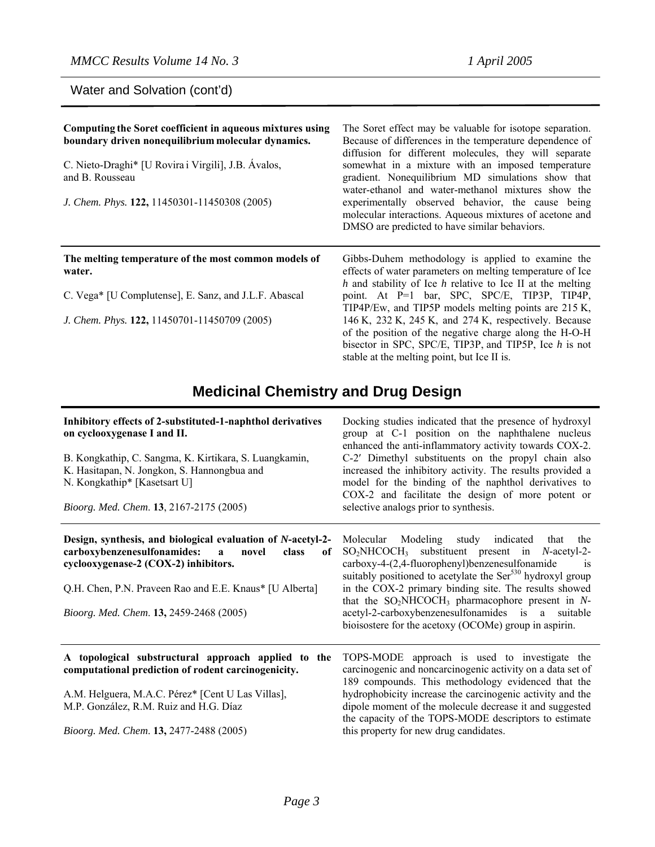Water and Solvation (cont'd)

| Computing the Soret coefficient in aqueous mixtures using<br>boundary driven nonequilibrium molecular dynamics.<br>C. Nieto-Draghi* [U Rovira i Virgili], J.B. Ávalos,<br>and B. Rousseau<br>J. Chem. Phys. 122, 11450301-11450308 (2005) | The Soret effect may be valuable for isotope separation.<br>Because of differences in the temperature dependence of<br>diffusion for different molecules, they will separate<br>somewhat in a mixture with an imposed temperature<br>gradient. Nonequilibrium MD simulations show that<br>water-ethanol and water-methanol mixtures show the<br>experimentally observed behavior, the cause being<br>molecular interactions. Aqueous mixtures of acetone and<br>DMSO are predicted to have similar behaviors. |
|-------------------------------------------------------------------------------------------------------------------------------------------------------------------------------------------------------------------------------------------|---------------------------------------------------------------------------------------------------------------------------------------------------------------------------------------------------------------------------------------------------------------------------------------------------------------------------------------------------------------------------------------------------------------------------------------------------------------------------------------------------------------|
| The melting temperature of the most common models of<br>water.                                                                                                                                                                            | Gibbs-Duhem methodology is applied to examine the<br>effects of water parameters on melting temperature of Ice<br>$h$ and stability of Ice $h$ relative to Ice II at the melting                                                                                                                                                                                                                                                                                                                              |
| C. Vega* [U Complutense], E. Sanz, and J.L.F. Abascal                                                                                                                                                                                     | point. At P=1 bar, SPC, SPC/E, TIP3P, TIP4P,<br>TIP4P/Ew, and TIP5P models melting points are 215 K,                                                                                                                                                                                                                                                                                                                                                                                                          |
| J. Chem. Phys. 122, 11450701-11450709 (2005)                                                                                                                                                                                              | 146 K, 232 K, 245 K, and 274 K, respectively. Because<br>of the position of the negative charge along the H-O-H<br>bisector in SPC, SPC/E, TIP3P, and TIP5P, Ice $h$ is not<br>stable at the melting point, but Ice II is.                                                                                                                                                                                                                                                                                    |

# **Medicinal Chemistry and Drug Design**

| Inhibitory effects of 2-substituted-1-naphthol derivatives<br>on cyclooxygenase I and II.<br>B. Kongkathip, C. Sangma, K. Kirtikara, S. Luangkamin,<br>K. Hasitapan, N. Jongkon, S. Hannongbua and<br>N. Kongkathip* [Kasetsart U]<br>Bioorg. Med. Chem. 13, 2167-2175 (2005)    | Docking studies indicated that the presence of hydroxyl<br>group at C-1 position on the naphthalene nucleus<br>enhanced the anti-inflammatory activity towards COX-2.<br>C-2' Dimethyl substituents on the propyl chain also<br>increased the inhibitory activity. The results provided a<br>model for the binding of the naphthol derivatives to<br>COX-2 and facilitate the design of more potent or<br>selective analogs prior to synthesis.                                            |
|----------------------------------------------------------------------------------------------------------------------------------------------------------------------------------------------------------------------------------------------------------------------------------|--------------------------------------------------------------------------------------------------------------------------------------------------------------------------------------------------------------------------------------------------------------------------------------------------------------------------------------------------------------------------------------------------------------------------------------------------------------------------------------------|
| Design, synthesis, and biological evaluation of N-acetyl-2-<br>carboxybenzenesulfonamides:<br>novel<br>$\mathbf{a}$<br>class<br>of<br>cyclooxygenase-2 (COX-2) inhibitors.<br>Q.H. Chen, P.N. Praveen Rao and E.E. Knaus* [U Alberta]<br>Bioorg. Med. Chem. 13, 2459-2468 (2005) | Molecular Modeling study indicated<br>that<br>the<br>$SO_2NHCOCH_3$ substituent present in <i>N</i> -acetyl-2-<br>carboxy-4-(2,4-fluorophenyl)benzenesulfonamide<br><sup>1</sup> S<br>suitably positioned to acetylate the Ser <sup>530</sup> hydroxyl group<br>in the COX-2 primary binding site. The results showed<br>that the $SO_2NHCOCH_3$ pharmacophore present in N-<br>acetyl-2-carboxybenzenesulfonamides is a suitable<br>bioisostere for the acetoxy (OCOMe) group in aspirin. |
| A topological substructural approach applied to the<br>computational prediction of rodent carcinogenicity.<br>A.M. Helguera, M.A.C. Pérez* [Cent U Las Villas],<br>M.P. González, R.M. Ruiz and H.G. Díaz<br>Bioorg. Med. Chem. 13, 2477-2488 (2005)                             | TOPS-MODE approach is used to investigate the<br>carcinogenic and noncarcinogenic activity on a data set of<br>189 compounds. This methodology evidenced that the<br>hydrophobicity increase the carcinogenic activity and the<br>dipole moment of the molecule decrease it and suggested<br>the capacity of the TOPS-MODE descriptors to estimate<br>this property for new drug candidates.                                                                                               |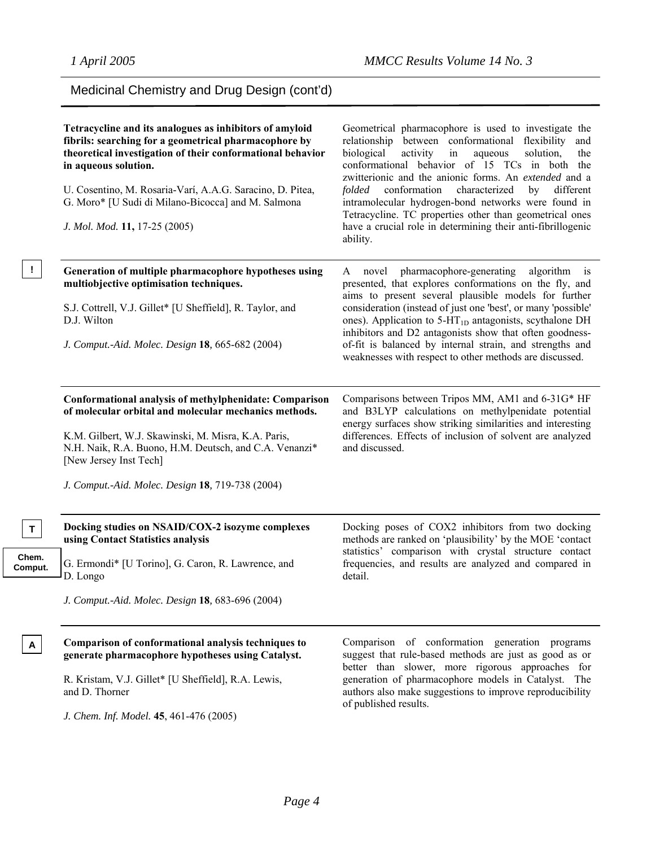# Medicinal Chemistry and Drug Design (cont'd)

|                  | Tetracycline and its analogues as inhibitors of amyloid<br>fibrils: searching for a geometrical pharmacophore by<br>theoretical investigation of their conformational behavior<br>in aqueous solution.<br>U. Cosentino, M. Rosaria-Varí, A.A.G. Saracino, D. Pitea,<br>G. Moro* [U Sudi di Milano-Bicocca] and M. Salmona<br>J. Mol. Mod. 11, 17-25 (2005) | Geometrical pharmacophore is used to investigate the<br>relationship between conformational flexibility<br>and<br>biological<br>activity<br>aqueous<br>solution,<br>in<br>the<br>conformational behavior of 15 TCs in both the<br>zwitterionic and the anionic forms. An extended and a<br>conformation<br>characterized<br>by<br>different<br>folded<br>intramolecular hydrogen-bond networks were found in<br>Tetracycline. TC properties other than geometrical ones<br>have a crucial role in determining their anti-fibrillogenic<br>ability. |
|------------------|------------------------------------------------------------------------------------------------------------------------------------------------------------------------------------------------------------------------------------------------------------------------------------------------------------------------------------------------------------|----------------------------------------------------------------------------------------------------------------------------------------------------------------------------------------------------------------------------------------------------------------------------------------------------------------------------------------------------------------------------------------------------------------------------------------------------------------------------------------------------------------------------------------------------|
| Ι.               | Generation of multiple pharmacophore hypotheses using<br>multiobjective optimisation techniques.<br>S.J. Cottrell, V.J. Gillet* [U Sheffield], R. Taylor, and<br>D.J. Wilton<br>J. Comput.-Aid. Molec. Design 18, 665-682 (2004)                                                                                                                           | novel pharmacophore-generating<br>algorithm<br>A<br>1S<br>presented, that explores conformations on the fly, and<br>aims to present several plausible models for further<br>consideration (instead of just one 'best', or many 'possible'<br>ones). Application to 5-HT <sub>1D</sub> antagonists, scythalone DH<br>inhibitors and D2 antagonists show that often goodness-<br>of-fit is balanced by internal strain, and strengths and<br>weaknesses with respect to other methods are discussed.                                                 |
|                  | Conformational analysis of methylphenidate: Comparison<br>of molecular orbital and molecular mechanics methods.<br>K.M. Gilbert, W.J. Skawinski, M. Misra, K.A. Paris,<br>N.H. Naik, R.A. Buono, H.M. Deutsch, and C.A. Venanzi*<br>[New Jersey Inst Tech]<br>J. Comput.-Aid. Molec. Design 18, 719-738 (2004)                                             | Comparisons between Tripos MM, AM1 and 6-31G* HF<br>and B3LYP calculations on methylpenidate potential<br>energy surfaces show striking similarities and interesting<br>differences. Effects of inclusion of solvent are analyzed<br>and discussed.                                                                                                                                                                                                                                                                                                |
| $\mathbf{T}$     | Docking studies on NSAID/COX-2 isozyme complexes<br>using Contact Statistics analysis                                                                                                                                                                                                                                                                      | Docking poses of COX2 inhibitors from two docking<br>methods are ranked on 'plausibility' by the MOE 'contact                                                                                                                                                                                                                                                                                                                                                                                                                                      |
| Chem.<br>Comput. | G. Ermondi* [U Torino], G. Caron, R. Lawrence, and<br>D. Longo                                                                                                                                                                                                                                                                                             | statistics' comparison with crystal structure contact<br>frequencies, and results are analyzed and compared in<br>detail.                                                                                                                                                                                                                                                                                                                                                                                                                          |
|                  | J. Comput.-Aid. Molec. Design 18, 683-696 (2004)                                                                                                                                                                                                                                                                                                           |                                                                                                                                                                                                                                                                                                                                                                                                                                                                                                                                                    |
| $\mathsf{A}$     | Comparison of conformational analysis techniques to<br>generate pharmacophore hypotheses using Catalyst.<br>R. Kristam, V.J. Gillet* [U Sheffield], R.A. Lewis,<br>and D. Thorner                                                                                                                                                                          | Comparison of conformation generation programs<br>suggest that rule-based methods are just as good as or<br>better than slower, more rigorous approaches for<br>generation of pharmacophore models in Catalyst. The<br>authors also make suggestions to improve reproducibility<br>of published results.                                                                                                                                                                                                                                           |

*J. Chem. Inf. Model.* **45**, 461-476 (2005)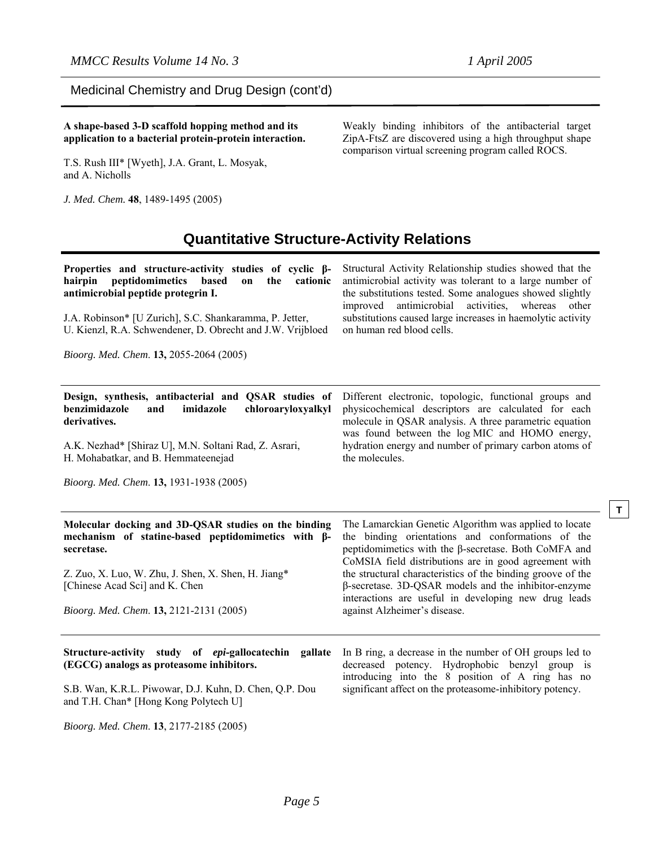**T**

Medicinal Chemistry and Drug Design (cont'd)

**A shape-based 3-D scaffold hopping method and its application to a bacterial protein-protein interaction.** 

T.S. Rush III\* [Wyeth], J.A. Grant, L. Mosyak, and A. Nicholls

*J. Med. Chem.* **48**, 1489-1495 (2005)

Weakly binding inhibitors of the antibacterial target ZipA-FtsZ are discovered using a high throughput shape comparison virtual screening program called ROCS.

# **Quantitative Structure-Activity Relations**

| Properties and structure-activity studies of cyclic $\beta$ -<br>peptidomimetics<br>hairpin<br>based<br>the<br>cationic<br>on<br>antimicrobial peptide protegrin I.<br>J.A. Robinson* [U Zurich], S.C. Shankaramma, P. Jetter,<br>U. Kienzl, R.A. Schwendener, D. Obrecht and J.W. Vrijbloed<br>Bioorg. Med. Chem. 13, 2055-2064 (2005) | Structural Activity Relationship studies showed that the<br>antimicrobial activity was tolerant to a large number of<br>the substitutions tested. Some analogues showed slightly<br>antimicrobial<br>activities,<br>whereas<br>improved<br>other<br>substitutions caused large increases in haemolytic activity<br>on human red blood cells. |  |  |
|-----------------------------------------------------------------------------------------------------------------------------------------------------------------------------------------------------------------------------------------------------------------------------------------------------------------------------------------|----------------------------------------------------------------------------------------------------------------------------------------------------------------------------------------------------------------------------------------------------------------------------------------------------------------------------------------------|--|--|
| Design, synthesis, antibacterial and QSAR studies of                                                                                                                                                                                                                                                                                    | Different electronic, topologic, functional groups and                                                                                                                                                                                                                                                                                       |  |  |
| benzimidazole<br>imidazole<br>chloroaryloxyalkyl<br>and<br>derivatives.                                                                                                                                                                                                                                                                 | physicochemical descriptors are calculated for each<br>molecule in QSAR analysis. A three parametric equation<br>was found between the log MIC and HOMO energy,                                                                                                                                                                              |  |  |
| A.K. Nezhad* [Shiraz U], M.N. Soltani Rad, Z. Asrari,<br>H. Mohabatkar, and B. Hemmateenejad                                                                                                                                                                                                                                            | hydration energy and number of primary carbon atoms of<br>the molecules.                                                                                                                                                                                                                                                                     |  |  |
| Bioorg. Med. Chem. 13, 1931-1938 (2005)                                                                                                                                                                                                                                                                                                 |                                                                                                                                                                                                                                                                                                                                              |  |  |
| Molecular docking and 3D-QSAR studies on the binding<br>mechanism of statine-based peptidomimetics with $\beta$ -<br>secretase.                                                                                                                                                                                                         | The Lamarckian Genetic Algorithm was applied to locate<br>the binding orientations and conformations of the<br>peptidomimetics with the $\beta$ -secretase. Both CoMFA and<br>CoMSIA field distributions are in good agreement with                                                                                                          |  |  |
| Z. Zuo, X. Luo, W. Zhu, J. Shen, X. Shen, H. Jiang*<br>[Chinese Acad Sci] and K. Chen                                                                                                                                                                                                                                                   | the structural characteristics of the binding groove of the<br>β-secretase. 3D-QSAR models and the inhibitor-enzyme<br>interactions are useful in developing new drug leads                                                                                                                                                                  |  |  |
| Bioorg. Med. Chem. 13, 2121-2131 (2005)                                                                                                                                                                                                                                                                                                 | against Alzheimer's disease.                                                                                                                                                                                                                                                                                                                 |  |  |
| Structure-activity study of epi-gallocatechin<br>gallate<br>(EGCG) analogs as proteasome inhibitors.                                                                                                                                                                                                                                    | In B ring, a decrease in the number of OH groups led to<br>decreased potency. Hydrophobic benzyl group is<br>introducing into the 8 position of A ring has no                                                                                                                                                                                |  |  |
| S.B. Wan, K.R.L. Piwowar, D.J. Kuhn, D. Chen, Q.P. Dou<br>and T.H. Chan* [Hong Kong Polytech U]                                                                                                                                                                                                                                         | significant affect on the proteasome-inhibitory potency.                                                                                                                                                                                                                                                                                     |  |  |

*Bioorg. Med. Chem*. **13**, 2177-2185 (2005)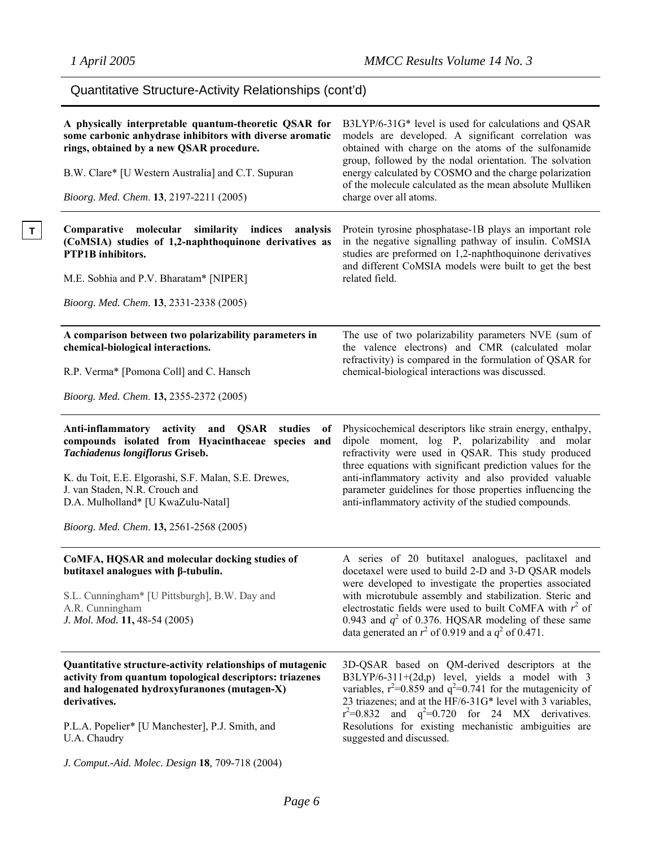**T** 

# Quantitative Structure-Activity Relationships (cont'd)

| A physically interpretable quantum-theoretic QSAR for<br>some carbonic anhydrase inhibitors with diverse aromatic<br>rings, obtained by a new QSAR procedure.<br>B.W. Clare* [U Western Australia] and C.T. Supuran<br>Bioorg. Med. Chem. 13, 2197-2211 (2005)                                                          | B3LYP/6-31G* level is used for calculations and QSAR<br>models are developed. A significant correlation was<br>obtained with charge on the atoms of the sulfonamide<br>group, followed by the nodal orientation. The solvation<br>energy calculated by COSMO and the charge polarization<br>of the molecule calculated as the mean absolute Mulliken<br>charge over all atoms.                                      |
|-------------------------------------------------------------------------------------------------------------------------------------------------------------------------------------------------------------------------------------------------------------------------------------------------------------------------|---------------------------------------------------------------------------------------------------------------------------------------------------------------------------------------------------------------------------------------------------------------------------------------------------------------------------------------------------------------------------------------------------------------------|
| Comparative molecular<br>similarity indices<br>analysis<br>(CoMSIA) studies of 1,2-naphthoquinone derivatives as<br><b>PTP1B</b> inhibitors.<br>M.E. Sobhia and P.V. Bharatam* [NIPER]<br>Bioorg. Med. Chem. 13, 2331-2338 (2005)                                                                                       | Protein tyrosine phosphatase-1B plays an important role<br>in the negative signalling pathway of insulin. CoMSIA<br>studies are preformed on 1,2-naphthoquinone derivatives<br>and different CoMSIA models were built to get the best<br>related field.                                                                                                                                                             |
| A comparison between two polarizability parameters in<br>chemical-biological interactions.<br>R.P. Verma* [Pomona Coll] and C. Hansch<br>Bioorg. Med. Chem. 13, 2355-2372 (2005)                                                                                                                                        | The use of two polarizability parameters NVE (sum of<br>the valence electrons) and CMR (calculated molar<br>refractivity) is compared in the formulation of QSAR for<br>chemical-biological interactions was discussed.                                                                                                                                                                                             |
| Anti-inflammatory activity and QSAR<br>studies<br>of<br>compounds isolated from Hyacinthaceae species and<br>Tachiadenus longiflorus Griseb.<br>K. du Toit, E.E. Elgorashi, S.F. Malan, S.E. Drewes,<br>J. van Staden, N.R. Crouch and<br>D.A. Mulholland* [U KwaZulu-Natal]<br>Bioorg. Med. Chem. 13, 2561-2568 (2005) | Physicochemical descriptors like strain energy, enthalpy,<br>dipole moment, log P, polarizability and molar<br>refractivity were used in QSAR. This study produced<br>three equations with significant prediction values for the<br>anti-inflammatory activity and also provided valuable<br>parameter guidelines for those properties influencing the<br>anti-inflammatory activity of the studied compounds.      |
| CoMFA, HQSAR and molecular docking studies of<br>butitaxel analogues with $\beta$ -tubulin.<br>S.L. Cunningham* [U Pittsburgh], B.W. Day and<br>A.R. Cunningham<br>J. Mol. Mod. 11, 48-54 (2005)                                                                                                                        | A series of 20 butitaxel analogues, paclitaxel and<br>docetaxel were used to build 2-D and 3-D QSAR models<br>were developed to investigate the properties associated<br>with microtubule assembly and stabilization. Steric and<br>electrostatic fields were used to built CoMFA with $r^2$ of<br>0.943 and $q^2$ of 0.376. HQSAR modeling of these same<br>data generated an $r^2$ of 0.919 and a $q^2$ of 0.471. |
| Quantitative structure-activity relationships of mutagenic<br>activity from quantum topological descriptors: triazenes<br>and halogenated hydroxyfuranones (mutagen-X)<br>derivatives.<br>P.L.A. Popelier* [U Manchester], P.J. Smith, and<br>U.A. Chaudry<br>J. Comput.-Aid. Molec. Design 18, 709-718 (2004)          | 3D-QSAR based on QM-derived descriptors at the<br>B3LYP/6-311+(2d,p) level, yields a model with 3<br>variables, $r^2$ =0.859 and $q^2$ =0.741 for the mutagenicity of<br>23 triazenes; and at the HF/6-31G* level with 3 variables,<br>$r^2=0.832$ and $q^2=0.720$ for 24 MX derivatives.<br>Resolutions for existing mechanistic ambiguities are<br>suggested and discussed.                                       |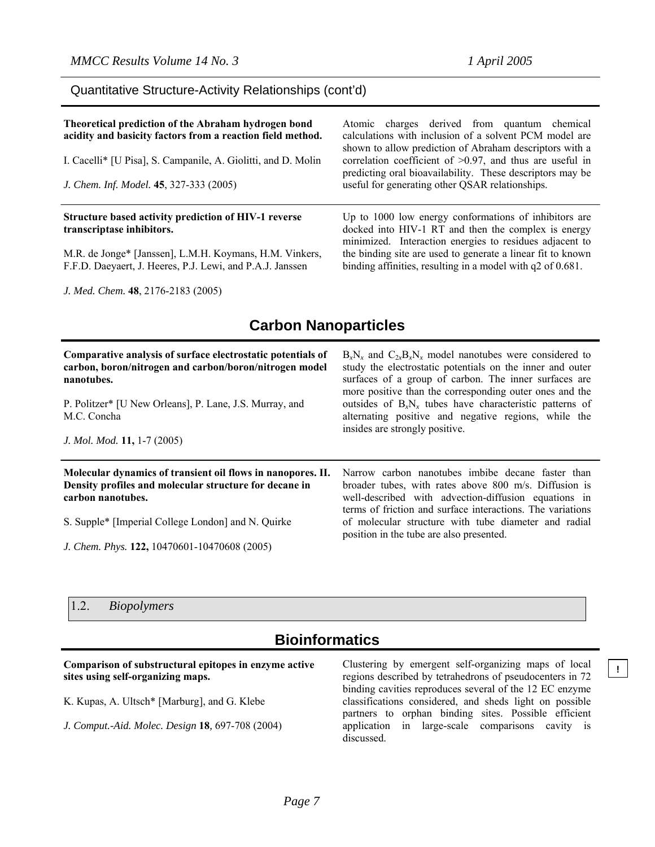### Quantitative Structure-Activity Relationships (cont'd)

| Theoretical prediction of the Abraham hydrogen bond<br>acidity and basicity factors from a reaction field method.<br>I. Cacelli* [U Pisa], S. Campanile, A. Giolitti, and D. Molin<br>J. Chem. Inf. Model. 45, 327-333 (2005) | Atomic charges derived from quantum chemical<br>calculations with inclusion of a solvent PCM model are<br>shown to allow prediction of Abraham descriptors with a<br>correlation coefficient of $>0.97$ , and thus are useful in<br>predicting oral bioavailability. These descriptors may be<br>useful for generating other QSAR relationships. |
|-------------------------------------------------------------------------------------------------------------------------------------------------------------------------------------------------------------------------------|--------------------------------------------------------------------------------------------------------------------------------------------------------------------------------------------------------------------------------------------------------------------------------------------------------------------------------------------------|
| Structure based activity prediction of HIV-1 reverse<br>transcriptase inhibitors.<br>M.R. de Jonge* [Janssen], L.M.H. Koymans, H.M. Vinkers,                                                                                  | Up to 1000 low energy conformations of inhibitors are<br>docked into HIV-1 RT and then the complex is energy<br>minimized. Interaction energies to residues adjacent to<br>the binding site are used to generate a linear fit to known                                                                                                           |
| F.F.D. Daeyaert, J. Heeres, P.J. Lewi, and P.A.J. Janssen                                                                                                                                                                     | binding affinities, resulting in a model with $q2$ of 0.681.                                                                                                                                                                                                                                                                                     |

*J. Med. Chem.* **48**, 2176-2183 (2005)

# **Carbon Nanoparticles**

| Comparative analysis of surface electrostatic potentials of<br>carbon, boron/nitrogen and carbon/boron/nitrogen model<br>nanotubes.<br>P. Politzer* [U New Orleans], P. Lane, J.S. Murray, and<br>M.C. Concha<br>J. Mol. Mod. 11, 1-7 (2005)     | $B_xN_x$ and $C_{2x}B_xN_x$ model nanotubes were considered to<br>study the electrostatic potentials on the inner and outer<br>surfaces of a group of carbon. The inner surfaces are<br>more positive than the corresponding outer ones and the<br>outsides of $B_xN_x$ tubes have characteristic patterns of<br>alternating positive and negative regions, while the<br>insides are strongly positive. |
|--------------------------------------------------------------------------------------------------------------------------------------------------------------------------------------------------------------------------------------------------|---------------------------------------------------------------------------------------------------------------------------------------------------------------------------------------------------------------------------------------------------------------------------------------------------------------------------------------------------------------------------------------------------------|
| Molecular dynamics of transient oil flows in nanopores. II.<br>Density profiles and molecular structure for decane in<br>carbon nanotubes.<br>S. Supple* [Imperial College London] and N. Quirke<br>J. Chem. Phys. 122, 10470601-10470608 (2005) | Narrow carbon nanotubes imbibe decane faster than<br>broader tubes, with rates above 800 m/s. Diffusion is<br>well-described with advection-diffusion equations in<br>terms of friction and surface interactions. The variations<br>of molecular structure with tube diameter and radial<br>position in the tube are also presented.                                                                    |

### 1.2. *Biopolymers*

# **Bioinformatics**

### **Comparison of substructural epitopes in enzyme active sites using self-organizing maps.**

K. Kupas, A. Ultsch\* [Marburg], and G. Klebe

*J. Comput.-Aid. Molec. Design* **18***,* 697-708 (2004)

Clustering by emergent self-organizing maps of local regions described by tetrahedrons of pseudocenters in 72 binding cavities reproduces several of the 12 EC enzyme classifications considered, and sheds light on possible partners to orphan binding sites. Possible efficient application in large-scale comparisons cavity is discussed.

**!**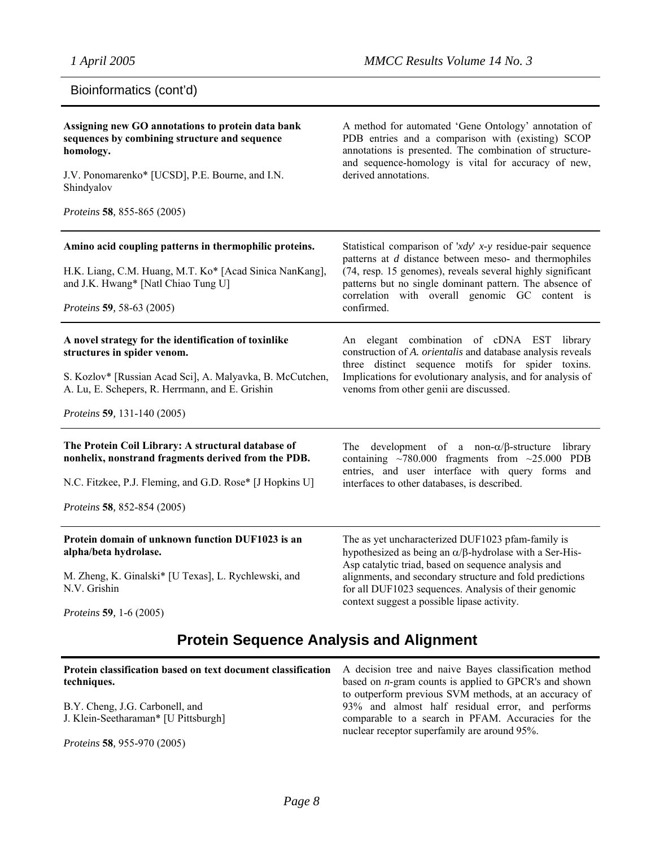# Bioinformatics (cont'd)

| Assigning new GO annotations to protein data bank<br>sequences by combining structure and sequence<br>homology.<br>J.V. Ponomarenko* [UCSD], P.E. Bourne, and I.N.<br>Shindyalov<br>Proteins 58, 855-865 (2005)                    | A method for automated 'Gene Ontology' annotation of<br>PDB entries and a comparison with (existing) SCOP<br>annotations is presented. The combination of structure-<br>and sequence-homology is vital for accuracy of new,<br>derived annotations.                                                                                               |
|------------------------------------------------------------------------------------------------------------------------------------------------------------------------------------------------------------------------------------|---------------------------------------------------------------------------------------------------------------------------------------------------------------------------------------------------------------------------------------------------------------------------------------------------------------------------------------------------|
|                                                                                                                                                                                                                                    |                                                                                                                                                                                                                                                                                                                                                   |
| Amino acid coupling patterns in thermophilic proteins.<br>H.K. Liang, C.M. Huang, M.T. Ko* [Acad Sinica NanKang],<br>and J.K. Hwang* [Natl Chiao Tung U]<br>Proteins 59, 58-63 (2005)                                              | Statistical comparison of 'xdy' x-y residue-pair sequence<br>patterns at d distance between meso- and thermophiles<br>(74, resp. 15 genomes), reveals several highly significant<br>patterns but no single dominant pattern. The absence of<br>correlation with overall genomic GC content is<br>confirmed.                                       |
| A novel strategy for the identification of toxinlike<br>structures in spider venom.<br>S. Kozlov* [Russian Acad Sci], A. Malyavka, B. McCutchen,<br>A. Lu, E. Schepers, R. Herrmann, and E. Grishin<br>Proteins 59, 131-140 (2005) | An elegant combination of cDNA EST library<br>construction of A. orientalis and database analysis reveals<br>three distinct sequence motifs for spider toxins.<br>Implications for evolutionary analysis, and for analysis of<br>venoms from other genii are discussed.                                                                           |
| The Protein Coil Library: A structural database of<br>nonhelix, nonstrand fragments derived from the PDB.<br>N.C. Fitzkee, P.J. Fleming, and G.D. Rose* [J Hopkins U]<br><i>Proteins</i> 58, 852-854 (2005)                        | The<br>development of a non- $\alpha/\beta$ -structure<br>library<br>containing $\sim$ 780.000 fragments from $\sim$ 25.000 PDB<br>entries, and user interface with query forms and<br>interfaces to other databases, is described.                                                                                                               |
| Protein domain of unknown function DUF1023 is an<br>alpha/beta hydrolase.<br>M. Zheng, K. Ginalski* [U Texas], L. Rychlewski, and<br>N.V. Grishin<br><i>Proteins</i> 59, 1-6 (2005)                                                | The as yet uncharacterized DUF1023 pfam-family is<br>hypothesized as being an $\alpha/\beta$ -hydrolase with a Ser-His-<br>Asp catalytic triad, based on sequence analysis and<br>alignments, and secondary structure and fold predictions<br>for all DUF1023 sequences. Analysis of their genomic<br>context suggest a possible lipase activity. |

# **Protein Sequence Analysis and Alignment**

| Protein classification based on text document classification A decision tree and naive Bayes classification method<br>techniques. | based on $n$ -gram counts is applied to GPCR's and shown                                           |
|-----------------------------------------------------------------------------------------------------------------------------------|----------------------------------------------------------------------------------------------------|
|                                                                                                                                   | to outperform previous SVM methods, at an accuracy of                                              |
| B.Y. Cheng, J.G. Carbonell, and                                                                                                   | 93% and almost half residual error, and performs                                                   |
| J. Klein-Seetharaman* [U Pittsburgh]                                                                                              | comparable to a search in PFAM. Accuracies for the<br>nuclear receptor superfamily are around 95%. |
| <i>Proteins</i> 58, 955-970 (2005)                                                                                                |                                                                                                    |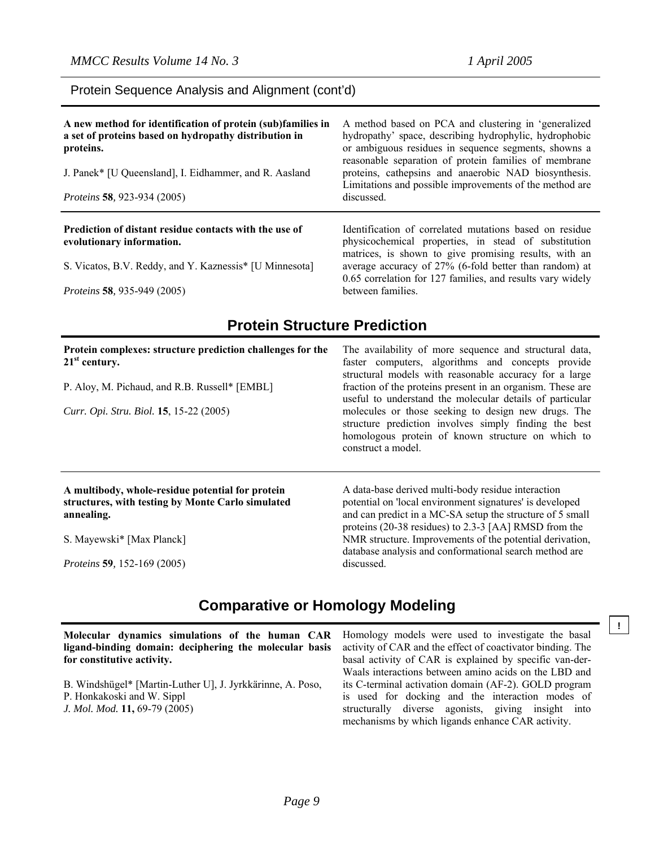### Protein Sequence Analysis and Alignment (cont'd)

| A new method for identification of protein (sub)families in<br>a set of proteins based on hydropathy distribution in<br>proteins.<br>J. Panek* [U Queensland], I. Eidhammer, and R. Aasland<br>Proteins 58, 923-934 (2005) | A method based on PCA and clustering in 'generalized<br>hydropathy' space, describing hydrophylic, hydrophobic<br>or ambiguous residues in sequence segments, showns a<br>reasonable separation of protein families of membrane<br>proteins, cathepsins and anaerobic NAD biosynthesis.<br>Limitations and possible improvements of the method are<br>discussed. |
|----------------------------------------------------------------------------------------------------------------------------------------------------------------------------------------------------------------------------|------------------------------------------------------------------------------------------------------------------------------------------------------------------------------------------------------------------------------------------------------------------------------------------------------------------------------------------------------------------|
| Prediction of distant residue contacts with the use of<br>evolutionary information.                                                                                                                                        | Identification of correlated mutations based on residue<br>physicochemical properties, in stead of substitution                                                                                                                                                                                                                                                  |
| S. Vicatos, B.V. Reddy, and Y. Kaznessis* [U Minnesota]                                                                                                                                                                    | matrices, is shown to give promising results, with an<br>average accuracy of 27% (6-fold better than random) at<br>$0.65$ correlation for 127 families, and results very widely                                                                                                                                                                                  |

*Proteins* **58***,* 935-949 (2005)

0.65 correlation for 127 families, and results vary widely between families.

# **Protein Structure Prediction**

| Protein complexes: structure prediction challenges for the<br>$21st$ century.                                       | The availability of more sequence and structural data,<br>faster computers, algorithms and concepts provide<br>structural models with reasonable accuracy for a large<br>fraction of the proteins present in an organism. These are<br>useful to understand the molecular details of particular<br>molecules or those seeking to design new drugs. The<br>structure prediction involves simply finding the best<br>homologous protein of known structure on which to<br>construct a model. |
|---------------------------------------------------------------------------------------------------------------------|--------------------------------------------------------------------------------------------------------------------------------------------------------------------------------------------------------------------------------------------------------------------------------------------------------------------------------------------------------------------------------------------------------------------------------------------------------------------------------------------|
| P. Aloy, M. Pichaud, and R.B. Russell* [EMBL]                                                                       |                                                                                                                                                                                                                                                                                                                                                                                                                                                                                            |
| Curr. Opi. Stru. Biol. 15, 15-22 (2005)                                                                             |                                                                                                                                                                                                                                                                                                                                                                                                                                                                                            |
| A multibody, whole-residue potential for protein<br>structures, with testing by Monte Carlo simulated<br>annealing. | A data-base derived multi-body residue interaction<br>potential on 'local environment signatures' is developed<br>and can predict in a MC-SA setup the structure of 5 small<br>proteins (20-38 residues) to 2.3-3 [AA] RMSD from the                                                                                                                                                                                                                                                       |
| S. Mayewski* [Max Planck]                                                                                           | NMR structure. Improvements of the potential derivation,<br>database analysis and conformational search method are                                                                                                                                                                                                                                                                                                                                                                         |
| <i>Proteins</i> 59, 152-169 (2005)                                                                                  | discussed.                                                                                                                                                                                                                                                                                                                                                                                                                                                                                 |

# **Comparative or Homology Modeling**

**Molecular dynamics simulations of the human CAR ligand-binding domain: deciphering the molecular basis for constitutive activity.**  B. Windshügel\* [Martin-Luther U], J. Jyrkkärinne, A. Poso, P. Honkakoski and W. Sippl Homology models were used to investigate the basal activity of CAR and the effect of coactivator binding. The basal activity of CAR is explained by specific van-der-Waals interactions between amino acids on the LBD and its C-terminal activation domain (AF-2). GOLD program is used for docking and the interaction modes of

*J. Mol. Mod.* **11,** 69-79 (2005)

structurally diverse agonists, giving insight into mechanisms by which ligands enhance CAR activity.

**!**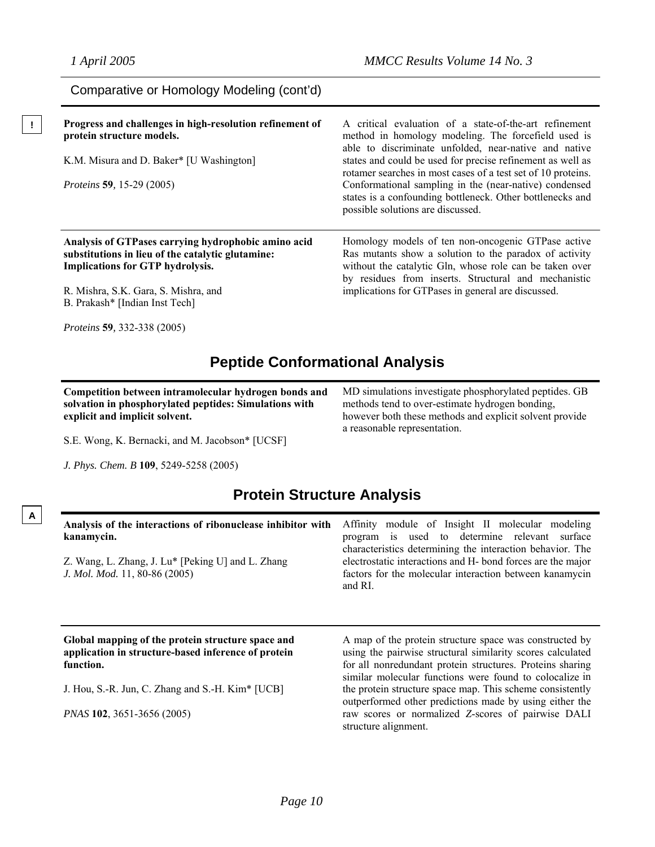| Comparative or Homology Modeling (cont'd)                | A critical evaluation of a state-of-the-art refinement                                                                                                   |
|----------------------------------------------------------|----------------------------------------------------------------------------------------------------------------------------------------------------------|
| Progress and challenges in high-resolution refinement of | method in homology modeling. The forcefield used is                                                                                                      |
| protein structure models.                                | able to discriminate unfolded, near-native and native                                                                                                    |
| K.M. Misura and D. Baker* [U Washington]                 | states and could be used for precise refinement as well as<br>rotamer searches in most cases of a test set of 10 proteins.                               |
| <i>Proteins</i> 59, 15-29 (2005)                         | Conformational sampling in the (near-native) condensed<br>states is a confounding bottleneck. Other bottlenecks and<br>possible solutions are discussed. |
| Analysis of GTPases carrying hydrophobic amino acid      | Homology models of ten non-oncogenic GTPase active                                                                                                       |
| substitutions in lieu of the catalytic glutamine:        | Ras mutants show a solution to the paradox of activity                                                                                                   |
| <b>Implications for GTP hydrolysis.</b>                  | without the catalytic Gln, whose role can be taken over                                                                                                  |
| R. Mishra, S.K. Gara, S. Mishra, and                     | by residues from inserts. Structural and mechanistic                                                                                                     |
| B. Prakash* [Indian Inst Tech]                           | implications for GTPases in general are discussed.                                                                                                       |

*Proteins* **59***,* 332-338 (2005)

# **Peptide Conformational Analysis**

**Competition between intramolecular hydrogen bonds and solvation in phosphorylated peptides: Simulations with explicit and implicit solvent.** 

MD simulations investigate phosphorylated peptides. GB methods tend to over-estimate hydrogen bonding, however both these methods and explicit solvent provide a reasonable representation.

S.E. Wong, K. Bernacki, and M. Jacobson\* [UCSF]

*J. Phys. Chem. B* **109**, 5249-5258 (2005)

**A**

# **Protein Structure Analysis**

| Analysis of the interactions of ribonuclease inhibitor with<br>kanamycin.<br>Z. Wang, L. Zhang, J. Lu* [Peking U] and L. Zhang<br>J. Mol. Mod. 11, 80-86 (2005) | Affinity module of Insight II molecular modeling<br>is used to determine relevant<br>surface<br>program<br>characteristics determining the interaction behavior. The<br>electrostatic interactions and H- bond forces are the major<br>factors for the molecular interaction between kanamycin<br>and RI. |
|-----------------------------------------------------------------------------------------------------------------------------------------------------------------|-----------------------------------------------------------------------------------------------------------------------------------------------------------------------------------------------------------------------------------------------------------------------------------------------------------|
| Global mapping of the protein structure space and<br>application in structure-based inference of protein<br>function.                                           | A map of the protein structure space was constructed by<br>using the pairwise structural similarity scores calculated<br>for all nonredundant protein structures. Proteins sharing                                                                                                                        |
| J. Hou, S.-R. Jun, C. Zhang and S.-H. Kim* [UCB]                                                                                                                | similar molecular functions were found to colocalize in<br>the protein structure space map. This scheme consistently<br>outperformed other predictions made by using either the                                                                                                                           |

*PNAS* **102**, 3651-3656 (2005)

outperformed other predictions made by using either the raw scores or normalized *Z*-scores of pairwise DALI structure alignment.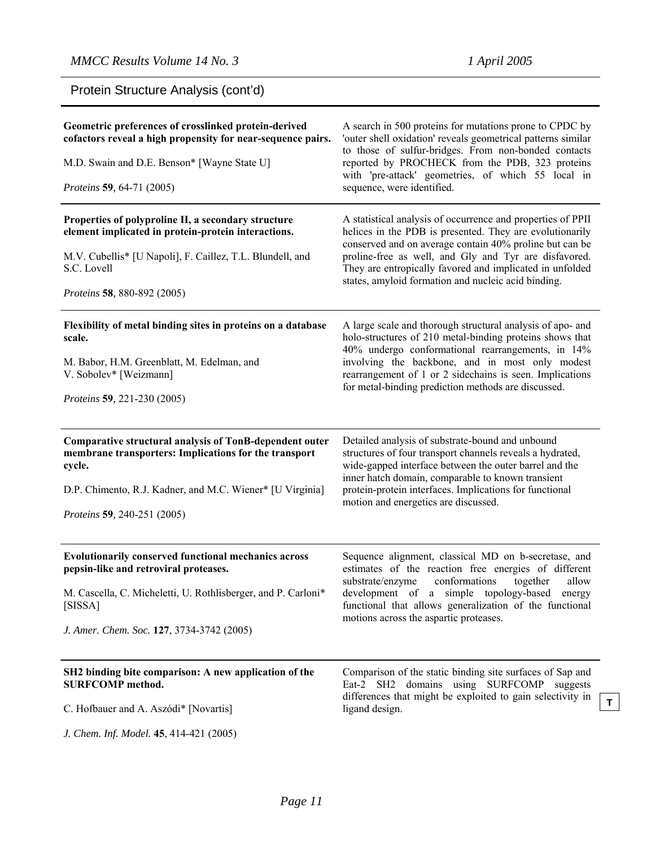Protein Structure Analysis (cont'd)

| Geometric preferences of crosslinked protein-derived<br>cofactors reveal a high propensity for near-sequence pairs.<br>M.D. Swain and D.E. Benson* [Wayne State U]<br>Proteins 59, 64-71 (2005)                               | A search in 500 proteins for mutations prone to CPDC by<br>'outer shell oxidation' reveals geometrical patterns similar<br>to those of sulfur-bridges. From non-bonded contacts<br>reported by PROCHECK from the PDB, 323 proteins<br>with 'pre-attack' geometries, of which 55 local in<br>sequence, were identified.                                         |
|-------------------------------------------------------------------------------------------------------------------------------------------------------------------------------------------------------------------------------|----------------------------------------------------------------------------------------------------------------------------------------------------------------------------------------------------------------------------------------------------------------------------------------------------------------------------------------------------------------|
| Properties of polyproline II, a secondary structure<br>element implicated in protein-protein interactions.<br>M.V. Cubellis* [U Napoli], F. Caillez, T.L. Blundell, and<br>S.C. Lovell<br><i>Proteins</i> 58, 880-892 (2005)  | A statistical analysis of occurrence and properties of PPII<br>helices in the PDB is presented. They are evolutionarily<br>conserved and on average contain 40% proline but can be<br>proline-free as well, and Gly and Tyr are disfavored.<br>They are entropically favored and implicated in unfolded<br>states, amyloid formation and nucleic acid binding. |
| Flexibility of metal binding sites in proteins on a database<br>scale.<br>M. Babor, H.M. Greenblatt, M. Edelman, and<br>V. Sobolev* [Weizmann]<br><i>Proteins</i> 59, 221-230 (2005)                                          | A large scale and thorough structural analysis of apo- and<br>holo-structures of 210 metal-binding proteins shows that<br>40% undergo conformational rearrangements, in 14%<br>involving the backbone, and in most only modest<br>rearrangement of 1 or 2 sidechains is seen. Implications<br>for metal-binding prediction methods are discussed.              |
| Comparative structural analysis of TonB-dependent outer<br>membrane transporters: Implications for the transport<br>cycle.<br>D.P. Chimento, R.J. Kadner, and M.C. Wiener* [U Virginia]<br><i>Proteins</i> 59, 240-251 (2005) | Detailed analysis of substrate-bound and unbound<br>structures of four transport channels reveals a hydrated,<br>wide-gapped interface between the outer barrel and the<br>inner hatch domain, comparable to known transient<br>protein-protein interfaces. Implications for functional<br>motion and energetics are discussed.                                |
| Evolutionarily conserved functional mechanics across<br>pepsin-like and retroviral proteases.<br>M. Cascella, C. Micheletti, U. Rothlisberger, and P. Carloni*<br>[SISSA]<br>J. Amer. Chem. Soc. 127, 3734-3742 (2005)        | Sequence alignment, classical MD on b-secretase, and<br>estimates of the reaction free energies of different<br>substrate/enzyme<br>conformations<br>together<br>allow<br>development of a simple topology-based energy<br>functional that allows generalization of the functional<br>motions across the aspartic proteases.                                   |
| SH2 binding bite comparison: A new application of the<br><b>SURFCOMP</b> method.<br>C. Hofbauer and A. Aszódi* [Novartis]<br>J. Chem. Inf. Model. 45, 414-421 (2005)                                                          | Comparison of the static binding site surfaces of Sap and<br>Eat-2 SH2 domains using SURFCOMP<br>suggests<br>differences that might be exploited to gain selectivity in<br>T<br>ligand design.                                                                                                                                                                 |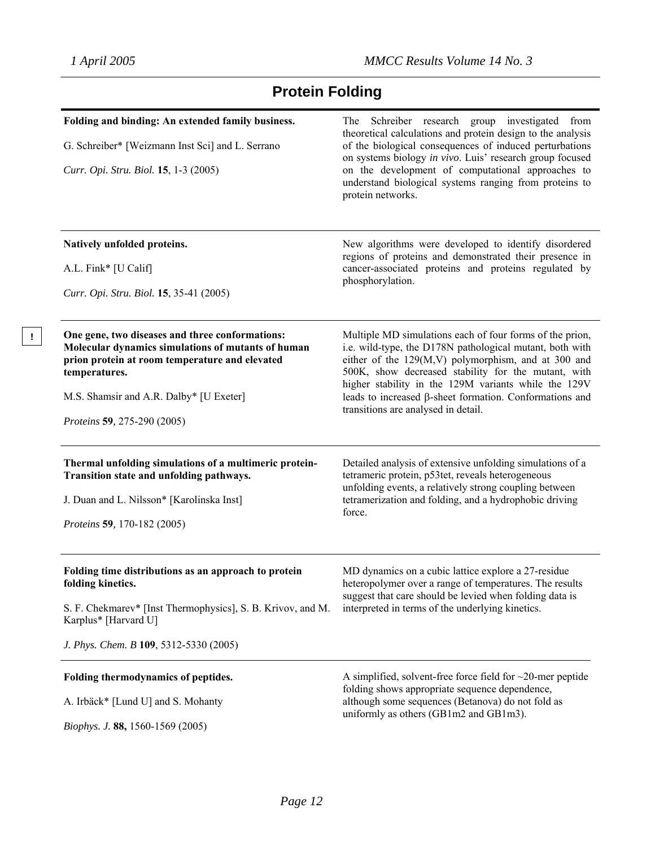# **Protein Folding**

| Folding and binding: An extended family business.<br>G. Schreiber* [Weizmann Inst Sci] and L. Serrano<br>Curr. Opi. Stru. Biol. 15, 1-3 (2005)                                                                                                     | The Schreiber research group investigated from<br>theoretical calculations and protein design to the analysis<br>of the biological consequences of induced perturbations<br>on systems biology in vivo. Luis' research group focused<br>on the development of computational approaches to<br>understand biological systems ranging from proteins to<br>protein networks.                            |
|----------------------------------------------------------------------------------------------------------------------------------------------------------------------------------------------------------------------------------------------------|-----------------------------------------------------------------------------------------------------------------------------------------------------------------------------------------------------------------------------------------------------------------------------------------------------------------------------------------------------------------------------------------------------|
| Natively unfolded proteins.<br>A.L. Fink* [U Calif]<br>Curr. Opi. Stru. Biol. 15, 35-41 (2005)                                                                                                                                                     | New algorithms were developed to identify disordered<br>regions of proteins and demonstrated their presence in<br>cancer-associated proteins and proteins regulated by<br>phosphorylation.                                                                                                                                                                                                          |
| One gene, two diseases and three conformations:<br>Molecular dynamics simulations of mutants of human<br>prion protein at room temperature and elevated<br>temperatures.<br>M.S. Shamsir and A.R. Dalby* [U Exeter]<br>Proteins 59, 275-290 (2005) | Multiple MD simulations each of four forms of the prion,<br>i.e. wild-type, the D178N pathological mutant, both with<br>either of the 129(M,V) polymorphism, and at 300 and<br>500K, show decreased stability for the mutant, with<br>higher stability in the 129M variants while the 129V<br>leads to increased $\beta$ -sheet formation. Conformations and<br>transitions are analysed in detail. |
| Thermal unfolding simulations of a multimeric protein-<br>Transition state and unfolding pathways.<br>J. Duan and L. Nilsson* [Karolinska Inst]<br>Proteins 59, 170-182 (2005)                                                                     | Detailed analysis of extensive unfolding simulations of a<br>tetrameric protein, p53tet, reveals heterogeneous<br>unfolding events, a relatively strong coupling between<br>tetramerization and folding, and a hydrophobic driving<br>force.                                                                                                                                                        |
| Folding time distributions as an approach to protein<br>folding kinetics.<br>S. F. Chekmarev* [Inst Thermophysics], S. B. Krivov, and M.<br>Karplus* [Harvard U]<br>J. Phys. Chem. B 109, 5312-5330 (2005)                                         | MD dynamics on a cubic lattice explore a 27-residue<br>heteropolymer over a range of temperatures. The results<br>suggest that care should be levied when folding data is<br>interpreted in terms of the underlying kinetics.                                                                                                                                                                       |
| Folding thermodynamics of peptides.<br>A. Irbäck* [Lund U] and S. Mohanty<br>Biophys. J. 88, 1560-1569 (2005)                                                                                                                                      | A simplified, solvent-free force field for $\sim$ 20-mer peptide<br>folding shows appropriate sequence dependence,<br>although some sequences (Betanova) do not fold as<br>uniformly as others (GB1m2 and GB1m3).                                                                                                                                                                                   |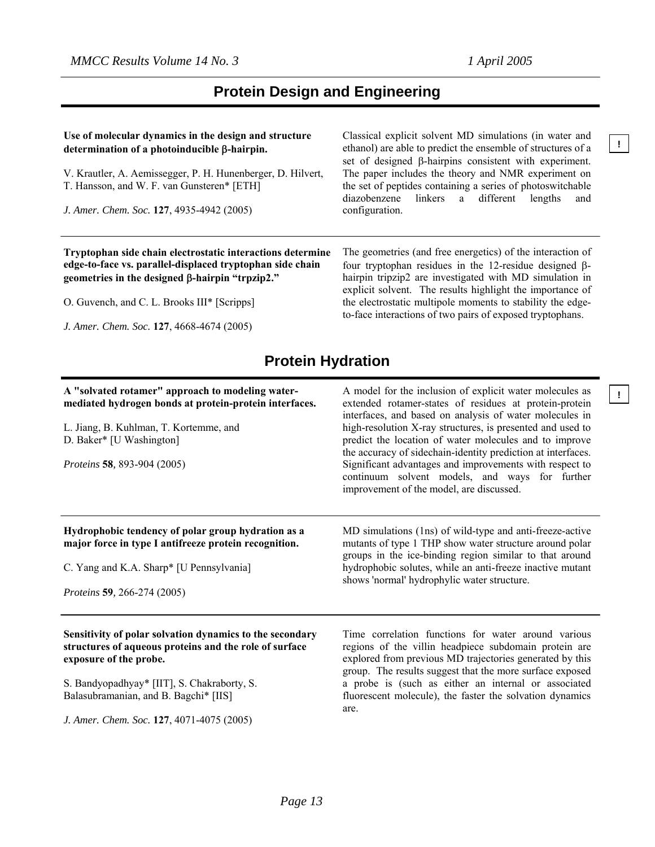**!**

**!**

# **Protein Design and Engineering**

### **Use of molecular dynamics in the design and structure determination of a photoinducible** β**-hairpin.**

V. Krautler, A. Aemissegger, P. H. Hunenberger, D. Hilvert, T. Hansson, and W. F. van Gunsteren\* [ETH]

*J. Amer. Chem. Soc.* **127**, 4935-4942 (2005)

Classical explicit solvent MD simulations (in water and ethanol) are able to predict the ensemble of structures of a set of designed β-hairpins consistent with experiment. The paper includes the theory and NMR experiment on the set of peptides containing a series of photoswitchable diazobenzene linkers a different lengths and configuration.

**Tryptophan side chain electrostatic interactions determine edge-to-face vs. parallel-displaced tryptophan side chain geometries in the designed** β**-hairpin "trpzip2."**

O. Guvench, and C. L. Brooks III\* [Scripps]

*J. Amer. Chem. Soc.* **127**, 4668-4674 (2005)

The geometries (and free energetics) of the interaction of four tryptophan residues in the 12-residue designed βhairpin tripzip2 are investigated with MD simulation in explicit solvent. The results highlight the importance of the electrostatic multipole moments to stability the edgeto-face interactions of two pairs of exposed tryptophans.

# **Protein Hydration**

### **A "solvated rotamer" approach to modeling watermediated hydrogen bonds at protein-protein interfaces.**

L. Jiang, B. Kuhlman, T. Kortemme, and D. Baker\* [U Washington]

*Proteins* **58***,* 893-904 (2005)

A model for the inclusion of explicit water molecules as extended rotamer-states of residues at protein-protein interfaces, and based on analysis of water molecules in high-resolution X-ray structures, is presented and used to predict the location of water molecules and to improve the accuracy of sidechain-identity prediction at interfaces. Significant advantages and improvements with respect to continuum solvent models, and ways for further improvement of the model, are discussed.

MD simulations (1ns) of wild-type and anti-freeze-active mutants of type 1 THP show water structure around polar groups in the ice-binding region similar to that around hydrophobic solutes, while an anti-freeze inactive mutant

shows 'normal' hydrophylic water structure.

### **Hydrophobic tendency of polar group hydration as a major force in type I antifreeze protein recognition.**

C. Yang and K.A. Sharp\* [U Pennsylvania]

*Proteins* **59***,* 266-274 (2005)

### **Sensitivity of polar solvation dynamics to the secondary structures of aqueous proteins and the role of surface exposure of the probe.**

S. Bandyopadhyay\* [IIT], S. Chakraborty, S. Balasubramanian, and B. Bagchi\* [IIS]

*J. Amer. Chem. Soc.* **127**, 4071-4075 (2005)

Time correlation functions for water around various regions of the villin headpiece subdomain protein are explored from previous MD trajectories generated by this group. The results suggest that the more surface exposed a probe is (such as either an internal or associated fluorescent molecule), the faster the solvation dynamics are.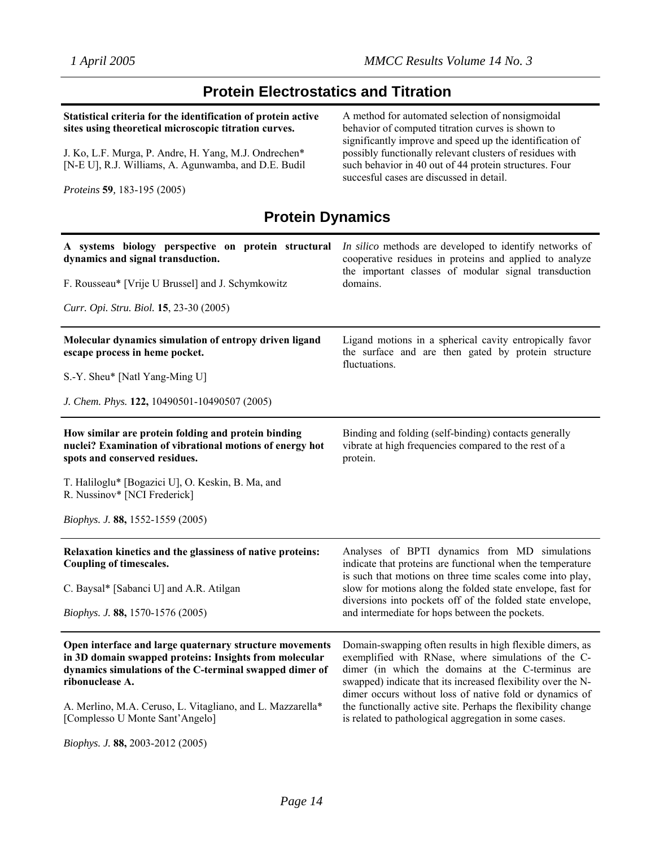# **Protein Electrostatics and Titration**

| Statistical criteria for the identification of protein active<br>sites using theoretical microscopic titration curves.                                                                          | A method for automated selection of nonsigmoidal<br>behavior of computed titration curves is shown to                                                                                                                                                                                            |
|-------------------------------------------------------------------------------------------------------------------------------------------------------------------------------------------------|--------------------------------------------------------------------------------------------------------------------------------------------------------------------------------------------------------------------------------------------------------------------------------------------------|
| J. Ko, L.F. Murga, P. Andre, H. Yang, M.J. Ondrechen*<br>[N-E U], R.J. Williams, A. Agunwamba, and D.E. Budil                                                                                   | significantly improve and speed up the identification of<br>possibly functionally relevant clusters of residues with<br>such behavior in 40 out of 44 protein structures. Four<br>succesful cases are discussed in detail.                                                                       |
| <i>Proteins</i> 59, 183-195 (2005)                                                                                                                                                              |                                                                                                                                                                                                                                                                                                  |
| <b>Protein Dynamics</b>                                                                                                                                                                         |                                                                                                                                                                                                                                                                                                  |
| A systems biology perspective on protein structural<br>dynamics and signal transduction.                                                                                                        | In silico methods are developed to identify networks of<br>cooperative residues in proteins and applied to analyze                                                                                                                                                                               |
| F. Rousseau* [Vrije U Brussel] and J. Schymkowitz                                                                                                                                               | the important classes of modular signal transduction<br>domains.                                                                                                                                                                                                                                 |
| Curr. Opi. Stru. Biol. 15, 23-30 (2005)                                                                                                                                                         |                                                                                                                                                                                                                                                                                                  |
| Molecular dynamics simulation of entropy driven ligand<br>escape process in heme pocket.                                                                                                        | Ligand motions in a spherical cavity entropically favor<br>the surface and are then gated by protein structure<br>fluctuations.                                                                                                                                                                  |
| S.-Y. Sheu* [Natl Yang-Ming U]                                                                                                                                                                  |                                                                                                                                                                                                                                                                                                  |
| J. Chem. Phys. 122, 10490501-10490507 (2005)                                                                                                                                                    |                                                                                                                                                                                                                                                                                                  |
| How similar are protein folding and protein binding<br>nuclei? Examination of vibrational motions of energy hot<br>spots and conserved residues.                                                | Binding and folding (self-binding) contacts generally<br>vibrate at high frequencies compared to the rest of a<br>protein.                                                                                                                                                                       |
| T. Haliloglu* [Bogazici U], O. Keskin, B. Ma, and<br>R. Nussinov* [NCI Frederick]                                                                                                               |                                                                                                                                                                                                                                                                                                  |
| <i>Biophys. J.</i> 88, 1552-1559 (2005)                                                                                                                                                         |                                                                                                                                                                                                                                                                                                  |
| Relaxation kinetics and the glassiness of native proteins:<br>Coupling of timescales.                                                                                                           | Analyses of BPTI dynamics from MD simulations<br>indicate that proteins are functional when the temperature<br>is such that motions on three time scales come into play,                                                                                                                         |
| C. Baysal* [Sabanci U] and A.R. Atilgan                                                                                                                                                         | slow for motions along the folded state envelope, fast for<br>diversions into pockets off of the folded state envelope,                                                                                                                                                                          |
| <i>Biophys. J.</i> 88, 1570-1576 (2005)                                                                                                                                                         | and intermediate for hops between the pockets.                                                                                                                                                                                                                                                   |
| Open interface and large quaternary structure movements<br>in 3D domain swapped proteins: Insights from molecular<br>dynamics simulations of the C-terminal swapped dimer of<br>ribonuclease A. | Domain-swapping often results in high flexible dimers, as<br>exemplified with RNase, where simulations of the C-<br>dimer (in which the domains at the C-terminus are<br>swapped) indicate that its increased flexibility over the N-<br>dimer occurs without loss of native fold or dynamics of |
| A. Merlino, M.A. Ceruso, L. Vitagliano, and L. Mazzarella*<br>[Complesso U Monte Sant'Angelo]                                                                                                   | the functionally active site. Perhaps the flexibility change<br>is related to pathological aggregation in some cases.                                                                                                                                                                            |
| Biophys. J. 88, 2003-2012 (2005)                                                                                                                                                                |                                                                                                                                                                                                                                                                                                  |

*Page 14*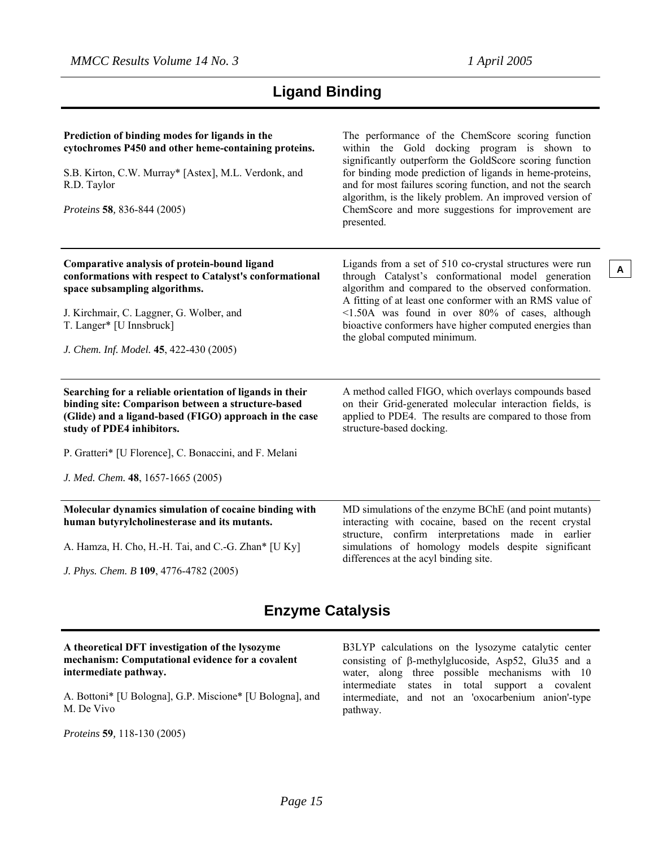# **Ligand Binding**

| Prediction of binding modes for ligands in the<br>cytochromes P450 and other heme-containing proteins.<br>S.B. Kirton, C.W. Murray* [Astex], M.L. Verdonk, and<br>R.D. Taylor<br>Proteins 58, 836-844 (2005)                                                                                          | The performance of the ChemScore scoring function<br>within the Gold docking program is shown to<br>significantly outperform the GoldScore scoring function<br>for binding mode prediction of ligands in heme-proteins,<br>and for most failures scoring function, and not the search<br>algorithm, is the likely problem. An improved version of<br>ChemScore and more suggestions for improvement are<br>presented. |
|-------------------------------------------------------------------------------------------------------------------------------------------------------------------------------------------------------------------------------------------------------------------------------------------------------|-----------------------------------------------------------------------------------------------------------------------------------------------------------------------------------------------------------------------------------------------------------------------------------------------------------------------------------------------------------------------------------------------------------------------|
| Comparative analysis of protein-bound ligand<br>conformations with respect to Catalyst's conformational<br>space subsampling algorithms.<br>J. Kirchmair, C. Laggner, G. Wolber, and<br>T. Langer* [U Innsbruck]<br>J. Chem. Inf. Model. 45, 422-430 (2005)                                           | Ligands from a set of 510 co-crystal structures were run<br>through Catalyst's conformational model generation<br>algorithm and compared to the observed conformation.<br>A fitting of at least one conformer with an RMS value of<br><1.50A was found in over 80% of cases, although<br>bioactive conformers have higher computed energies than<br>the global computed minimum.                                      |
| Searching for a reliable orientation of ligands in their<br>binding site: Comparison between a structure-based<br>(Glide) and a ligand-based (FIGO) approach in the case<br>study of PDE4 inhibitors.<br>P. Gratteri* [U Florence], C. Bonaccini, and F. Melani<br>J. Med. Chem. 48, 1657-1665 (2005) | A method called FIGO, which overlays compounds based<br>on their Grid-generated molecular interaction fields, is<br>applied to PDE4. The results are compared to those from<br>structure-based docking.                                                                                                                                                                                                               |
| Molecular dynamics simulation of cocaine binding with<br>human butyrylcholinesterase and its mutants.<br>A. Hamza, H. Cho, H.-H. Tai, and C.-G. Zhan* [U Ky]                                                                                                                                          | MD simulations of the enzyme BChE (and point mutants)<br>interacting with cocaine, based on the recent crystal<br>structure, confirm interpretations made in earlier<br>simulations of homology models despite significant                                                                                                                                                                                            |

*J. Phys. Chem. B* **109**, 4776-4782 (2005)

differences at the acyl binding site.

# **Enzyme Catalysis**

### **A theoretical DFT investigation of the lysozyme mechanism: Computational evidence for a covalent intermediate pathway.**

A. Bottoni\* [U Bologna], G.P. Miscione\* [U Bologna], and M. De Vivo

*Proteins* **59***,* 118-130 (2005)

B3LYP calculations on the lysozyme catalytic center consisting of β-methylglucoside, Asp52, Glu35 and a water, along three possible mechanisms with 10 intermediate states in total support a covalent intermediate, and not an 'oxocarbenium anion'-type pathway.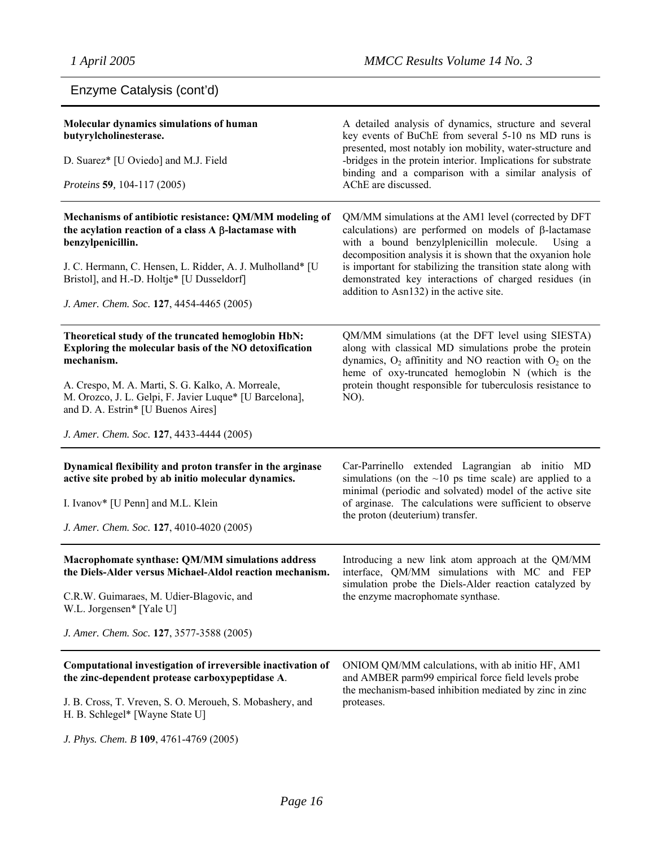# Enzyme Catalysis (cont'd)

| Molecular dynamics simulations of human<br>butyrylcholinesterase.<br>D. Suarez* [U Oviedo] and M.J. Field<br>Proteins 59, 104-117 (2005)                                                                                                                                                                                      | A detailed analysis of dynamics, structure and several<br>key events of BuChE from several 5-10 ns MD runs is<br>presented, most notably ion mobility, water-structure and<br>-bridges in the protein interior. Implications for substrate<br>binding and a comparison with a similar analysis of<br>AChE are discussed.                                                                                    |
|-------------------------------------------------------------------------------------------------------------------------------------------------------------------------------------------------------------------------------------------------------------------------------------------------------------------------------|-------------------------------------------------------------------------------------------------------------------------------------------------------------------------------------------------------------------------------------------------------------------------------------------------------------------------------------------------------------------------------------------------------------|
| Mechanisms of antibiotic resistance: QM/MM modeling of<br>the acylation reaction of a class $A \beta$ -lactamase with<br>benzylpenicillin.<br>J. C. Hermann, C. Hensen, L. Ridder, A. J. Mulholland* [U<br>Bristol], and H.-D. Holtje* [U Dusseldorf]<br>J. Amer. Chem. Soc. 127, 4454-4465 (2005)                            | QM/MM simulations at the AM1 level (corrected by DFT<br>calculations) are performed on models of $\beta$ -lactamase<br>with a bound benzylplenicillin molecule.<br>Using a<br>decomposition analysis it is shown that the oxyanion hole<br>is important for stabilizing the transition state along with<br>demonstrated key interactions of charged residues (in<br>addition to Asn132) in the active site. |
| Theoretical study of the truncated hemoglobin HbN:<br>Exploring the molecular basis of the NO detoxification<br>mechanism.<br>A. Crespo, M. A. Marti, S. G. Kalko, A. Morreale,<br>M. Orozco, J. L. Gelpi, F. Javier Luque* [U Barcelona],<br>and D. A. Estrin* [U Buenos Aires]<br>J. Amer. Chem. Soc. 127, 4433-4444 (2005) | QM/MM simulations (at the DFT level using SIESTA)<br>along with classical MD simulations probe the protein<br>dynamics, $O_2$ affinitity and NO reaction with $O_2$ on the<br>heme of oxy-truncated hemoglobin N (which is the<br>protein thought responsible for tuberculosis resistance to<br>NO).                                                                                                        |
| Dynamical flexibility and proton transfer in the arginase<br>active site probed by ab initio molecular dynamics.<br>I. Ivanov* [U Penn] and M.L. Klein<br>J. Amer. Chem. Soc. 127, 4010-4020 (2005)                                                                                                                           | Car-Parrinello extended Lagrangian ab initio MD<br>simulations (on the $\sim$ 10 ps time scale) are applied to a<br>minimal (periodic and solvated) model of the active site<br>of arginase. The calculations were sufficient to observe<br>the proton (deuterium) transfer.                                                                                                                                |
| Macrophomate synthase: QM/MM simulations address<br>the Diels-Alder versus Michael-Aldol reaction mechanism.<br>C.R.W. Guimaraes, M. Udier-Blagovic, and<br>W.L. Jorgensen* [Yale U]<br>J. Amer. Chem. Soc. 127, 3577-3588 (2005)                                                                                             | Introducing a new link atom approach at the QM/MM<br>interface, QM/MM simulations with MC and FEP<br>simulation probe the Diels-Alder reaction catalyzed by<br>the enzyme macrophomate synthase.                                                                                                                                                                                                            |
| Computational investigation of irreversible inactivation of<br>the zinc-dependent protease carboxypeptidase A.<br>J. B. Cross, T. Vreven, S. O. Meroueh, S. Mobashery, and<br>H. B. Schlegel* [Wayne State U]<br>J. Phys. Chem. B 109, 4761-4769 (2005)                                                                       | ONIOM QM/MM calculations, with ab initio HF, AM1<br>and AMBER parm99 empirical force field levels probe<br>the mechanism-based inhibition mediated by zinc in zinc<br>proteases.                                                                                                                                                                                                                            |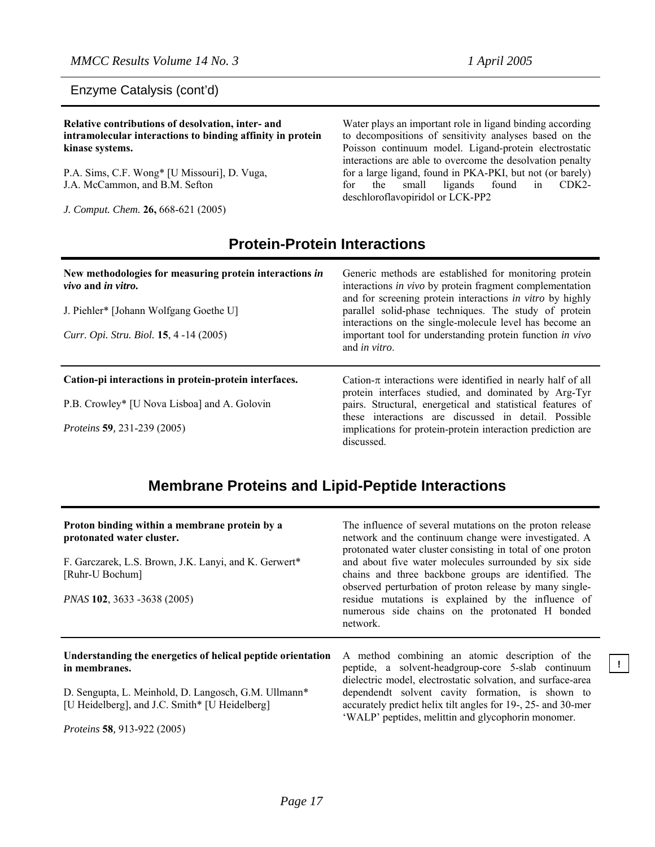### Enzyme Catalysis (cont'd)

**Relative contributions of desolvation, inter- and intramolecular interactions to binding affinity in protein kinase systems.**

P.A. Sims, C.F. Wong\* [U Missouri], D. Vuga, J.A. McCammon, and B.M. Sefton

*J. Comput. Chem.* **26,** 668-621 (2005)

Water plays an important role in ligand binding according to decompositions of sensitivity analyses based on the Poisson continuum model. Ligand-protein electrostatic interactions are able to overcome the desolvation penalty for a large ligand, found in PKA-PKI, but not (or barely) for the small ligands found in CDK2 deschloroflavopiridol or LCK-PP2

## **Protein-Protein Interactions**

| New methodologies for measuring protein interactions in<br>vivo and in vitro.<br>J. Piehler* [Johann Wolfgang Goethe U]<br>Curr. Opi. Stru. Biol. 15, 4 -14 (2005) | Generic methods are established for monitoring protein<br>interactions in vivo by protein fragment complementation<br>and for screening protein interactions in vitro by highly<br>parallel solid-phase techniques. The study of protein<br>interactions on the single-molecule level has become an<br>important tool for understanding protein function in vivo<br>and <i>in vitro</i> . |
|--------------------------------------------------------------------------------------------------------------------------------------------------------------------|-------------------------------------------------------------------------------------------------------------------------------------------------------------------------------------------------------------------------------------------------------------------------------------------------------------------------------------------------------------------------------------------|
| Cation-pi interactions in protein-protein interfaces.                                                                                                              | Cation- $\pi$ interactions were identified in nearly half of all<br>protein interfaces studied, and dominated by Arg-Tyr                                                                                                                                                                                                                                                                  |
| P.B. Crowley* [U Nova Lisboa] and A. Golovin                                                                                                                       | pairs. Structural, energetical and statistical features of<br>these interactions are discussed in detail. Possible                                                                                                                                                                                                                                                                        |
| <i>Proteins</i> 59, 231-239 (2005)                                                                                                                                 | implications for protein-protein interaction prediction are<br>discussed.                                                                                                                                                                                                                                                                                                                 |

# **Membrane Proteins and Lipid-Peptide Interactions**

| Proton binding within a membrane protein by a<br>protonated water cluster.<br>F. Garczarek, L.S. Brown, J.K. Lanyi, and K. Gerwert*<br>[Ruhr-U Bochum]<br>PNAS 102, 3633 -3638 (2005) | The influence of several mutations on the proton release<br>network and the continuum change were investigated. A<br>protonated water cluster consisting in total of one proton<br>and about five water molecules surrounded by six side<br>chains and three backbone groups are identified. The<br>observed perturbation of proton release by many single-<br>residue mutations is explained by the influence of<br>numerous side chains on the protonated H bonded<br>network. |
|---------------------------------------------------------------------------------------------------------------------------------------------------------------------------------------|----------------------------------------------------------------------------------------------------------------------------------------------------------------------------------------------------------------------------------------------------------------------------------------------------------------------------------------------------------------------------------------------------------------------------------------------------------------------------------|
| Understanding the energetics of helical peptide orientation<br>in membranes.<br>D. Sengupta, L. Meinhold, D. Langosch, G.M. Ullmann*                                                  | A method combining an atomic description of the<br>peptide, a solvent-headgroup-core 5-slab continuum<br>dielectric model, electrostatic solvation, and surface-area<br>dependendt solvent cavity formation, is shown to                                                                                                                                                                                                                                                         |

[U Heidelberg], and J.C. Smith\* [U Heidelberg]

*Proteins* **58***,* 913-922 (2005)

accurately predict helix tilt angles for 19-, 25- and 30-mer 'WALP' peptides, melittin and glycophorin monomer.

**!**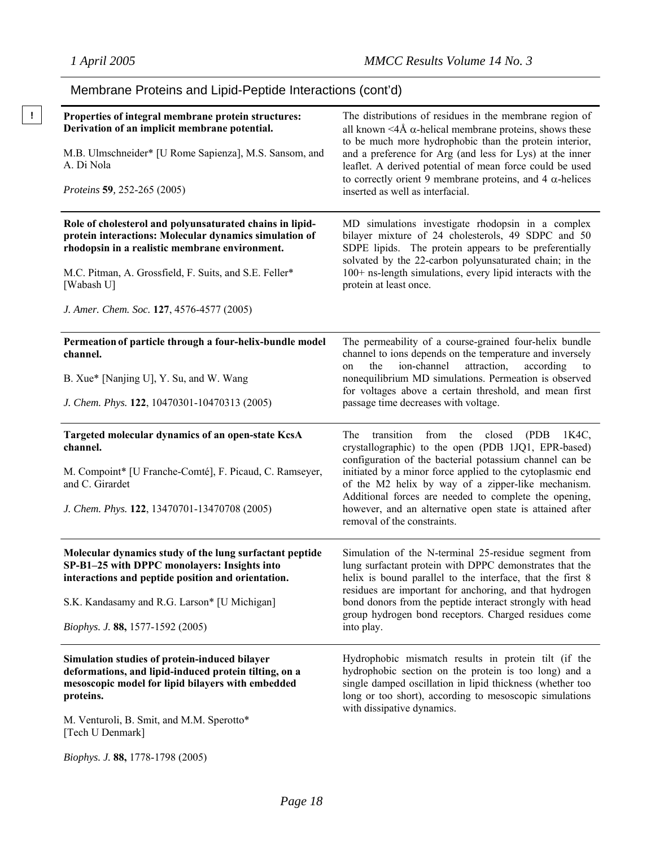Membrane Proteins and Lipid-Peptide Interactions (cont'd)

#### **! Properties of integral membrane protein structures: Derivation of an implicit membrane potential.** M.B. Ulmschneider\* [U Rome Sapienza], M.S. Sansom, and A. Di Nola *Proteins* **59***,* 252-265 (2005) The distributions of residues in the membrane region of all known  $\leq 4$ Å  $\alpha$ -helical membrane proteins, shows these to be much more hydrophobic than the protein interior, and a preference for Arg (and less for Lys) at the inner leaflet. A derived potential of mean force could be used to correctly orient 9 membrane proteins, and 4 α-helices inserted as well as interfacial. **Role of cholesterol and polyunsaturated chains in lipidprotein interactions: Molecular dynamics simulation of rhodopsin in a realistic membrane environment.** M.C. Pitman, A. Grossfield, F. Suits, and S.E. Feller\* [Wabash U] *J. Amer. Chem. Soc.* **127**, 4576-4577 (2005) MD simulations investigate rhodopsin in a complex bilayer mixture of 24 cholesterols, 49 SDPC and 50 SDPE lipids. The protein appears to be preferentially solvated by the 22-carbon polyunsaturated chain; in the 100+ ns-length simulations, every lipid interacts with the protein at least once. **Permeation of particle through a four-helix-bundle model channel.**  B. Xue\* [Nanjing U], Y. Su, and W. Wang *J. Chem. Phys.* **122**, 10470301-10470313 (2005) The permeability of a course-grained four-helix bundle channel to ions depends on the temperature and inversely on the ion-channel attraction, according to nonequilibrium MD simulations. Permeation is observed for voltages above a certain threshold, and mean first passage time decreases with voltage. **Targeted molecular dynamics of an open-state KcsA channel.**  M. Compoint\* [U Franche-Comté], F. Picaud, C. Ramseyer, and C. Girardet *J. Chem. Phys.* **122**, 13470701-13470708 (2005) The transition from the closed (PDB 1K4C, crystallographic) to the open (PDB 1JQ1, EPR-based) configuration of the bacterial potassium channel can be initiated by a minor force applied to the cytoplasmic end of the M2 helix by way of a zipper-like mechanism. Additional forces are needed to complete the opening, however, and an alternative open state is attained after removal of the constraints. **Molecular dynamics study of the lung surfactant peptide SP-B1–25 with DPPC monolayers: Insights into interactions and peptide position and orientation.**  S.K. Kandasamy and R.G. Larson\* [U Michigan] *Biophys. J.* **88,** 1577-1592 (2005) Simulation of the N-terminal 25-residue segment from lung surfactant protein with DPPC demonstrates that the helix is bound parallel to the interface, that the first 8 residues are important for anchoring, and that hydrogen bond donors from the peptide interact strongly with head group hydrogen bond receptors. Charged residues come into play. **Simulation studies of protein-induced bilayer deformations, and lipid-induced protein tilting, on a mesoscopic model for lipid bilayers with embedded proteins.**  M. Venturoli, B. Smit, and M.M. Sperotto\* [Tech U Denmark] Hydrophobic mismatch results in protein tilt (if the hydrophobic section on the protein is too long) and a single damped oscillation in lipid thickness (whether too long or too short), according to mesoscopic simulations with dissipative dynamics.

*Biophys. J.* **88,** 1778-1798 (2005)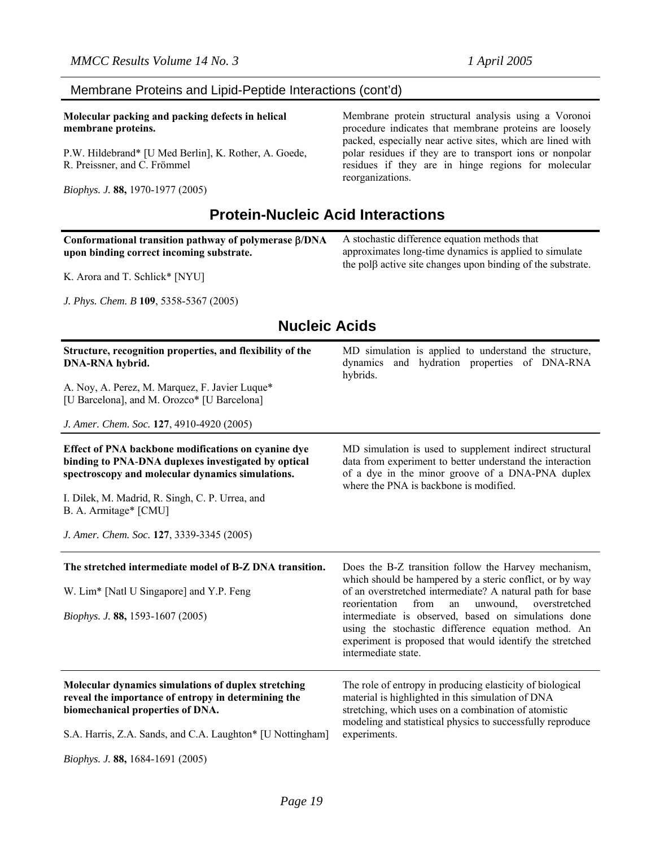### Membrane Proteins and Lipid-Peptide Interactions (cont'd)

**Molecular packing and packing defects in helical membrane proteins.** 

P.W. Hildebrand\* [U Med Berlin], K. Rother, A. Goede, R. Preissner, and C. Frömmel

*Biophys. J.* **88,** 1970-1977 (2005)

Membrane protein structural analysis using a Voronoi procedure indicates that membrane proteins are loosely packed, especially near active sites, which are lined with polar residues if they are to transport ions or nonpolar residues if they are in hinge regions for molecular reorganizations.

# **Protein-Nucleic Acid Interactions**

| Conformational transition pathway of polymerase β/DNA                                                                                        | A stochastic difference equation methods that                      |
|----------------------------------------------------------------------------------------------------------------------------------------------|--------------------------------------------------------------------|
| upon binding correct incoming substrate.                                                                                                     | approximates long-time dynamics is applied to simulate             |
|                                                                                                                                              | the pol $\beta$ active site changes upon binding of the substrate. |
| $\mathbf{1}$ and $\mathbf{2}$ and $\mathbf{3}$ and $\mathbf{4}$ and $\mathbf{5}$ are $\mathbf{5}$ and $\mathbf{6}$ and $\mathbf{7}$<br>$  -$ |                                                                    |

K. Arora and T. Schlick\* [NYU]

*J. Phys. Chem. B* **109**, 5358-5367 (2005)

# **Nucleic Acids**

| Structure, recognition properties, and flexibility of the<br>DNA-RNA hybrid.<br>A. Noy, A. Perez, M. Marquez, F. Javier Luque*<br>[U Barcelona], and M. Orozco* [U Barcelona]                                | MD simulation is applied to understand the structure,<br>and hydration properties of DNA-RNA<br>dynamics<br>hybrids.                                                                                                                                 |
|--------------------------------------------------------------------------------------------------------------------------------------------------------------------------------------------------------------|------------------------------------------------------------------------------------------------------------------------------------------------------------------------------------------------------------------------------------------------------|
| J. Amer. Chem. Soc. 127, 4910-4920 (2005)                                                                                                                                                                    |                                                                                                                                                                                                                                                      |
| Effect of PNA backbone modifications on cyanine dye<br>binding to PNA-DNA duplexes investigated by optical<br>spectroscopy and molecular dynamics simulations.                                               | MD simulation is used to supplement indirect structural<br>data from experiment to better understand the interaction<br>of a dye in the minor groove of a DNA-PNA duplex<br>where the PNA is backbone is modified.                                   |
| I. Dilek, M. Madrid, R. Singh, C. P. Urrea, and<br>B. A. Armitage* [CMU]                                                                                                                                     |                                                                                                                                                                                                                                                      |
| J. Amer. Chem. Soc. 127, 3339-3345 (2005)                                                                                                                                                                    |                                                                                                                                                                                                                                                      |
| The stretched intermediate model of B-Z DNA transition.                                                                                                                                                      | Does the B-Z transition follow the Harvey mechanism,<br>which should be hampered by a steric conflict, or by way                                                                                                                                     |
| W. Lim* [Natl U Singapore] and Y.P. Feng                                                                                                                                                                     | of an overstretched intermediate? A natural path for base<br>from<br>reorientation<br>unwound,<br>overstretched<br>an                                                                                                                                |
| Biophys. J. 88, 1593-1607 (2005)                                                                                                                                                                             | intermediate is observed, based on simulations done<br>using the stochastic difference equation method. An<br>experiment is proposed that would identify the stretched<br>intermediate state.                                                        |
| Molecular dynamics simulations of duplex stretching<br>reveal the importance of entropy in determining the<br>biomechanical properties of DNA.<br>S.A. Harris, Z.A. Sands, and C.A. Laughton* [U Nottingham] | The role of entropy in producing elasticity of biological<br>material is highlighted in this simulation of DNA<br>stretching, which uses on a combination of atomistic<br>modeling and statistical physics to successfully reproduce<br>experiments. |

*Biophys. J.* **88,** 1684-1691 (2005)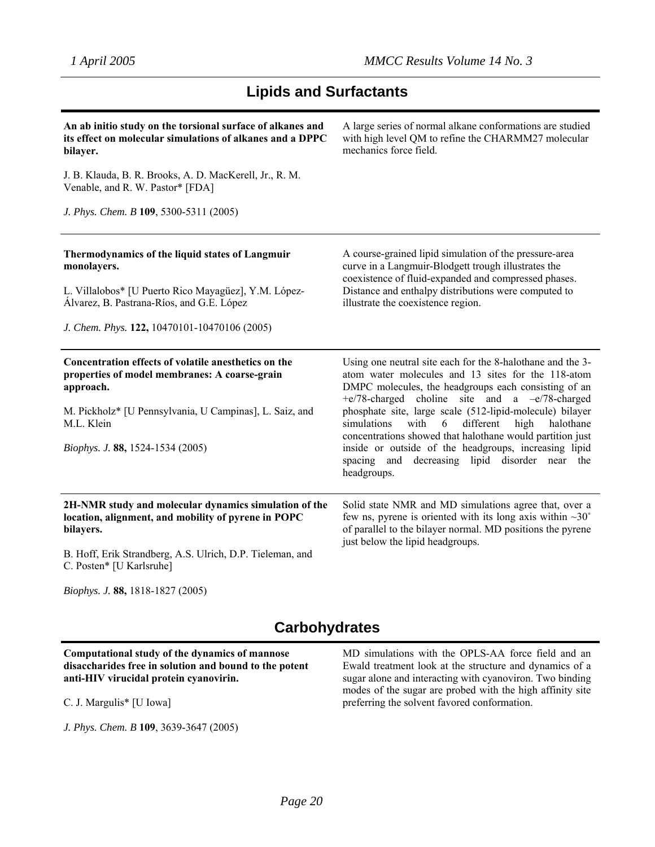# **Lipids and Surfactants**

| An ab initio study on the torsional surface of alkanes and<br>its effect on molecular simulations of alkanes and a DPPC<br>bilayer.                                                                                             | A large series of normal alkane conformations are studied<br>with high level QM to refine the CHARMM27 molecular<br>mechanics force field.                                                                                                                                                                                                                                                                                                                                                                                                        |
|---------------------------------------------------------------------------------------------------------------------------------------------------------------------------------------------------------------------------------|---------------------------------------------------------------------------------------------------------------------------------------------------------------------------------------------------------------------------------------------------------------------------------------------------------------------------------------------------------------------------------------------------------------------------------------------------------------------------------------------------------------------------------------------------|
| J. B. Klauda, B. R. Brooks, A. D. MacKerell, Jr., R. M.<br>Venable, and R. W. Pastor* [FDA]                                                                                                                                     |                                                                                                                                                                                                                                                                                                                                                                                                                                                                                                                                                   |
| J. Phys. Chem. B 109, 5300-5311 (2005)                                                                                                                                                                                          |                                                                                                                                                                                                                                                                                                                                                                                                                                                                                                                                                   |
| Thermodynamics of the liquid states of Langmuir<br>monolayers.<br>L. Villalobos* [U Puerto Rico Mayagüez], Y.M. López-<br>Álvarez, B. Pastrana-Ríos, and G.E. López<br>J. Chem. Phys. 122, 10470101-10470106 (2005)             | A course-grained lipid simulation of the pressure-area<br>curve in a Langmuir-Blodgett trough illustrates the<br>coexistence of fluid-expanded and compressed phases.<br>Distance and enthalpy distributions were computed to<br>illustrate the coexistence region.                                                                                                                                                                                                                                                                               |
| Concentration effects of volatile anesthetics on the<br>properties of model membranes: A coarse-grain<br>approach.<br>M. Pickholz* [U Pennsylvania, U Campinas], L. Saiz, and<br>M.L. Klein<br>Biophys. J. 88, 1524-1534 (2005) | Using one neutral site each for the 8-halothane and the 3-<br>atom water molecules and 13 sites for the 118-atom<br>DMPC molecules, the headgroups each consisting of an<br>$+e/78$ -charged choline site and a $-e/78$ -charged<br>phosphate site, large scale (512-lipid-molecule) bilayer<br>simulations<br>with<br>different<br>halothane<br>6<br>high<br>concentrations showed that halothane would partition just<br>inside or outside of the headgroups, increasing lipid<br>spacing and decreasing lipid disorder near the<br>headgroups. |
| 2H-NMR study and molecular dynamics simulation of the<br>location, alignment, and mobility of pyrene in POPC<br>bilayers.<br>B. Hoff, Erik Strandberg, A.S. Ulrich, D.P. Tieleman, and<br>C. Posten* [U Karlsruhe]              | Solid state NMR and MD simulations agree that, over a<br>few ns, pyrene is oriented with its long axis within $\sim 30^{\circ}$<br>of parallel to the bilayer normal. MD positions the pyrene<br>just below the lipid headgroups.                                                                                                                                                                                                                                                                                                                 |

*Biophys. J.* **88,** 1818-1827 (2005)

# **Carbohydrates**

### **Computational study of the dynamics of mannose disaccharides free in solution and bound to the potent anti-HIV virucidal protein cyanovirin.**

C. J. Margulis\* [U Iowa]

*J. Phys. Chem. B* **109**, 3639-3647 (2005)

MD simulations with the OPLS-AA force field and an Ewald treatment look at the structure and dynamics of a sugar alone and interacting with cyanoviron. Two binding modes of the sugar are probed with the high affinity site preferring the solvent favored conformation.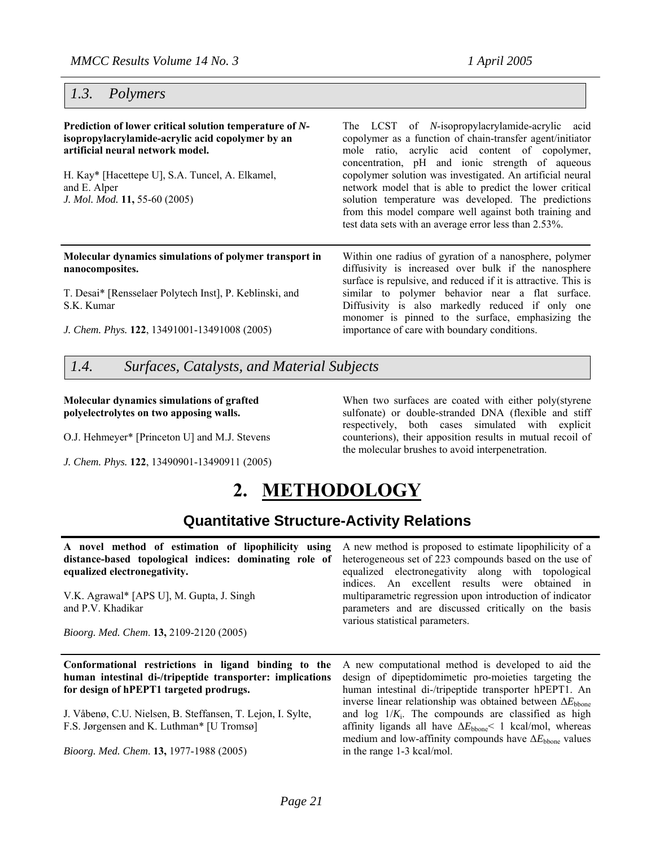### *1.3. Polymers*

**Prediction of lower critical solution temperature of** *N***isopropylacrylamide-acrylic acid copolymer by an artificial neural network model.** H. Kay\* [Hacettepe U], S.A. Tuncel, A. Elkamel, and E. Alper *J. Mol. Mod.* **11,** 55-60 (2005) The LCST of *N*-isopropylacrylamide-acrylic acid copolymer as a function of chain-transfer agent/initiator mole ratio, acrylic acid content of copolymer, concentration, pH and ionic strength of aqueous copolymer solution was investigated. An artificial neural network model that is able to predict the lower critical solution temperature was developed. The predictions from this model compare well against both training and test data sets with an average error less than 2.53%. **Molecular dynamics simulations of polymer transport in nanocomposites.**  T. Desai\* [Rensselaer Polytech Inst], P. Keblinski, and S.K. Kumar *J. Chem. Phys.* **122**, 13491001-13491008 (2005) Within one radius of gyration of a nanosphere, polymer diffusivity is increased over bulk if the nanosphere surface is repulsive, and reduced if it is attractive. This is similar to polymer behavior near a flat surface. Diffusivity is also markedly reduced if only one monomer is pinned to the surface, emphasizing the importance of care with boundary conditions.

*1.4. Surfaces, Catalysts, and Material Subjects*

### **Molecular dynamics simulations of grafted polyelectrolytes on two apposing walls.**

O.J. Hehmeyer\* [Princeton U] and M.J. Stevens

*J. Chem. Phys.* **122**, 13490901-13490911 (2005)

### When two surfaces are coated with either poly(styrene sulfonate) or double-stranded DNA (flexible and stiff respectively, both cases simulated with explicit counterions), their apposition results in mutual recoil of the molecular brushes to avoid interpenetration.

# **2. METHODOLOGY**

# **Quantitative Structure-Activity Relations**

| A novel method of estimation of lipophilicity using A new method is proposed to estimate lipophilicity of a   |                                                                                                                                                      |
|---------------------------------------------------------------------------------------------------------------|------------------------------------------------------------------------------------------------------------------------------------------------------|
| distance-based topological indices: dominating role of heterogeneous set of 223 compounds based on the use of |                                                                                                                                                      |
| equalized electronegativity.                                                                                  | equalized electronegativity along with topological                                                                                                   |
|                                                                                                               | indices. An excellent results were obtained in                                                                                                       |
| V.K. Agrawal* [APS U], M. Gupta, J. Singh<br>and P.V. Khadikar                                                | multiparametric regression upon introduction of indicator<br>parameters and are discussed critically on the basis<br>various statistical parameters. |
| Bioorg. Med. Chem. 13, 2109-2120 (2005)                                                                       |                                                                                                                                                      |
|                                                                                                               |                                                                                                                                                      |

**Conformational restrictions in ligand binding to the human intestinal di-/tripeptide transporter: implications for design of hPEPT1 targeted prodrugs.** 

J. Våbenø, C.U. Nielsen, B. Steffansen, T. Lejon, I. Sylte, F.S. Jørgensen and K. Luthman\* [U Tromsø]

*Bioorg. Med. Chem*. **13,** 1977-1988 (2005)

A new computational method is developed to aid the design of dipeptidomimetic pro-moieties targeting the human intestinal di-/tripeptide transporter hPEPT1. An inverse linear relationship was obtained between ∆*E*<sub>bbone</sub> and  $log\ 1/K_i$ . The compounds are classified as high affinity ligands all have  $\Delta E_{\rm bone}$ < 1 kcal/mol, whereas medium and low-affinity compounds have ∆*E*<sub>bbone</sub> values in the range 1-3 kcal/mol.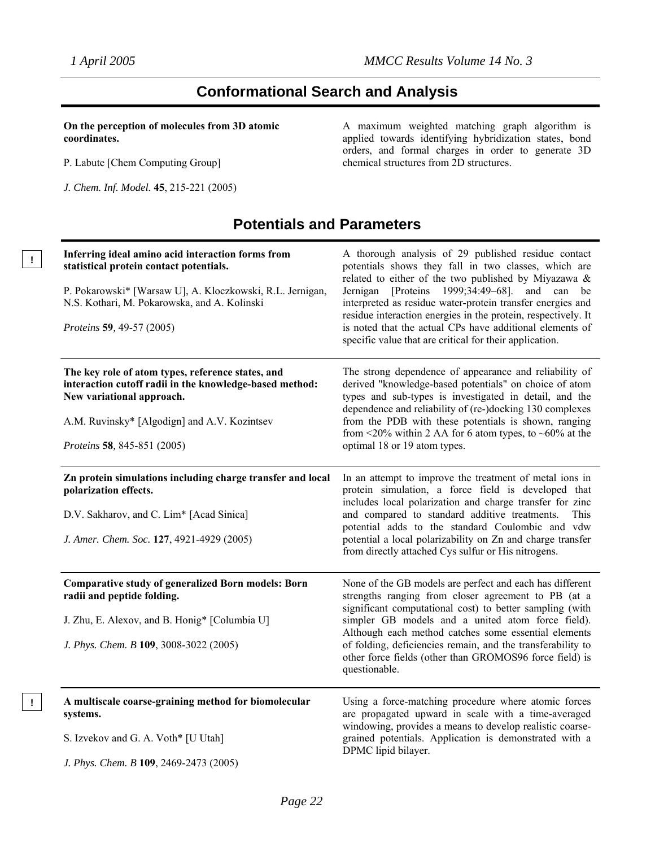**!** 

# **Conformational Search and Analysis**

**On the perception of molecules from 3D atomic coordinates.** 

P. Labute [Chem Computing Group]

*J. Chem. Inf. Model.* **45**, 215-221 (2005)

A maximum weighted matching graph algorithm is applied towards identifying hybridization states, bond orders, and formal charges in order to generate 3D chemical structures from 2D structures.

# **Potentials and Parameters**

| Inferring ideal amino acid interaction forms from<br>statistical protein contact potentials.<br>P. Pokarowski* [Warsaw U], A. Kloczkowski, R.L. Jernigan,<br>N.S. Kothari, M. Pokarowska, and A. Kolinski<br>Proteins 59, 49-57 (2005) | A thorough analysis of 29 published residue contact<br>potentials shows they fall in two classes, which are<br>related to either of the two published by Miyazawa &<br>Jernigan [Proteins 1999;34:49-68]. and can be<br>interpreted as residue water-protein transfer energies and<br>residue interaction energies in the protein, respectively. It<br>is noted that the actual CPs have additional elements of<br>specific value that are critical for their application. |
|----------------------------------------------------------------------------------------------------------------------------------------------------------------------------------------------------------------------------------------|----------------------------------------------------------------------------------------------------------------------------------------------------------------------------------------------------------------------------------------------------------------------------------------------------------------------------------------------------------------------------------------------------------------------------------------------------------------------------|
| The key role of atom types, reference states, and<br>interaction cutoff radii in the knowledge-based method:<br>New variational approach.<br>A.M. Ruvinsky* [Algodign] and A.V. Kozintsev<br>Proteins 58, 845-851 (2005)               | The strong dependence of appearance and reliability of<br>derived "knowledge-based potentials" on choice of atom<br>types and sub-types is investigated in detail, and the<br>dependence and reliability of (re-)docking 130 complexes<br>from the PDB with these potentials is shown, ranging<br>from <20% within 2 AA for 6 atom types, to ~60% at the<br>optimal 18 or 19 atom types.                                                                                   |
| Zn protein simulations including charge transfer and local<br>polarization effects.<br>D.V. Sakharov, and C. Lim* [Acad Sinica]<br>J. Amer. Chem. Soc. 127, 4921-4929 (2005)                                                           | In an attempt to improve the treatment of metal ions in<br>protein simulation, a force field is developed that<br>includes local polarization and charge transfer for zinc<br>and compared to standard additive treatments.<br>This<br>potential adds to the standard Coulombic and vdw<br>potential a local polarizability on Zn and charge transfer<br>from directly attached Cys sulfur or His nitrogens.                                                               |
| Comparative study of generalized Born models: Born<br>radii and peptide folding.<br>J. Zhu, E. Alexov, and B. Honig* [Columbia U]<br>J. Phys. Chem. B 109, 3008-3022 (2005)                                                            | None of the GB models are perfect and each has different<br>strengths ranging from closer agreement to PB (at a<br>significant computational cost) to better sampling (with<br>simpler GB models and a united atom force field).<br>Although each method catches some essential elements<br>of folding, deficiencies remain, and the transferability to<br>other force fields (other than GROMOS96 force field) is<br>questionable.                                        |
| A multiscale coarse-graining method for biomolecular<br>systems.<br>S. Izvekov and G. A. Voth* [U Utah]<br>J. Phys. Chem. B 109, 2469-2473 (2005)                                                                                      | Using a force-matching procedure where atomic forces<br>are propagated upward in scale with a time-averaged<br>windowing, provides a means to develop realistic coarse-<br>grained potentials. Application is demonstrated with a<br>DPMC lipid bilayer.                                                                                                                                                                                                                   |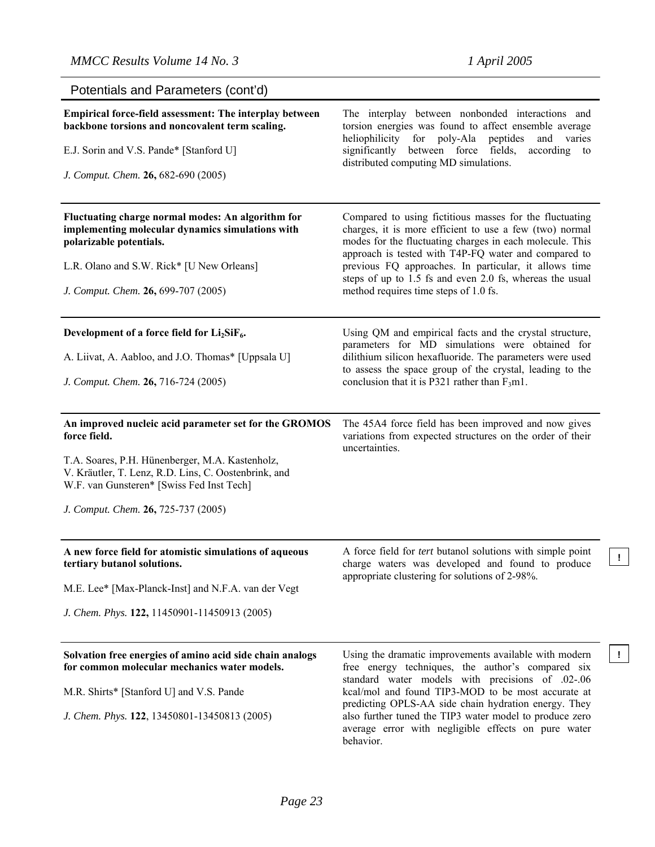**!**

| Potentials and Parameters (cont'd)                                                                                                                   |                                                                                                                                                                                                                                        |
|------------------------------------------------------------------------------------------------------------------------------------------------------|----------------------------------------------------------------------------------------------------------------------------------------------------------------------------------------------------------------------------------------|
| Empirical force-field assessment: The interplay between<br>backbone torsions and noncovalent term scaling.                                           | The interplay between nonbonded interactions and<br>torsion energies was found to affect ensemble average<br>heliophilicity for poly-Ala<br>peptides<br>and varies                                                                     |
| E.J. Sorin and V.S. Pande* [Stanford U]                                                                                                              | significantly<br>between force fields,<br>according to<br>distributed computing MD simulations.                                                                                                                                        |
| J. Comput. Chem. 26, 682-690 (2005)                                                                                                                  |                                                                                                                                                                                                                                        |
| Fluctuating charge normal modes: An algorithm for<br>implementing molecular dynamics simulations with<br>polarizable potentials.                     | Compared to using fictitious masses for the fluctuating<br>charges, it is more efficient to use a few (two) normal<br>modes for the fluctuating charges in each molecule. This<br>approach is tested with T4P-FQ water and compared to |
| L.R. Olano and S.W. Rick* [U New Orleans]                                                                                                            | previous FQ approaches. In particular, it allows time                                                                                                                                                                                  |
| J. Comput. Chem. 26, 699-707 (2005)                                                                                                                  | steps of up to 1.5 fs and even 2.0 fs, whereas the usual<br>method requires time steps of 1.0 fs.                                                                                                                                      |
| Development of a force field for $Li_2SiF_6$ .                                                                                                       | Using QM and empirical facts and the crystal structure,<br>parameters for MD simulations were obtained for                                                                                                                             |
| A. Liivat, A. Aabloo, and J.O. Thomas* [Uppsala U]                                                                                                   | dilithium silicon hexafluoride. The parameters were used<br>to assess the space group of the crystal, leading to the                                                                                                                   |
| J. Comput. Chem. 26, 716-724 (2005)                                                                                                                  | conclusion that it is P321 rather than $F_3$ m1.                                                                                                                                                                                       |
| An improved nucleic acid parameter set for the GROMOS<br>force field.                                                                                | The 45A4 force field has been improved and now gives<br>variations from expected structures on the order of their<br>uncertainties.                                                                                                    |
| T.A. Soares, P.H. Hünenberger, M.A. Kastenholz,<br>V. Kräutler, T. Lenz, R.D. Lins, C. Oostenbrink, and<br>W.F. van Gunsteren* [Swiss Fed Inst Tech] |                                                                                                                                                                                                                                        |
| J. Comput. Chem. 26, 725-737 (2005)                                                                                                                  |                                                                                                                                                                                                                                        |
| A new force field for atomistic simulations of aqueous<br>tertiary butanol solutions.                                                                | A force field for <i>tert</i> butanol solutions with simple point<br>charge waters was developed and found to produce                                                                                                                  |
| M.E. Lee* [Max-Planck-Inst] and N.F.A. van der Vegt                                                                                                  | appropriate clustering for solutions of 2-98%.                                                                                                                                                                                         |
| J. Chem. Phys. 122, 11450901-11450913 (2005)                                                                                                         |                                                                                                                                                                                                                                        |
| Solvation free energies of amino acid side chain analogs<br>for common molecular mechanics water models.                                             | Using the dramatic improvements available with modern<br>free energy techniques, the author's compared six                                                                                                                             |
| M.R. Shirts* [Stanford U] and V.S. Pande                                                                                                             | standard water models with precisions of .02-.06<br>kcal/mol and found TIP3-MOD to be most accurate at                                                                                                                                 |
| J. Chem. Phys. 122, 13450801-13450813 (2005)                                                                                                         | predicting OPLS-AA side chain hydration energy. They<br>also further tuned the TIP3 water model to produce zero<br>average error with negligible effects on pure water<br>behavior.                                                    |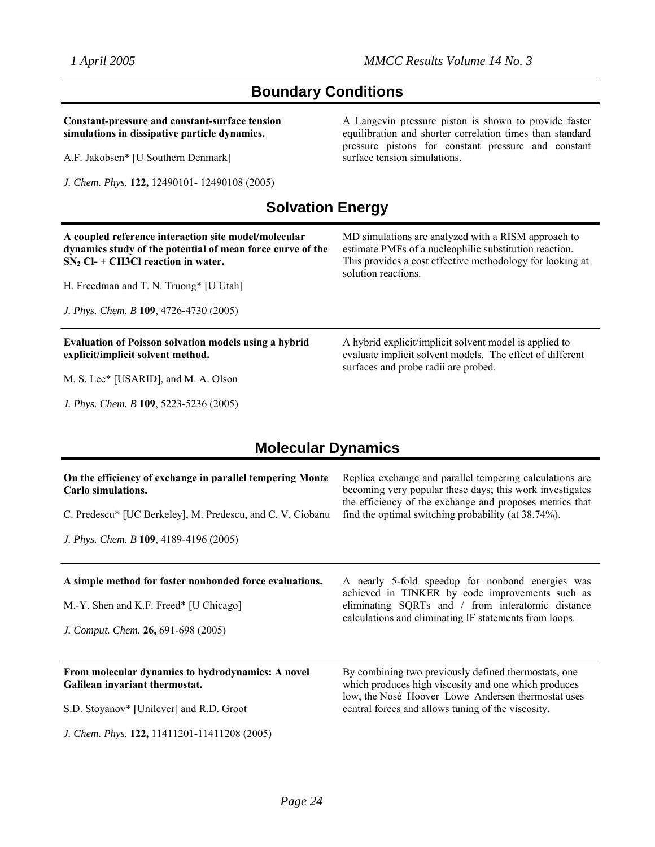# **Boundary Conditions**

**Constant-pressure and constant-surface tension simulations in dissipative particle dynamics.** 

A.F. Jakobsen\* [U Southern Denmark]

*J. Phys. Chem. B* **109**, 5223-5236 (2005)

*J. Chem. Phys.* **122,** 12490101- 12490108 (2005)

A Langevin pressure piston is shown to provide faster equilibration and shorter correlation times than standard pressure pistons for constant pressure and constant surface tension simulations.

# **Solvation Energy**

| A coupled reference interaction site model/molecular<br>dynamics study of the potential of mean force curve of the<br>$SN2$ Cl- + CH3Cl reaction in water.<br>H. Freedman and T. N. Truong* [U Utah]<br>J. Phys. Chem. B 109, 4726-4730 (2005) | MD simulations are analyzed with a RISM approach to<br>estimate PMFs of a nucleophilic substitution reaction.<br>This provides a cost effective methodology for looking at<br>solution reactions. |
|------------------------------------------------------------------------------------------------------------------------------------------------------------------------------------------------------------------------------------------------|---------------------------------------------------------------------------------------------------------------------------------------------------------------------------------------------------|
| <b>Evaluation of Poisson solvation models using a hybrid</b><br>explicit/implicit solvent method.<br>M. S. Lee* [USARID], and M. A. Olson                                                                                                      | A hybrid explicit/implicit solvent model is applied to<br>evaluate implicit solvent models. The effect of different<br>surfaces and probe radii are probed.                                       |
|                                                                                                                                                                                                                                                |                                                                                                                                                                                                   |

# **Molecular Dynamics**

| On the efficiency of exchange in parallel tempering Monte                                                                                | Replica exchange and parallel tempering calculations are                                                                                                                                                           |
|------------------------------------------------------------------------------------------------------------------------------------------|--------------------------------------------------------------------------------------------------------------------------------------------------------------------------------------------------------------------|
| Carlo simulations.                                                                                                                       | becoming very popular these days; this work investigates                                                                                                                                                           |
| C. Predescu* [UC Berkeley], M. Predescu, and C. V. Ciobanu                                                                               | the efficiency of the exchange and proposes metrics that                                                                                                                                                           |
| J. Phys. Chem. B 109, 4189-4196 (2005)                                                                                                   | find the optimal switching probability (at 38.74%).                                                                                                                                                                |
| A simple method for faster nonbonded force evaluations.<br>M.-Y. Shen and K.F. Freed* [U Chicago]<br>J. Comput. Chem. 26, 691-698 (2005) | A nearly 5-fold speedup for nonbond energies was<br>achieved in TINKER by code improvements such as<br>eliminating SQRTs and / from interatomic distance<br>calculations and eliminating IF statements from loops. |
| From molecular dynamics to hydrodynamics: A novel                                                                                        | By combining two previously defined thermostats, one                                                                                                                                                               |
| Galilean invariant thermostat.                                                                                                           | which produces high viscosity and one which produces                                                                                                                                                               |
| S.D. Stoyanov* [Unilever] and R.D. Groot                                                                                                 | low, the Nosé-Hoover-Lowe-Andersen thermostat uses                                                                                                                                                                 |
| J. Chem. Phys. 122, 11411201-11411208 (2005)                                                                                             | central forces and allows tuning of the viscosity.                                                                                                                                                                 |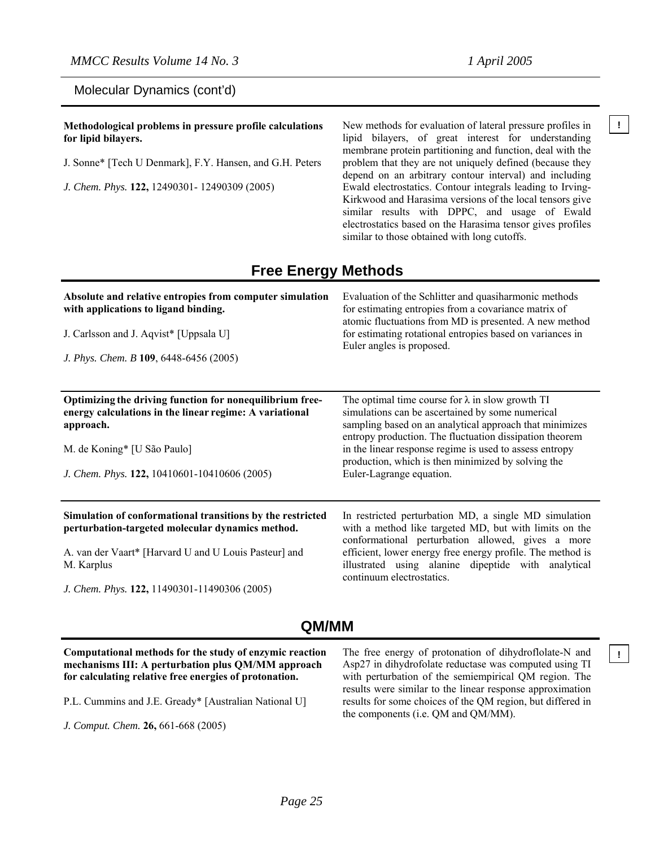### Molecular Dynamics (cont'd)

**Methodological problems in pressure profile calculations** New methods for evaluation of lateral pressure profiles in **for lipid bilayers.** 

J. Sonne\* [Tech U Denmark], F.Y. Hansen, and G.H. Peters

*J. Chem. Phys.* **122,** 12490301- 12490309 (2005)

lipid bilayers, of great interest for understanding membrane protein partitioning and function, deal with the problem that they are not uniquely defined (because they depend on an arbitrary contour interval) and including Ewald electrostatics. Contour integrals leading to Irving-Kirkwood and Harasima versions of the local tensors give similar results with DPPC, and usage of Ewald electrostatics based on the Harasima tensor gives profiles similar to those obtained with long cutoffs.

### **Free Energy Methods**

| Absolute and relative entropies from computer simulation<br>with applications to ligand binding.                                 | Evaluation of the Schlitter and quasiharmonic methods<br>for estimating entropies from a covariance matrix of<br>atomic fluctuations from MD is presented. A new method<br>for estimating rotational entropies based on variances in<br>Euler angles is proposed. |
|----------------------------------------------------------------------------------------------------------------------------------|-------------------------------------------------------------------------------------------------------------------------------------------------------------------------------------------------------------------------------------------------------------------|
| J. Carlsson and J. Aqvist* [Uppsala U]                                                                                           |                                                                                                                                                                                                                                                                   |
| J. Phys. Chem. B 109, 6448-6456 (2005)                                                                                           |                                                                                                                                                                                                                                                                   |
| Optimizing the driving function for nonequilibrium free-<br>energy calculations in the linear regime: A variational<br>approach. | The optimal time course for $\lambda$ in slow growth TI<br>simulations can be ascertained by some numerical<br>sampling based on an analytical approach that minimizes<br>entropy production. The fluctuation dissipation theorem                                 |
| M. de Koning* [U São Paulo]                                                                                                      | in the linear response regime is used to assess entropy<br>production, which is then minimized by solving the                                                                                                                                                     |
| J. Chem. Phys. 122, 10410601-10410606 (2005)                                                                                     | Euler-Lagrange equation.                                                                                                                                                                                                                                          |
| Simulation of conformational transitions by the restricted<br>perturbation-targeted molecular dynamics method.                   | In restricted perturbation MD, a single MD simulation<br>with a method like targeted MD, but with limits on the<br>conformational perturbation allowed, gives a more                                                                                              |
| A. van der Vaart* [Harvard U and U Louis Pasteur] and<br>M. Karplus                                                              | efficient, lower energy free energy profile. The method is<br>illustrated using alanine dipeptide with analytical<br>continuum electrostatics.                                                                                                                    |
| J. Chem. Phys. 122, 11490301-11490306 (2005)                                                                                     |                                                                                                                                                                                                                                                                   |

### **QM/MM**

# **mechanisms III: A perturbation plus QM/MM approach for calculating relative free energies of protonation.**

- P.L. Cummins and J.E. Gready\* [Australian National U]
- *J. Comput. Chem.* **26,** 661-668 (2005)

**Computational methods for the study of enzymic reaction** The free energy of protonation of dihydroflolate-N and | **!** The free energy of protonation of dihydroflolate-N and Asp27 in dihydrofolate reductase was computed using TI with perturbation of the semiempirical QM region. The results were similar to the linear response approximation results for some choices of the QM region, but differed in the components (i.e. QM and QM/MM).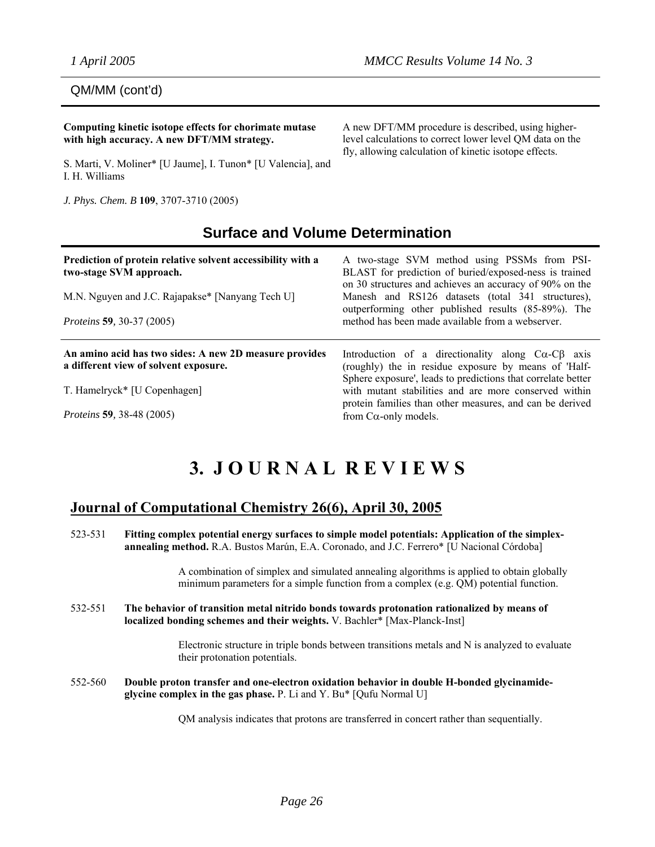QM/MM (cont'd)

**Computing kinetic isotope effects for chorimate mutase with high accuracy. A new DFT/MM strategy.** 

S. Marti, V. Moliner\* [U Jaume], I. Tunon\* [U Valencia], and I. H. Williams

*J. Phys. Chem. B* **109**, 3707-3710 (2005)

A new DFT/MM procedure is described, using higherlevel calculations to correct lower level QM data on the fly, allowing calculation of kinetic isotope effects.

# **Surface and Volume Determination**

| Prediction of protein relative solvent accessibility with a<br>two-stage SVM approach.<br>M.N. Nguyen and J.C. Rajapakse* [Nanyang Tech U]<br><i>Proteins</i> 59, 30-37 (2005) | A two-stage SVM method using PSSMs from PSI-<br>BLAST for prediction of buried/exposed-ness is trained<br>on 30 structures and achieves an accuracy of 90% on the<br>Manesh and RS126 datasets (total 341 structures),<br>outperforming other published results (85-89%). The<br>method has been made available from a webserver. |
|--------------------------------------------------------------------------------------------------------------------------------------------------------------------------------|-----------------------------------------------------------------------------------------------------------------------------------------------------------------------------------------------------------------------------------------------------------------------------------------------------------------------------------|
|                                                                                                                                                                                |                                                                                                                                                                                                                                                                                                                                   |
| An amino acid has two sides: A new 2D measure provides<br>a different view of solvent exposure.                                                                                | Introduction of a directionality along $C\alpha - C\beta$ axis<br>(roughly) the in residue exposure by means of 'Half-                                                                                                                                                                                                            |
| T. Hamelryck* [U Copenhagen]                                                                                                                                                   | Sphere exposure', leads to predictions that correlate better<br>with mutant stabilities and are more conserved within<br>protein families than other measures, and can be derived                                                                                                                                                 |

# **3. J O U R N A L R E V I E W S**

# **Journal of Computational Chemistry 26(6), April 30, 2005**

523-531 **Fitting complex potential energy surfaces to simple model potentials: Application of the simplexannealing method.** R.A. Bustos Marún, E.A. Coronado, and J.C. Ferrero\* [U Nacional Córdoba]

> A combination of simplex and simulated annealing algorithms is applied to obtain globally minimum parameters for a simple function from a complex (e.g. QM) potential function.

532-551 **The behavior of transition metal nitrido bonds towards protonation rationalized by means of localized bonding schemes and their weights.** V. Bachler\* [Max-Planck-Inst]

> Electronic structure in triple bonds between transitions metals and N is analyzed to evaluate their protonation potentials.

552-560 **Double proton transfer and one-electron oxidation behavior in double H-bonded glycinamideglycine complex in the gas phase.** P. Li and Y. Bu\* [Qufu Normal U]

QM analysis indicates that protons are transferred in concert rather than sequentially.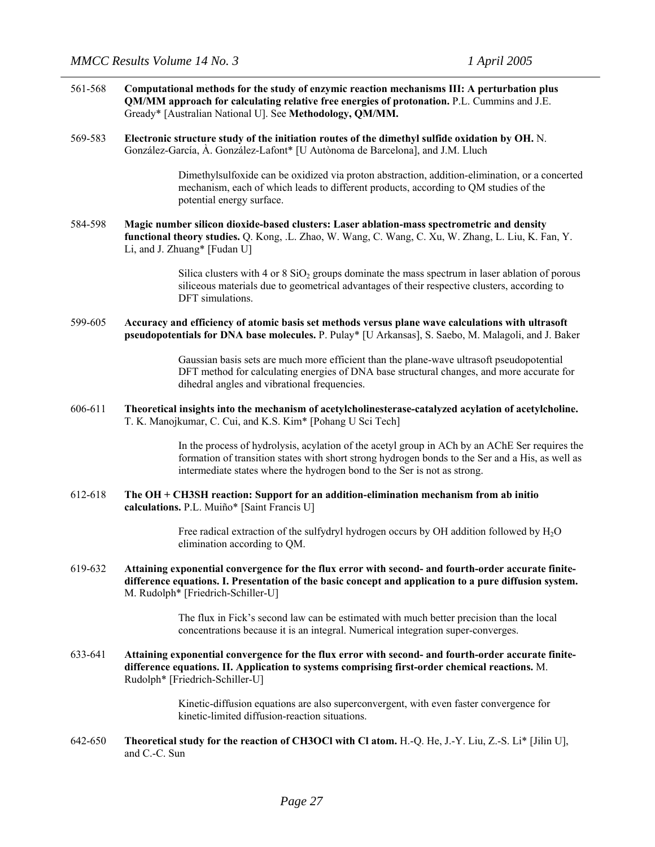- 561-568 **Computational methods for the study of enzymic reaction mechanisms III: A perturbation plus QM/MM approach for calculating relative free energies of protonation.** P.L. Cummins and J.E. Gready\* [Australian National U]. See **Methodology, QM/MM.**
- 569-583 **Electronic structure study of the initiation routes of the dimethyl sulfide oxidation by OH.** N. González-García, À. González-Lafont\* [U Autònoma de Barcelona], and J.M. Lluch

Dimethylsulfoxide can be oxidized via proton abstraction, addition-elimination, or a concerted mechanism, each of which leads to different products, according to QM studies of the potential energy surface.

584-598 **Magic number silicon dioxide-based clusters: Laser ablation-mass spectrometric and density functional theory studies.** Q. Kong, .L. Zhao, W. Wang, C. Wang, C. Xu, W. Zhang, L. Liu, K. Fan, Y. Li, and J. Zhuang\* [Fudan U]

> Silica clusters with 4 or 8  $SiO<sub>2</sub>$  groups dominate the mass spectrum in laser ablation of porous siliceous materials due to geometrical advantages of their respective clusters, according to DFT simulations.

599-605 **Accuracy and efficiency of atomic basis set methods versus plane wave calculations with ultrasoft pseudopotentials for DNA base molecules.** P. Pulay\* [U Arkansas], S. Saebo, M. Malagoli, and J. Baker

> Gaussian basis sets are much more efficient than the plane-wave ultrasoft pseudopotential DFT method for calculating energies of DNA base structural changes, and more accurate for dihedral angles and vibrational frequencies.

606-611 **Theoretical insights into the mechanism of acetylcholinesterase-catalyzed acylation of acetylcholine.**  T. K. Manojkumar, C. Cui, and K.S. Kim\* [Pohang U Sci Tech]

> In the process of hydrolysis, acylation of the acetyl group in ACh by an AChE Ser requires the formation of transition states with short strong hydrogen bonds to the Ser and a His, as well as intermediate states where the hydrogen bond to the Ser is not as strong.

612-618 **The OH + CH3SH reaction: Support for an addition-elimination mechanism from ab initio calculations.** P.L. Muiño\* [Saint Francis U]

> Free radical extraction of the sulfydryl hydrogen occurs by OH addition followed by H2O elimination according to QM.

619-632 **Attaining exponential convergence for the flux error with second- and fourth-order accurate finitedifference equations. I. Presentation of the basic concept and application to a pure diffusion system.**  M. Rudolph\* [Friedrich-Schiller-U]

> The flux in Fick's second law can be estimated with much better precision than the local concentrations because it is an integral. Numerical integration super-converges.

633-641 **Attaining exponential convergence for the flux error with second- and fourth-order accurate finitedifference equations. II. Application to systems comprising first-order chemical reactions.** M. Rudolph\* [Friedrich-Schiller-U]

> Kinetic-diffusion equations are also superconvergent, with even faster convergence for kinetic-limited diffusion-reaction situations.

642-650 **Theoretical study for the reaction of CH3OCl with Cl atom.** H.-Q. He, J.-Y. Liu, Z.-S. Li\* [Jilin U], and C.-C. Sun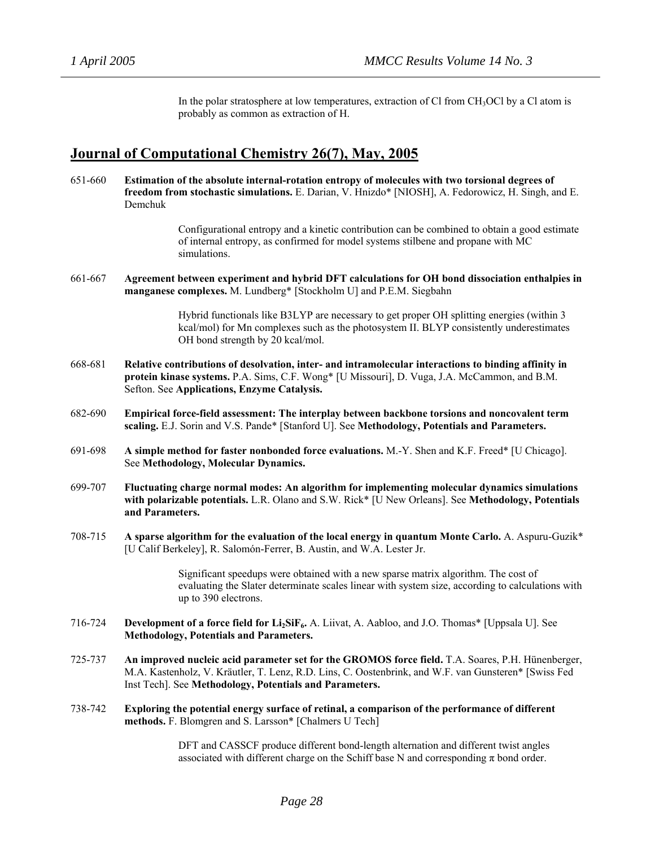In the polar stratosphere at low temperatures, extraction of Cl from  $CH<sub>3</sub>OCl$  by a Cl atom is probably as common as extraction of H.

### **Journal of Computational Chemistry 26(7), May, 2005**

651-660 **Estimation of the absolute internal-rotation entropy of molecules with two torsional degrees of freedom from stochastic simulations.** E. Darian, V. Hnizdo\* [NIOSH], A. Fedorowicz, H. Singh, and E. Demchuk

> Configurational entropy and a kinetic contribution can be combined to obtain a good estimate of internal entropy, as confirmed for model systems stilbene and propane with MC simulations.

661-667 **Agreement between experiment and hybrid DFT calculations for OH bond dissociation enthalpies in manganese complexes.** M. Lundberg\* [Stockholm U] and P.E.M. Siegbahn

> Hybrid functionals like B3LYP are necessary to get proper OH splitting energies (within 3 kcal/mol) for Mn complexes such as the photosystem II. BLYP consistently underestimates OH bond strength by 20 kcal/mol.

- 668-681 **Relative contributions of desolvation, inter- and intramolecular interactions to binding affinity in protein kinase systems.** P.A. Sims, C.F. Wong\* [U Missouri], D. Vuga, J.A. McCammon, and B.M. Sefton. See **Applications, Enzyme Catalysis.**
- 682-690 **Empirical force-field assessment: The interplay between backbone torsions and noncovalent term scaling.** E.J. Sorin and V.S. Pande\* [Stanford U]. See **Methodology, Potentials and Parameters.**
- 691-698 **A simple method for faster nonbonded force evaluations.** M.-Y. Shen and K.F. Freed\* [U Chicago]. See **Methodology, Molecular Dynamics.**
- 699-707 **Fluctuating charge normal modes: An algorithm for implementing molecular dynamics simulations with polarizable potentials.** L.R. Olano and S.W. Rick\* [U New Orleans]. See **Methodology, Potentials and Parameters.**
- 708-715 **A sparse algorithm for the evaluation of the local energy in quantum Monte Carlo.** A. Aspuru-Guzik\* [U Calif Berkeley], R. Salomón-Ferrer, B. Austin, and W.A. Lester Jr.

Significant speedups were obtained with a new sparse matrix algorithm. The cost of evaluating the Slater determinate scales linear with system size, according to calculations with up to 390 electrons.

- 716-724 **Development of a force field for Li2SiF6.** A. Liivat, A. Aabloo, and J.O. Thomas\* [Uppsala U]. See **Methodology, Potentials and Parameters.**
- 725-737 **An improved nucleic acid parameter set for the GROMOS force field.** T.A. Soares, P.H. Hünenberger, M.A. Kastenholz, V. Kräutler, T. Lenz, R.D. Lins, C. Oostenbrink, and W.F. van Gunsteren\* [Swiss Fed Inst Tech]. See **Methodology, Potentials and Parameters.**
- 738-742 **Exploring the potential energy surface of retinal, a comparison of the performance of different methods.** F. Blomgren and S. Larsson\* [Chalmers U Tech]

DFT and CASSCF produce different bond-length alternation and different twist angles associated with different charge on the Schiff base N and corresponding  $\pi$  bond order.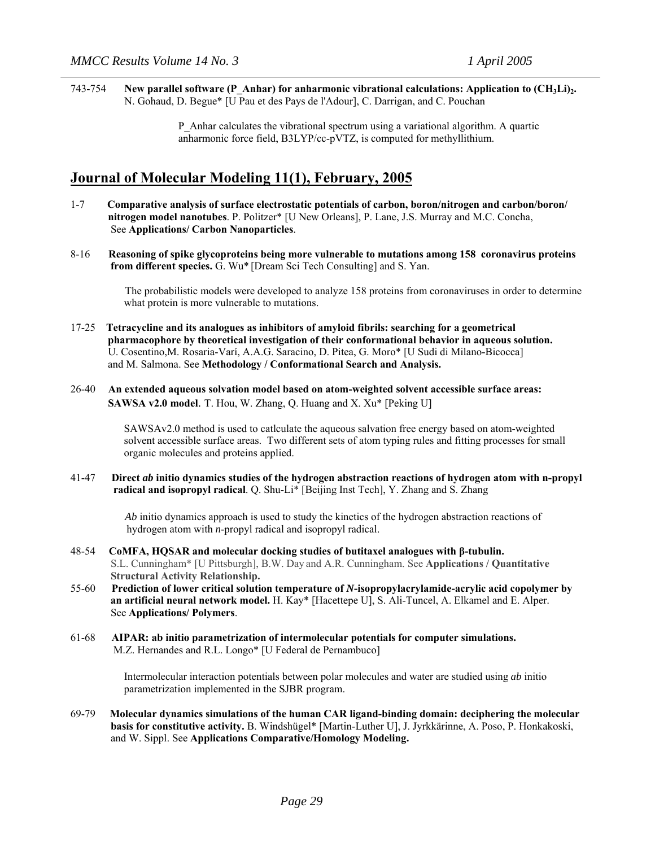743-754 **New parallel software (P\_Anhar) for anharmonic vibrational calculations: Application to (CH3Li)2.** N. Gohaud, D. Begue\* [U Pau et des Pays de l'Adour], C. Darrigan, and C. Pouchan

> P\_Anhar calculates the vibrational spectrum using a variational algorithm. A quartic anharmonic force field, B3LYP/cc-pVTZ, is computed for methyllithium.

## **Journal of Molecular Modeling 11(1), February, 2005**

- 1-7 **Comparative analysis of surface electrostatic potentials of carbon, boron/nitrogen and carbon/boron/ nitrogen model nanotubes**. P. Politzer\* [U New Orleans], P. Lane, J.S. Murray and M.C. Concha, See **Applications/ Carbon Nanoparticles**.
- 8-16 **Reasoning of spike glycoproteins being more vulnerable to mutations among 158 coronavirus proteins from different species.** G. Wu\* [Dream Sci Tech Consulting] and S. Yan.

 The probabilistic models were developed to analyze 158 proteins from coronaviruses in order to determine what protein is more vulnerable to mutations.

- 17-25 **Tetracycline and its analogues as inhibitors of amyloid fibrils: searching for a geometrical pharmacophore by theoretical investigation of their conformational behavior in aqueous solution.**  U. Cosentino,M. Rosaria-Varí, A.A.G. Saracino, D. Pitea, G. Moro\* [U Sudi di Milano-Bicocca] and M. Salmona. See **Methodology / Conformational Search and Analysis.**
- 26-40 **An extended aqueous solvation model based on atom-weighted solvent accessible surface areas: SAWSA v2.0 model**. T. Hou, W. Zhang, Q. Huang and X. Xu\* [Peking U]

SAWSAv2.0 method is used to catlculate the aqueous salvation free energy based on atom-weighted solvent accessible surface areas. Two different sets of atom typing rules and fitting processes for small organic molecules and proteins applied.

41-47 **Direct** *ab* **initio dynamics studies of the hydrogen abstraction reactions of hydrogen atom with n-propyl radical and isopropyl radical**. Q. Shu-Li\* [Beijing Inst Tech], Y. Zhang and S. Zhang

> *Ab* initio dynamics approach is used to study the kinetics of the hydrogen abstraction reactions of hydrogen atom with *n*-propyl radical and isopropyl radical.

- 48-54 **CoMFA, HQSAR and molecular docking studies of butitaxel analogues with β-tubulin.**  S.L. Cunningham\* [U Pittsburgh], B.W. Day and A.R. Cunningham. See **Applications / Quantitative Structural Activity Relationship.**
- 55-60 **Prediction of lower critical solution temperature of** *N***-isopropylacrylamide-acrylic acid copolymer by an artificial neural network model.** H. Kay\* [Hacettepe U], S. Ali-Tuncel, A. Elkamel and E. Alper. See **Applications/ Polymers**.
- 61-68 **AIPAR: ab initio parametrization of intermolecular potentials for computer simulations.**  M.Z. Hernandes and R.L. Longo\* [U Federal de Pernambuco]

 Intermolecular interaction potentials between polar molecules and water are studied using *ab* initio parametrization implemented in the SJBR program.

69-79 **Molecular dynamics simulations of the human CAR ligand-binding domain: deciphering the molecular basis for constitutive activity.** B. Windshügel\* [Martin-Luther U], J. Jyrkkärinne, A. Poso, P. Honkakoski, and W. Sippl. See **Applications Comparative/Homology Modeling.**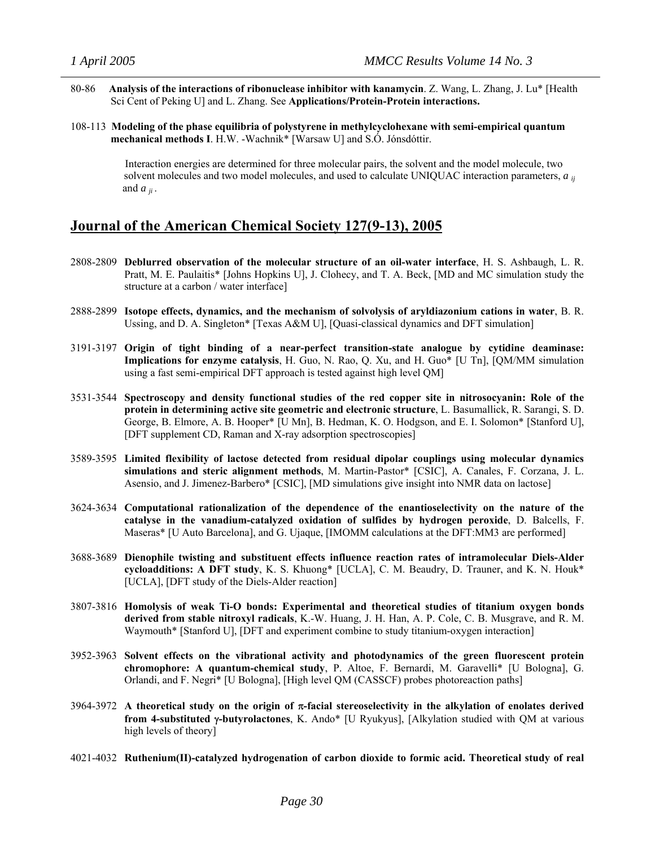- 80-86 **Analysis of the interactions of ribonuclease inhibitor with kanamycin**. Z. Wang, L. Zhang, J. Lu\* [Health Sci Cent of Peking U] and L. Zhang. See **Applications/Protein-Protein interactions.**
- 108-113 **Modeling of the phase equilibria of polystyrene in methylcyclohexane with semi-empirical quantum mechanical methods I**. H.W. -Wachnik\* [Warsaw U] and S.Ó. Jónsdóttir.

 Interaction energies are determined for three molecular pairs, the solvent and the model molecule, two solvent molecules and two model molecules, and used to calculate UNIQUAC interaction parameters, *a ij* and  $a_{ii}$ .

# **Journal of the American Chemical Society 127(9-13), 2005**

- 2808-2809 **Deblurred observation of the molecular structure of an oil-water interface**, H. S. Ashbaugh, L. R. Pratt, M. E. Paulaitis\* [Johns Hopkins U], J. Clohecy, and T. A. Beck, [MD and MC simulation study the structure at a carbon / water interface]
- 2888-2899 **Isotope effects, dynamics, and the mechanism of solvolysis of aryldiazonium cations in water**, B. R. Ussing, and D. A. Singleton\* [Texas A&M U], [Quasi-classical dynamics and DFT simulation]
- 3191-3197 **Origin of tight binding of a near-perfect transition-state analogue by cytidine deaminase: Implications for enzyme catalysis**, H. Guo, N. Rao, Q. Xu, and H. Guo\* [U Tn], [QM/MM simulation using a fast semi-empirical DFT approach is tested against high level QM]
- 3531-3544 **Spectroscopy and density functional studies of the red copper site in nitrosocyanin: Role of the protein in determining active site geometric and electronic structure**, L. Basumallick, R. Sarangi, S. D. George, B. Elmore, A. B. Hooper\* [U Mn], B. Hedman, K. O. Hodgson, and E. I. Solomon\* [Stanford U], [DFT supplement CD, Raman and X-ray adsorption spectroscopies]
- 3589-3595 **Limited flexibility of lactose detected from residual dipolar couplings using molecular dynamics simulations and steric alignment methods**, M. Martin-Pastor\* [CSIC], A. Canales, F. Corzana, J. L. Asensio, and J. Jimenez-Barbero\* [CSIC], [MD simulations give insight into NMR data on lactose]
- 3624-3634 **Computational rationalization of the dependence of the enantioselectivity on the nature of the catalyse in the vanadium-catalyzed oxidation of sulfides by hydrogen peroxide**, D. Balcells, F. Maseras\* [U Auto Barcelona], and G. Ujaque, [IMOMM calculations at the DFT:MM3 are performed]
- 3688-3689 **Dienophile twisting and substituent effects influence reaction rates of intramolecular Diels-Alder cycloadditions: A DFT study**, K. S. Khuong\* [UCLA], C. M. Beaudry, D. Trauner, and K. N. Houk\* [UCLA], [DFT study of the Diels-Alder reaction]
- 3807-3816 **Homolysis of weak Ti-O bonds: Experimental and theoretical studies of titanium oxygen bonds derived from stable nitroxyl radicals**, K.-W. Huang, J. H. Han, A. P. Cole, C. B. Musgrave, and R. M. Waymouth\* [Stanford U], [DFT and experiment combine to study titanium-oxygen interaction]
- 3952-3963 **Solvent effects on the vibrational activity and photodynamics of the green fluorescent protein chromophore: A quantum-chemical study**, P. Altoe, F. Bernardi, M. Garavelli\* [U Bologna], G. Orlandi, and F. Negri\* [U Bologna], [High level QM (CASSCF) probes photoreaction paths]
- 3964-3972 **A theoretical study on the origin of** π**-facial stereoselectivity in the alkylation of enolates derived from 4-substituted** γ**-butyrolactones**, K. Ando\* [U Ryukyus], [Alkylation studied with QM at various high levels of theory]
- 4021-4032 **Ruthenium(II)-catalyzed hydrogenation of carbon dioxide to formic acid. Theoretical study of real**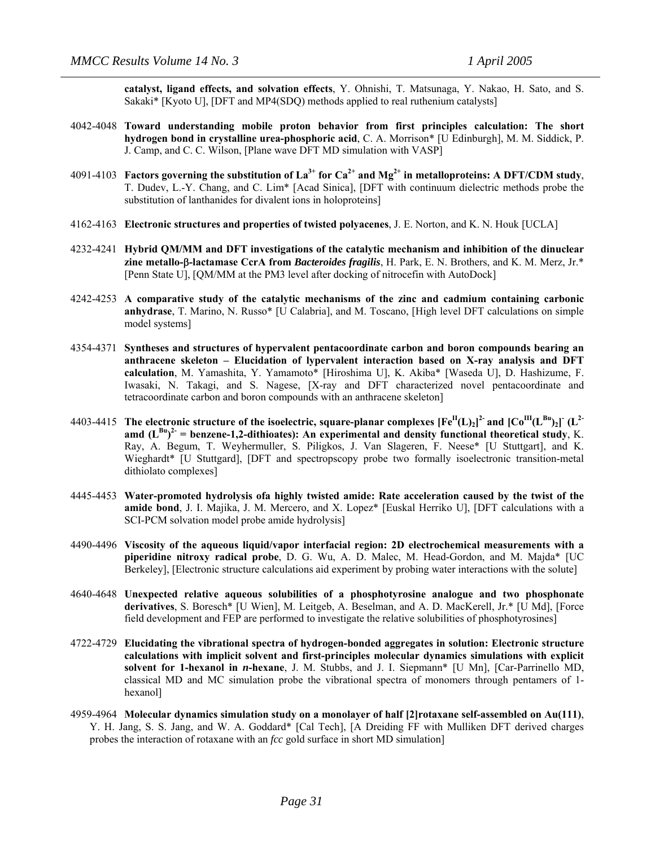**catalyst, ligand effects, and solvation effects**, Y. Ohnishi, T. Matsunaga, Y. Nakao, H. Sato, and S. Sakaki\* [Kyoto U], [DFT and MP4(SDQ) methods applied to real ruthenium catalysts]

- 4042-4048 **Toward understanding mobile proton behavior from first principles calculation: The short hydrogen bond in crystalline urea-phosphoric acid**, C. A. Morrison\* [U Edinburgh], M. M. Siddick, P. J. Camp, and C. C. Wilson, [Plane wave DFT MD simulation with VASP]
- 4091-4103 **Factors governing the substitution of La**<sup>3+</sup> for  $Ca^{2+}$  and Mg<sup>2+</sup> in metalloproteins: A DFT/CDM study, T. Dudev, L.-Y. Chang, and C. Lim\* [Acad Sinica], [DFT with continuum dielectric methods probe the substitution of lanthanides for divalent ions in holoproteins]
- 4162-4163 **Electronic structures and properties of twisted polyacenes**, J. E. Norton, and K. N. Houk [UCLA]
- 4232-4241 **Hybrid QM/MM and DFT investigations of the catalytic mechanism and inhibition of the dinuclear zine metallo-**β**-lactamase CcrA from** *Bacteroides fragilis*, H. Park, E. N. Brothers, and K. M. Merz, Jr.\* [Penn State U], [QM/MM at the PM3 level after docking of nitrocefin with AutoDock]
- 4242-4253 **A comparative study of the catalytic mechanisms of the zinc and cadmium containing carbonic anhydrase**, T. Marino, N. Russo\* [U Calabria], and M. Toscano, [High level DFT calculations on simple model systems]
- 4354-4371 **Syntheses and structures of hypervalent pentacoordinate carbon and boron compounds bearing an anthracene skeleton – Elucidation of lypervalent interaction based on X-ray analysis and DFT calculation**, M. Yamashita, Y. Yamamoto\* [Hiroshima U], K. Akiba\* [Waseda U], D. Hashizume, F. Iwasaki, N. Takagi, and S. Nagese, [X-ray and DFT characterized novel pentacoordinate and tetracoordinate carbon and boron compounds with an anthracene skeleton]
- 4403-4415 **The electronic structure of the isoelectric, square-planar complexes [Fe II(L)2] 2- and [CoIII(LBu)2] - (L2** amd  $(L^{Bu})^2$  = benzene-1,2-dithioates): An experimental and density functional theoretical study, K. Ray, A. Begum, T. Weyhermuller, S. Piligkos, J. Van Slageren, F. Neese\* [U Stuttgart], and K. Wieghardt\* [U Stuttgard], [DFT and spectropscopy probe two formally isoelectronic transition-metal dithiolato complexes]
- 4445-4453 **Water-promoted hydrolysis ofa highly twisted amide: Rate acceleration caused by the twist of the amide bond**, J. I. Majika, J. M. Mercero, and X. Lopez\* [Euskal Herriko U], [DFT calculations with a SCI-PCM solvation model probe amide hydrolysis]
- 4490-4496 **Viscosity of the aqueous liquid/vapor interfacial region: 2D electrochemical measurements with a piperidine nitroxy radical probe**, D. G. Wu, A. D. Malec, M. Head-Gordon, and M. Majda\* [UC Berkeley], [Electronic structure calculations aid experiment by probing water interactions with the solute]
- 4640-4648 **Unexpected relative aqueous solubilities of a phosphotyrosine analogue and two phosphonate derivatives**, S. Boresch\* [U Wien], M. Leitgeb, A. Beselman, and A. D. MacKerell, Jr.\* [U Md], [Force field development and FEP are performed to investigate the relative solubilities of phosphotyrosines]
- 4722-4729 **Elucidating the vibrational spectra of hydrogen-bonded aggregates in solution: Electronic structure calculations with implicit solvent and first-principles molecular dynamics simulations with explicit solvent for 1-hexanol in** *n***-hexane**, J. M. Stubbs, and J. I. Siepmann\* [U Mn], [Car-Parrinello MD, classical MD and MC simulation probe the vibrational spectra of monomers through pentamers of 1 hexanol]
- 4959-4964 **Molecular dynamics simulation study on a monolayer of half [2]rotaxane self-assembled on Au(111)**, Y. H. Jang, S. S. Jang, and W. A. Goddard\* [Cal Tech], [A Dreiding FF with Mulliken DFT derived charges probes the interaction of rotaxane with an *fcc* gold surface in short MD simulation]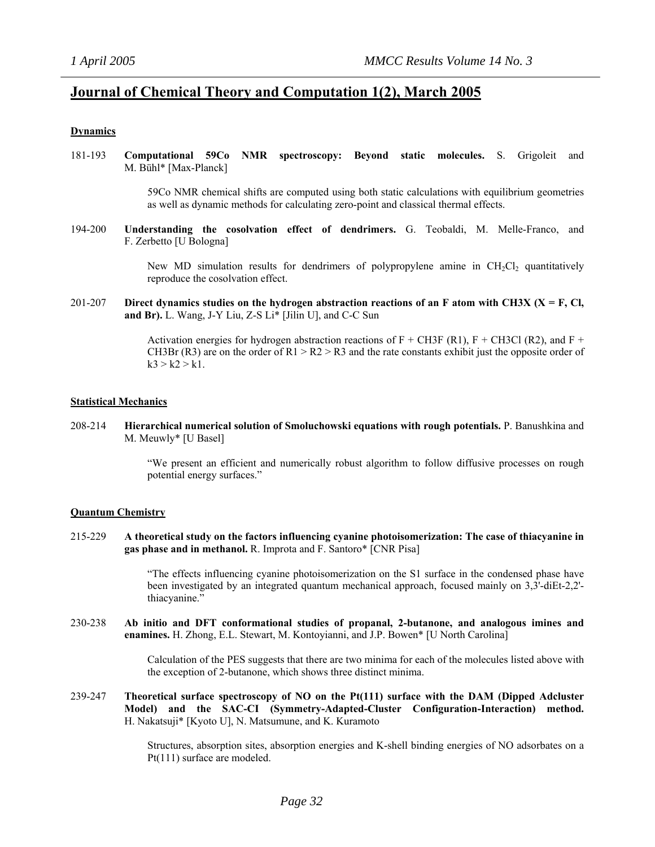### **Journal of Chemical Theory and Computation 1(2), March 2005**

### **Dynamics**

181-193 **Computational 59Co NMR spectroscopy: Beyond static molecules.** S. Grigoleit and M. Bühl\* [Max-Planck]

> 59Co NMR chemical shifts are computed using both static calculations with equilibrium geometries as well as dynamic methods for calculating zero-point and classical thermal effects.

194-200 **Understanding the cosolvation effect of dendrimers.** G. Teobaldi, M. Melle-Franco, and F. Zerbetto [U Bologna]

> New MD simulation results for dendrimers of polypropylene amine in  $CH<sub>2</sub>Cl<sub>2</sub>$  quantitatively reproduce the cosolvation effect.

201-207 **Direct dynamics studies on the hydrogen abstraction reactions of an F atom with CH3X (X = F, Cl, and Br).** L. Wang, J-Y Liu, Z-S Li\* [Jilin U], and C-C Sun

> Activation energies for hydrogen abstraction reactions of  $F + CH3F (R1)$ ,  $F + CH3Cl (R2)$ , and  $F +$ CH3Br (R3) are on the order of R1 > R2 > R3 and the rate constants exhibit just the opposite order of  $k3 > k2 > k1$ .

### **Statistical Mechanics**

208-214 **Hierarchical numerical solution of Smoluchowski equations with rough potentials.** P. Banushkina and M. Meuwly\* [U Basel]

> "We present an efficient and numerically robust algorithm to follow diffusive processes on rough potential energy surfaces."

### **Quantum Chemistry**

215-229 **A theoretical study on the factors influencing cyanine photoisomerization: The case of thiacyanine in gas phase and in methanol.** R. Improta and F. Santoro\* [CNR Pisa]

> "The effects influencing cyanine photoisomerization on the S1 surface in the condensed phase have been investigated by an integrated quantum mechanical approach, focused mainly on 3,3'-diEt-2,2' thiacyanine."

230-238 **Ab initio and DFT conformational studies of propanal, 2-butanone, and analogous imines and enamines.** H. Zhong, E.L. Stewart, M. Kontoyianni, and J.P. Bowen\* [U North Carolina]

> Calculation of the PES suggests that there are two minima for each of the molecules listed above with the exception of 2-butanone, which shows three distinct minima.

239-247 **Theoretical surface spectroscopy of NO on the Pt(111) surface with the DAM (Dipped Adcluster Model) and the SAC-CI (Symmetry-Adapted-Cluster Configuration-Interaction) method.** H. Nakatsuji\* [Kyoto U], N. Matsumune, and K. Kuramoto

> Structures, absorption sites, absorption energies and K-shell binding energies of NO adsorbates on a Pt(111) surface are modeled.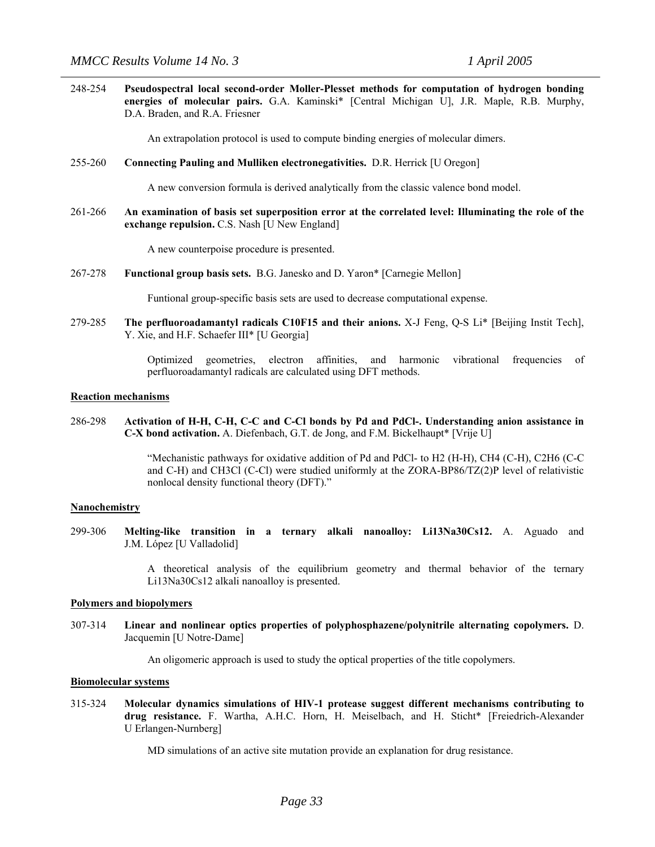248-254 **Pseudospectral local second-order Moller-Plesset methods for computation of hydrogen bonding energies of molecular pairs.** G.A. Kaminski\* [Central Michigan U], J.R. Maple, R.B. Murphy, D.A. Braden, and R.A. Friesner

An extrapolation protocol is used to compute binding energies of molecular dimers.

255-260 **Connecting Pauling and Mulliken electronegativities.** D.R. Herrick [U Oregon]

A new conversion formula is derived analytically from the classic valence bond model.

261-266 **An examination of basis set superposition error at the correlated level: Illuminating the role of the exchange repulsion.** C.S. Nash [U New England]

A new counterpoise procedure is presented.

267-278 **Functional group basis sets.** B.G. Janesko and D. Yaron\* [Carnegie Mellon]

Funtional group-specific basis sets are used to decrease computational expense.

279-285 **The perfluoroadamantyl radicals C10F15 and their anions.** X-J Feng, Q-S Li\* [Beijing Instit Tech], Y. Xie, and H.F. Schaefer III\* [U Georgia]

> Optimized geometries, electron affinities, and harmonic vibrational frequencies of perfluoroadamantyl radicals are calculated using DFT methods.

#### **Reaction mechanisms**

286-298 **Activation of H-H, C-H, C-C and C-Cl bonds by Pd and PdCl-. Understanding anion assistance in C-X bond activation.** A. Diefenbach, G.T. de Jong, and F.M. Bickelhaupt\* [Vrije U]

> "Mechanistic pathways for oxidative addition of Pd and PdCl- to H2 (H-H), CH4 (C-H), C2H6 (C-C and C-H) and CH3Cl (C-Cl) were studied uniformly at the ZORA-BP86/TZ(2)P level of relativistic nonlocal density functional theory (DFT)."

#### **Nanochemistry**

299-306 **Melting-like transition in a ternary alkali nanoalloy: Li13Na30Cs12.** A. Aguado and J.M. López [U Valladolid]

> A theoretical analysis of the equilibrium geometry and thermal behavior of the ternary Li13Na30Cs12 alkali nanoalloy is presented.

#### **Polymers and biopolymers**

307-314 **Linear and nonlinear optics properties of polyphosphazene/polynitrile alternating copolymers.** D. Jacquemin [U Notre-Dame]

An oligomeric approach is used to study the optical properties of the title copolymers.

#### **Biomolecular systems**

315-324 **Molecular dynamics simulations of HIV-1 protease suggest different mechanisms contributing to drug resistance.** F. Wartha, A.H.C. Horn, H. Meiselbach, and H. Sticht\* [Freiedrich-Alexander U Erlangen-Nurnberg]

MD simulations of an active site mutation provide an explanation for drug resistance.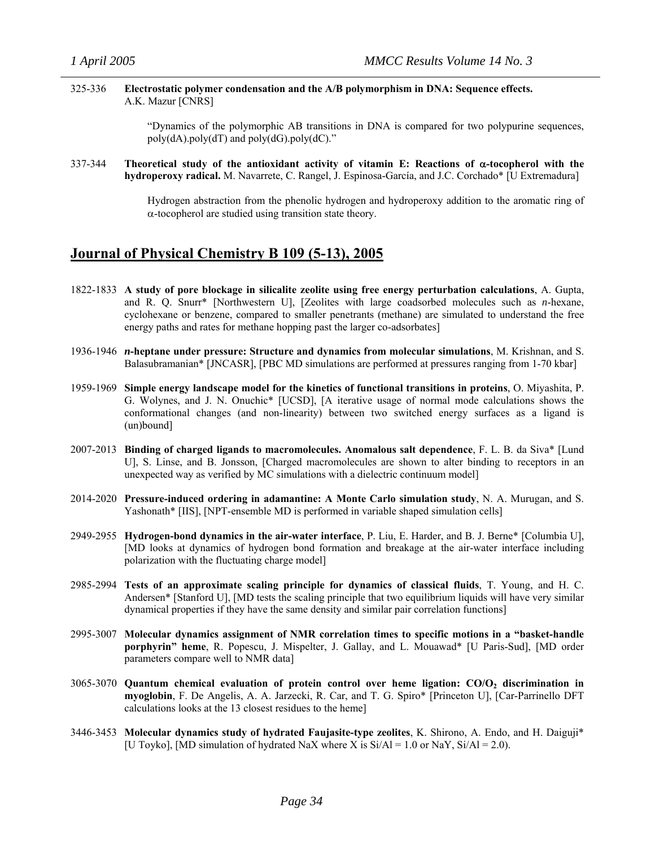### 325-336 **Electrostatic polymer condensation and the A/B polymorphism in DNA: Sequence effects.**  A.K. Mazur [CNRS]

"Dynamics of the polymorphic AB transitions in DNA is compared for two polypurine sequences,  $poly(dA)$ .poly(dT) and  $poly(dG)$ .poly(dC)."

337-344 **Theoretical study of the antioxidant activity of vitamin E: Reactions of** α**-tocopherol with the hydroperoxy radical.** M. Navarrete, C. Rangel, J. Espinosa-García, and J.C. Corchado\* [U Extremadura]

> Hydrogen abstraction from the phenolic hydrogen and hydroperoxy addition to the aromatic ring of  $\alpha$ -tocopherol are studied using transition state theory.

### **Journal of Physical Chemistry B 109 (5-13), 2005**

- 1822-1833 **A study of pore blockage in silicalite zeolite using free energy perturbation calculations**, A. Gupta, and R. Q. Snurr\* [Northwestern U], [Zeolites with large coadsorbed molecules such as *n*-hexane, cyclohexane or benzene, compared to smaller penetrants (methane) are simulated to understand the free energy paths and rates for methane hopping past the larger co-adsorbates]
- 1936-1946 *n***-heptane under pressure: Structure and dynamics from molecular simulations**, M. Krishnan, and S. Balasubramanian\* [JNCASR], [PBC MD simulations are performed at pressures ranging from 1-70 kbar]
- 1959-1969 **Simple energy landscape model for the kinetics of functional transitions in proteins**, O. Miyashita, P. G. Wolynes, and J. N. Onuchic\* [UCSD], [A iterative usage of normal mode calculations shows the conformational changes (and non-linearity) between two switched energy surfaces as a ligand is (un)bound]
- 2007-2013 **Binding of charged ligands to macromolecules. Anomalous salt dependence**, F. L. B. da Siva\* [Lund U], S. Linse, and B. Jonsson, [Charged macromolecules are shown to alter binding to receptors in an unexpected way as verified by MC simulations with a dielectric continuum model]
- 2014-2020 **Pressure-induced ordering in adamantine: A Monte Carlo simulation study**, N. A. Murugan, and S. Yashonath<sup>\*</sup> [IIS], [NPT-ensemble MD is performed in variable shaped simulation cells]
- 2949-2955 **Hydrogen-bond dynamics in the air-water interface**, P. Liu, E. Harder, and B. J. Berne\* [Columbia U], [MD looks at dynamics of hydrogen bond formation and breakage at the air-water interface including polarization with the fluctuating charge model]
- 2985-2994 **Tests of an approximate scaling principle for dynamics of classical fluids**, T. Young, and H. C. Andersen\* [Stanford U], [MD tests the scaling principle that two equilibrium liquids will have very similar dynamical properties if they have the same density and similar pair correlation functions]
- 2995-3007 **Molecular dynamics assignment of NMR correlation times to specific motions in a "basket-handle porphyrin" heme**, R. Popescu, J. Mispelter, J. Gallay, and L. Mouawad\* [U Paris-Sud], [MD order parameters compare well to NMR data]
- 3065-3070 **Quantum chemical evaluation of protein control over heme ligation: CO/O2 discrimination in myoglobin**, F. De Angelis, A. A. Jarzecki, R. Car, and T. G. Spiro\* [Princeton U], [Car-Parrinello DFT calculations looks at the 13 closest residues to the heme]
- 3446-3453 **Molecular dynamics study of hydrated Faujasite-type zeolites**, K. Shirono, A. Endo, and H. Daiguji\* [U Toyko], [MD simulation of hydrated NaX where X is  $Si/Al = 1.0$  or NaY,  $Si/Al = 2.0$ ).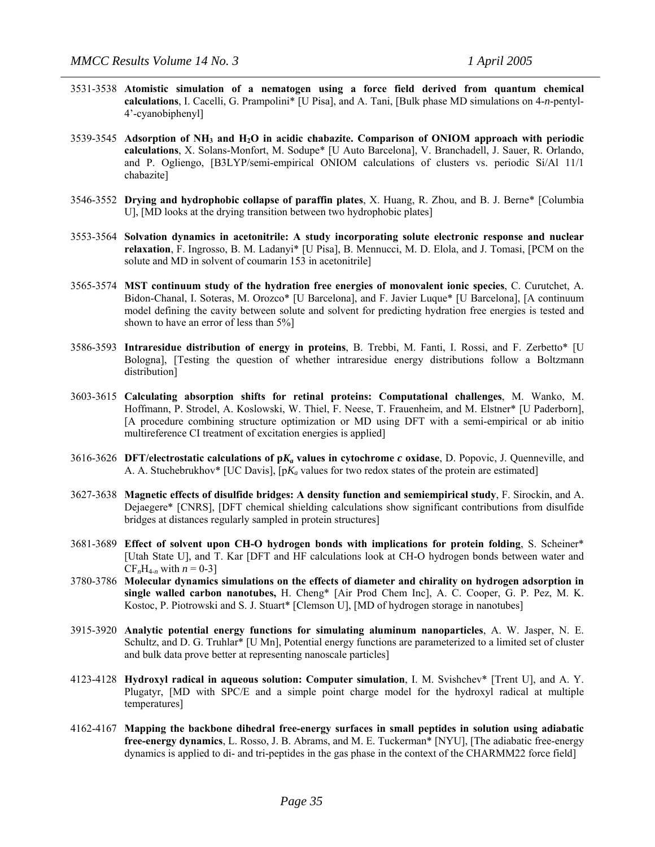- 3531-3538 **Atomistic simulation of a nematogen using a force field derived from quantum chemical calculations**, I. Cacelli, G. Prampolini\* [U Pisa], and A. Tani, [Bulk phase MD simulations on 4-*n*-pentyl-4'-cyanobiphenyl]
- 3539-3545 **Adsorption of NH3 and H2O in acidic chabazite. Comparison of ONIOM approach with periodic calculations**, X. Solans-Monfort, M. Sodupe\* [U Auto Barcelona], V. Branchadell, J. Sauer, R. Orlando, and P. Ogliengo, [B3LYP/semi-empirical ONIOM calculations of clusters vs. periodic Si/Al 11/1 chabazite]
- 3546-3552 **Drying and hydrophobic collapse of paraffin plates**, X. Huang, R. Zhou, and B. J. Berne\* [Columbia U], [MD looks at the drying transition between two hydrophobic plates]
- 3553-3564 **Solvation dynamics in acetonitrile: A study incorporating solute electronic response and nuclear relaxation**, F. Ingrosso, B. M. Ladanyi\* [U Pisa], B. Mennucci, M. D. Elola, and J. Tomasi, [PCM on the solute and MD in solvent of coumarin 153 in acetonitrile]
- 3565-3574 **MST continuum study of the hydration free energies of monovalent ionic species**, C. Curutchet, A. Bidon-Chanal, I. Soteras, M. Orozco\* [U Barcelona], and F. Javier Luque\* [U Barcelona], [A continuum model defining the cavity between solute and solvent for predicting hydration free energies is tested and shown to have an error of less than 5%]
- 3586-3593 **Intraresidue distribution of energy in proteins**, B. Trebbi, M. Fanti, I. Rossi, and F. Zerbetto\* [U Bologna], [Testing the question of whether intraresidue energy distributions follow a Boltzmann distribution]
- 3603-3615 **Calculating absorption shifts for retinal proteins: Computational challenges**, M. Wanko, M. Hoffmann, P. Strodel, A. Koslowski, W. Thiel, F. Neese, T. Frauenheim, and M. Elstner\* [U Paderborn], [A procedure combining structure optimization or MD using DFT with a semi-empirical or ab initio multireference CI treatment of excitation energies is applied]
- 3616-3626 **DFT/electrostatic calculations of p***Ka* **values in cytochrome** *c* **oxidase**, D. Popovic, J. Quenneville, and A. A. Stuchebrukhov<sup>\*</sup> [UC Davis],  $[pK_a$  values for two redox states of the protein are estimated]
- 3627-3638 **Magnetic effects of disulfide bridges: A density function and semiempirical study**, F. Sirockin, and A. Dejaegere\* [CNRS], [DFT chemical shielding calculations show significant contributions from disulfide bridges at distances regularly sampled in protein structures]
- 3681-3689 **Effect of solvent upon CH-O hydrogen bonds with implications for protein folding**, S. Scheiner\* [Utah State U], and T. Kar [DFT and HF calculations look at CH-O hydrogen bonds between water and  $CF<sub>n</sub>H<sub>4-n</sub>$  with  $n = 0-3$ ]
- 3780-3786 **Molecular dynamics simulations on the effects of diameter and chirality on hydrogen adsorption in single walled carbon nanotubes,** H. Cheng\* [Air Prod Chem Inc], A. C. Cooper, G. P. Pez, M. K. Kostoc, P. Piotrowski and S. J. Stuart\* [Clemson U], [MD of hydrogen storage in nanotubes]
- 3915-3920 **Analytic potential energy functions for simulating aluminum nanoparticles**, A. W. Jasper, N. E. Schultz, and D. G. Truhlar\* [U Mn], Potential energy functions are parameterized to a limited set of cluster and bulk data prove better at representing nanoscale particles]
- 4123-4128 **Hydroxyl radical in aqueous solution: Computer simulation**, I. M. Svishchev\* [Trent U], and A. Y. Plugatyr, [MD with SPC/E and a simple point charge model for the hydroxyl radical at multiple temperatures]
- 4162-4167 **Mapping the backbone dihedral free-energy surfaces in small peptides in solution using adiabatic free-energy dynamics**, L. Rosso, J. B. Abrams, and M. E. Tuckerman\* [NYU], [The adiabatic free-energy dynamics is applied to di- and tri-peptides in the gas phase in the context of the CHARMM22 force field]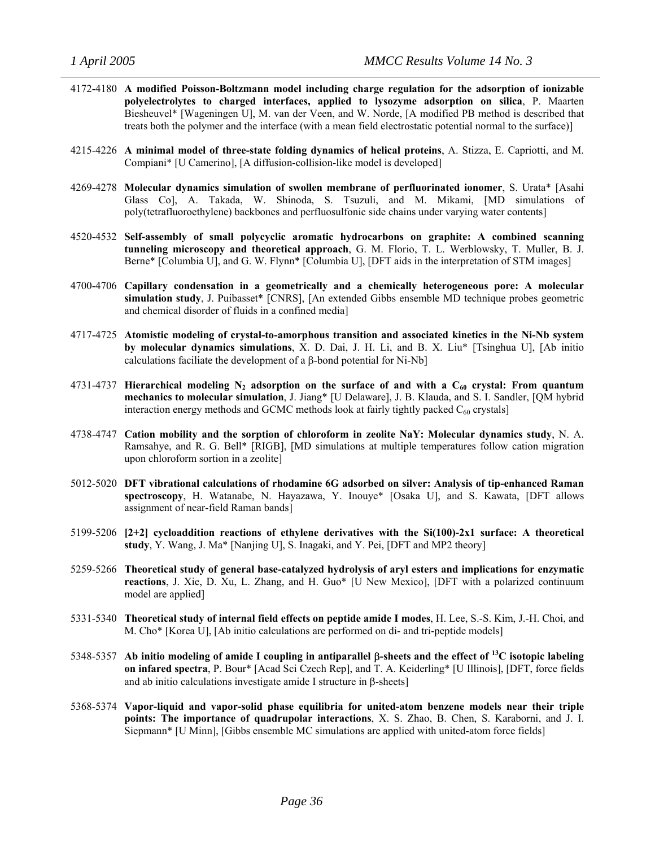- 4172-4180 **A modified Poisson-Boltzmann model including charge regulation for the adsorption of ionizable polyelectrolytes to charged interfaces, applied to lysozyme adsorption on silica**, P. Maarten Biesheuvel\* [Wageningen U], M. van der Veen, and W. Norde, [A modified PB method is described that treats both the polymer and the interface (with a mean field electrostatic potential normal to the surface)]
- 4215-4226 **A minimal model of three-state folding dynamics of helical proteins**, A. Stizza, E. Capriotti, and M. Compiani\* [U Camerino], [A diffusion-collision-like model is developed]
- 4269-4278 **Molecular dynamics simulation of swollen membrane of perfluorinated ionomer**, S. Urata\* [Asahi Glass Co], A. Takada, W. Shinoda, S. Tsuzuli, and M. Mikami, [MD simulations of poly(tetrafluoroethylene) backbones and perfluosulfonic side chains under varying water contents]
- 4520-4532 **Self-assembly of small polycyclic aromatic hydrocarbons on graphite: A combined scanning tunneling microscopy and theoretical approach**, G. M. Florio, T. L. Werblowsky, T. Muller, B. J. Berne\* [Columbia U], and G. W. Flynn\* [Columbia U], [DFT aids in the interpretation of STM images]
- 4700-4706 **Capillary condensation in a geometrically and a chemically heterogeneous pore: A molecular simulation study**, J. Puibasset\* [CNRS], [An extended Gibbs ensemble MD technique probes geometric and chemical disorder of fluids in a confined media]
- 4717-4725 **Atomistic modeling of crystal-to-amorphous transition and associated kinetics in the Ni-Nb system by molecular dynamics simulations**, X. D. Dai, J. H. Li, and B. X. Liu\* [Tsinghua U], [Ab initio calculations faciliate the development of a β-bond potential for Ni-Nb]
- 4731-4737 Hierarchical modeling  $N_2$  adsorption on the surface of and with a  $C_{60}$  crystal: From quantum **mechanics to molecular simulation**, J. Jiang\* [U Delaware], J. B. Klauda, and S. I. Sandler, [QM hybrid interaction energy methods and GCMC methods look at fairly tightly packed  $C_{60}$  crystals]
- 4738-4747 **Cation mobility and the sorption of chloroform in zeolite NaY: Molecular dynamics study**, N. A. Ramsahye, and R. G. Bell\* [RIGB], [MD simulations at multiple temperatures follow cation migration upon chloroform sortion in a zeolite]
- 5012-5020 **DFT vibrational calculations of rhodamine 6G adsorbed on silver: Analysis of tip-enhanced Raman spectroscopy**, H. Watanabe, N. Hayazawa, Y. Inouye\* [Osaka U], and S. Kawata, [DFT allows assignment of near-field Raman bands]
- 5199-5206 **[2+2] cycloaddition reactions of ethylene derivatives with the Si(100)-2x1 surface: A theoretical study**, Y. Wang, J. Ma\* [Nanjing U], S. Inagaki, and Y. Pei, [DFT and MP2 theory]
- 5259-5266 **Theoretical study of general base-catalyzed hydrolysis of aryl esters and implications for enzymatic reactions**, J. Xie, D. Xu, L. Zhang, and H. Guo\* [U New Mexico], [DFT with a polarized continuum model are applied]
- 5331-5340 **Theoretical study of internal field effects on peptide amide I modes**, H. Lee, S.-S. Kim, J.-H. Choi, and M. Cho\* [Korea U], [Ab initio calculations are performed on di- and tri-peptide models]
- 5348-5357 **Ab initio modeling of amide I coupling in antiparallel** β**-sheets and the effect of 13C isotopic labeling on infared spectra**, P. Bour\* [Acad Sci Czech Rep], and T. A. Keiderling\* [U Illinois], [DFT, force fields and ab initio calculations investigate amide I structure in β-sheets]
- 5368-5374 **Vapor-liquid and vapor-solid phase equilibria for united-atom benzene models near their triple points: The importance of quadrupolar interactions**, X. S. Zhao, B. Chen, S. Karaborni, and J. I. Siepmann\* [U Minn], [Gibbs ensemble MC simulations are applied with united-atom force fields]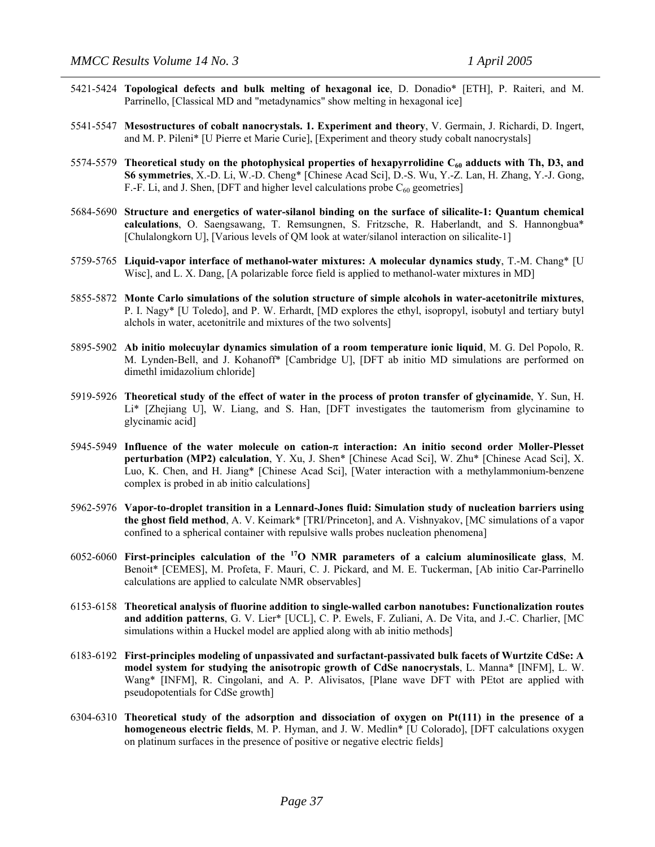- 5421-5424 **Topological defects and bulk melting of hexagonal ice**, D. Donadio\* [ETH], P. Raiteri, and M. Parrinello, [Classical MD and "metadynamics" show melting in hexagonal ice]
- 5541-5547 **Mesostructures of cobalt nanocrystals. 1. Experiment and theory**, V. Germain, J. Richardi, D. Ingert, and M. P. Pileni\* [U Pierre et Marie Curie], [Experiment and theory study cobalt nanocrystals]
- 5574-5579 Theoretical study on the photophysical properties of hexapyrrolidine C<sub>60</sub> adducts with Th, D3, and **S6 symmetries**, X.-D. Li, W.-D. Cheng\* [Chinese Acad Sci], D.-S. Wu, Y.-Z. Lan, H. Zhang, Y.-J. Gong, F.-F. Li, and J. Shen, [DFT and higher level calculations probe  $C_{60}$  geometries]
- 5684-5690 **Structure and energetics of water-silanol binding on the surface of silicalite-1: Quantum chemical calculations**, O. Saengsawang, T. Remsungnen, S. Fritzsche, R. Haberlandt, and S. Hannongbua\* [Chulalongkorn U], [Various levels of QM look at water/silanol interaction on silicalite-1]
- 5759-5765 **Liquid-vapor interface of methanol-water mixtures: A molecular dynamics study**, T.-M. Chang\* [U Wisc], and L. X. Dang, [A polarizable force field is applied to methanol-water mixtures in MD]
- 5855-5872 **Monte Carlo simulations of the solution structure of simple alcohols in water-acetonitrile mixtures**, P. I. Nagy\* [U Toledo], and P. W. Erhardt, [MD explores the ethyl, isopropyl, isobutyl and tertiary butyl alchols in water, acetonitrile and mixtures of the two solvents]
- 5895-5902 **Ab initio molecuylar dynamics simulation of a room temperature ionic liquid**, M. G. Del Popolo, R. M. Lynden-Bell, and J. Kohanoff\* [Cambridge U], [DFT ab initio MD simulations are performed on dimethl imidazolium chloride]
- 5919-5926 **Theoretical study of the effect of water in the process of proton transfer of glycinamide**, Y. Sun, H. Li\* [Zhejiang U], W. Liang, and S. Han, [DFT investigates the tautomerism from glycinamine to glycinamic acid]
- 5945-5949 **Influence of the water molecule on cation-**π **interaction: An initio second order Moller-Plesset perturbation (MP2) calculation**, Y. Xu, J. Shen\* [Chinese Acad Sci], W. Zhu\* [Chinese Acad Sci], X. Luo, K. Chen, and H. Jiang\* [Chinese Acad Sci], [Water interaction with a methylammonium-benzene complex is probed in ab initio calculations]
- 5962-5976 **Vapor-to-droplet transition in a Lennard-Jones fluid: Simulation study of nucleation barriers using the ghost field method**, A. V. Keimark\* [TRI/Princeton], and A. Vishnyakov, [MC simulations of a vapor confined to a spherical container with repulsive walls probes nucleation phenomena]
- 6052-6060 **First-principles calculation of the 17O NMR parameters of a calcium aluminosilicate glass**, M. Benoit\* [CEMES], M. Profeta, F. Mauri, C. J. Pickard, and M. E. Tuckerman, [Ab initio Car-Parrinello calculations are applied to calculate NMR observables]
- 6153-6158 **Theoretical analysis of fluorine addition to single-walled carbon nanotubes: Functionalization routes and addition patterns**, G. V. Lier\* [UCL], C. P. Ewels, F. Zuliani, A. De Vita, and J.-C. Charlier, [MC simulations within a Huckel model are applied along with ab initio methods]
- 6183-6192 **First-principles modeling of unpassivated and surfactant-passivated bulk facets of Wurtzite CdSe: A model system for studying the anisotropic growth of CdSe nanocrystals**, L. Manna\* [INFM], L. W. Wang\* [INFM], R. Cingolani, and A. P. Alivisatos, [Plane wave DFT with PEtot are applied with pseudopotentials for CdSe growth]
- 6304-6310 **Theoretical study of the adsorption and dissociation of oxygen on Pt(111) in the presence of a homogeneous electric fields**, M. P. Hyman, and J. W. Medlin\* [U Colorado], [DFT calculations oxygen on platinum surfaces in the presence of positive or negative electric fields]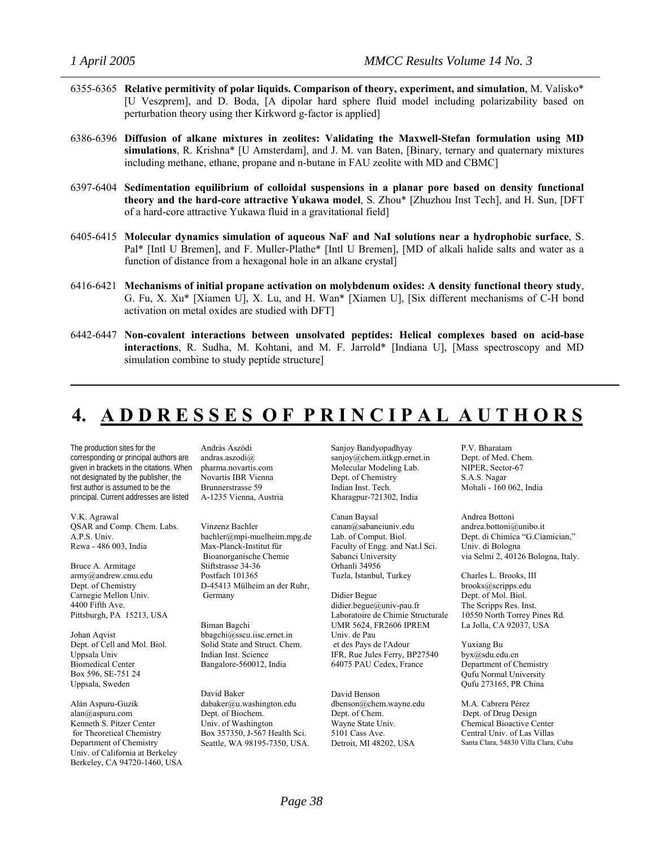- 6355-6365 **Relative permitivity of polar liquids. Comparison of theory, experiment, and simulation**, M. Valisko\* [U Veszprem], and D. Boda, [A dipolar hard sphere fluid model including polarizability based on perturbation theory using ther Kirkword g-factor is applied]
- 6386-6396 **Diffusion of alkane mixtures in zeolites: Validating the Maxwell-Stefan formulation using MD simulations**, R. Krishna\* [U Amsterdam], and J. M. van Baten, [Binary, ternary and quaternary mixtures including methane, ethane, propane and n-butane in FAU zeolite with MD and CBMC]
- 6397-6404 **Sedimentation equilibrium of colloidal suspensions in a planar pore based on density functional theory and the hard-core attractive Yukawa model**, S. Zhou\* [Zhuzhou Inst Tech], and H. Sun, [DFT of a hard-core attractive Yukawa fluid in a gravitational field]
- 6405-6415 **Molecular dynamics simulation of aqueous NaF and NaI solutions near a hydrophobic surface**, S. Pal\* [Intl U Bremen], and F. Muller-Plathe\* [Intl U Bremen], [MD of alkali halide salts and water as a function of distance from a hexagonal hole in an alkane crystal]
- 6416-6421 **Mechanisms of initial propane activation on molybdenum oxides: A density functional theory study**, G. Fu, X. Xu\* [Xiamen U], X. Lu, and H. Wan\* [Xiamen U], [Six different mechanisms of C-H bond activation on metal oxides are studied with DFT]
- 6442-6447 **Non-covalent interactions between unsolvated peptides: Helical complexes based on acid-base interactions**, R. Sudha, M. Kohtani, and M. F. Jarrold\* [Indiana U], [Mass spectroscopy and MD simulation combine to study peptide structure]

# **4. A D D R E S S E S O F P R I N C I P A L A U T H O R S**

The production sites for the corresponding or principal authors are given in brackets in the citations. When not designated by the publisher, the first author is assumed to be the principal. Current addresses are listed

V.K. Agrawal QSAR and Comp. Chem. Labs. A.P.S. Univ. Rewa - 486 003, India

Bruce A. Armitage army@andrew.cmu.edu Dept. of Chemistry Carnegie Mellon Univ. 4400 Fifth Ave. Pittsburgh, PA 15213, USA

Johan Aqvist Dept. of Cell and Mol. Biol. Uppsala Univ Biomedical Center Box 596, SE-751 24 Uppsala, Sweden

Alán Aspuru-Guzik alan@aspuru.com Kenneth S. Pitzer Center for Theoretical Chemistry Department of Chemistry Univ. of California at Berkeley Berkeley, CA 94720-1460, USA

András Aszódi andras.aszodi@ pharma.novartis.com Novartis IBR Vienna Brunnerstrasse 59 A-1235 Vienna, Austria

Vinzenz Bachler bachler@mpi-muelheim.mpg.de Max-Planck-Institut für Bioanorganische Chemie Stiftstrasse 34-36 Postfach 101365 D-45413 Mülheim an der Ruhr, Germany

Biman Bagchi bbagchi@sscu.iisc.ernet.in Solid State and Struct. Chem. Indian Inst. Science Bangalore-560012, India

David Baker dabaker@u.washington.edu Dept. of Biochem. Univ. of Washington Box 357350, J-567 Health Sci. Seattle, WA 98195-7350, USA. Sanjoy Bandyopadhyay sanjoy@chem.iitkgp.ernet.in Molecular Modeling Lab. Dept. of Chemistry Indian Inst. Tech. Kharagpur-721302, India

Canan Baysal canan@sabanciuniv.edu Lab. of Comput. Biol. Faculty of Engg. and Nat.l Sci. Sabanci University Orhanli 34956 Tuzla, Istanbul, Turkey

Didier Begue didier.begue@univ-pau.fr Laboratoire de Chimie Structurale UMR 5624, FR2606 IPREM Univ. de Pau et des Pays de l'Adour IFR, Rue Jules Ferry, BP27540 64075 PAU Cedex, France

David Benson dbenson@chem.wayne.edu Dept. of Chem. Wayne State Univ. 5101 Cass Ave. Detroit, MI 48202, USA

P.V. Bharatam Dept. of Med. Chem. NIPER, Sector-67 S.A.S. Nagar Mohali - 160 062, India

Andrea Bottoni andrea.bottoni@unibo.it Dept. di Chimica "G.Ciamician," Univ. di Bologna via Selmi 2, 40126 Bologna, Italy.

Charles L. Brooks, III brooks@scripps.edu Dept. of Mol. Biol. The Scripps Res. Inst. 10550 North Torrey Pines Rd. La Jolla, CA 92037, USA

Yuxiang Bu byx@sdu.edu.cn Department of Chemistry Qufu Normal University Qufu 273165, PR China

M.A. Cabrera Pérez Dept. of Drug Design Chemical Bioactive Center Central Univ. of Las Villas Santa Clara, 54830 Villa Clara, Cuba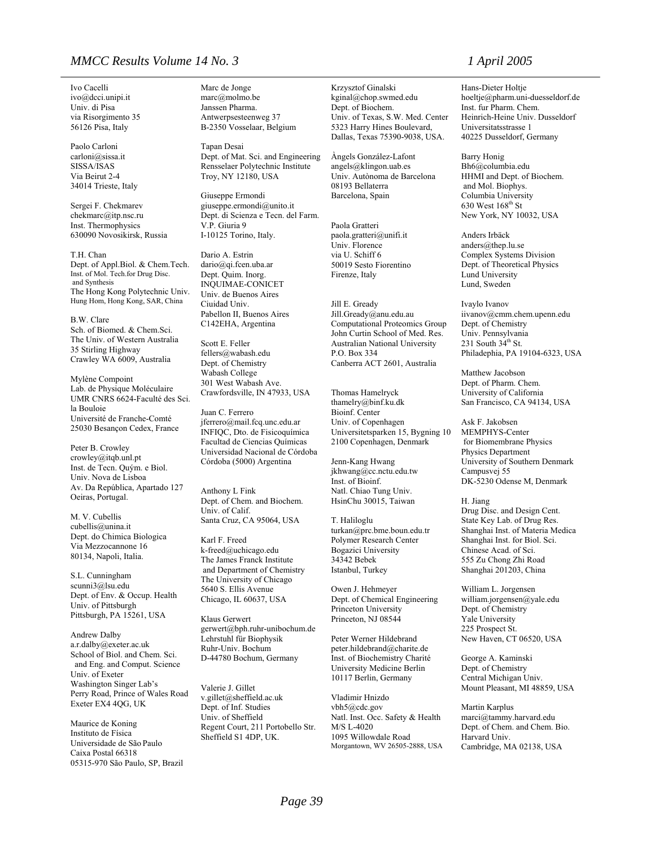### *MMCC Results Volume 14 No. 3 1 April 2005*

Ivo Cacelli ivo@dcci.unipi.it Univ. di Pisa via Risorgimento 35 56126 Pisa, Italy

Paolo Carloni carloni@sissa.it SISSA/ISAS Via Beirut 2-4 34014 Trieste, Italy

Sergei F. Chekmarev chekmarc@itp.nsc.ru Inst. Thermophysics 630090 Novosikirsk, Russia

T.H. Chan Dept. of Appl.Biol. & Chem.Tech. Inst. of Mol. Tech.for Drug Disc. and Synthesis The Hong Kong Polytechnic Univ. Hung Hom, Hong Kong, SAR, China

B.W. Clare Sch. of Biomed. & Chem.Sci. The Univ. of Western Australia 35 Stirling Highway Crawley WA 6009, Australia

Mylène Compoint Lab. de Physique Moléculaire UMR CNRS 6624-Faculté des Sci. la Bouloie Université de Franche-Comté 25030 Besançon Cedex, France

Peter B. Crowley crowley@itqb.unl.pt Inst. de Tecn. Quým. e Biol. Univ. Nova de Lisboa Av. Da República, Apartado 127 Oeiras, Portugal.

M. V. Cubellis cubellis@unina.it Dept. do Chimica Biologica Via Mezzocannone 16 80134, Napoli, Italia.

S.L. Cunningham [scunni3@lsu.edu](mailto:scunni3@lsu.edu) Dept. of Env. & Occup. Health Univ. of Pittsburgh Pittsburgh, PA 15261, USA

Andrew Dalby a.r.dalby@exeter.ac.uk School of Biol. and Chem. Sci. and Eng. and Comput. Science Univ. of Exeter Washington Singer Lab's Perry Road, Prince of Wales Road Exeter EX4 4QG, UK

Maurice de Koning Instituto de Física Universidade de São Paulo Caixa Postal 66318 05315-970 São Paulo, SP, Brazil Marc de Jonge marc@molmo.be Janssen Pharma. Antwerpsesteenweg 37 B-2350 Vosselaar, Belgium

Tapan Desai Dept. of Mat. Sci. and Engineering Rensselaer Polytechnic Institute Troy, NY 12180, USA

Giuseppe Ermondi giuseppe.ermondi@unito.it Dept. di Scienza e Tecn. del Farm. V.P. Giuria 9 I-10125 Torino, Italy.

Dario A. Estrin dario@qi.fcen.uba.ar Dept. Quim. Inorg. INQUIMAE-CONICET Univ. de Buenos Aires Ciuidad Univ. Pabellon II, Buenos Aires C142EHA, Argentina

Scott E. Feller fellers@wabash.edu Dept. of Chemistry Wabash College 301 West Wabash Ave. Crawfordsville, IN 47933, USA

Juan C. Ferrero jferrero@mail.fcq.unc.edu.ar INFIQC, Dto. de Fisicoquímica Facultad de Ciencias Químicas Universidad Nacional de Córdoba Córdoba (5000) Argentina

Anthony L Fink Dept. of Chem. and Biochem. Univ. of Calif. Santa Cruz, CA 95064, USA

Karl F. Freed k-freed@uchicago.edu The James Franck Institute and Department of Chemistry The University of Chicago 5640 S. Ellis Avenue Chicago, IL 60637, USA

Klaus Gerwert gerwert@bph.ruhr-unibochum.de Lehrstuhl für Biophysik Ruhr-Univ. Bochum D-44780 Bochum, Germany

Valerie J. Gillet v.gillet@sheffield.ac.uk Dept. of Inf. Studies Univ. of Sheffield Regent Court, 211 Portobello Str. Sheffield S1 4DP, UK.

Krzysztof Ginalski kginal@chop.swmed.edu Dept. of Biochem. Univ. of Texas, S.W. Med. Center 5323 Harry Hines Boulevard, Dallas, Texas 75390-9038, USA.

Àngels González-Lafont angels@klingon.uab.es Univ. Autònoma de Barcelona 08193 Bellaterra Barcelona, Spain

Paola Gratteri paola.gratteri@unifi.it Univ. Florence via U. Schiff 6 50019 Sesto Fiorentino Firenze, Italy

Jill E. Gready Jill.Gready@anu.edu.au Computational Proteomics Group John Curtin School of Med. Res. Australian National University P.O. Box 334 Canberra ACT 2601, Australia

Thomas Hamelryck thamelry@binf.ku.dk Bioinf. Center Univ. of Copenhagen Universitetsparken 15, Bygning 10 2100 Copenhagen, Denmark

Jenn-Kang Hwang jkhwang@cc.nctu.edu.tw Inst. of Bioinf. Natl. Chiao Tung Univ. HsinChu 30015, Taiwan

T. Haliloglu turkan@prc.bme.boun.edu.tr Polymer Research Center Bogazici University 34342 Bebek Istanbul, Turkey

Owen J. Hehmeyer Dept. of Chemical Engineering Princeton University Princeton, NJ 08544

Peter Werner Hildebrand peter.hildebrand@charite.de Inst. of Biochemistry Charité University Medicine Berlin 10117 Berlin, Germany

Vladimir Hnizdo vbh5@cdc.gov Natl. Inst. Occ. Safety & Health M/S L-4020 1095 Willowdale Road Morgantown, WV 26505-2888, USA

Hans-Dieter Holtje hoeltje@pharm.uni-duesseldorf.de Inst. fur Pharm. Chem. Heinrich-Heine Univ. Dusseldorf Universitatsstrasse 1 40225 Dusseldorf, Germany

Barry Honig Bh6@columbia.edu HHMI and Dept. of Biochem. and Mol. Biophys. Columbia University 630 West 168th St New York, NY 10032, USA

Anders Irbäck anders@thep.lu.se Complex Systems Division Dept. of Theoretical Physics Lund University Lund, Sweden

Ivaylo Ivanov iivanov@cmm.chem.upenn.edu Dept. of Chemistry Univ. Pennsylvania 231 South  $34<sup>th</sup>$  St. Philadephia, PA 19104-6323, USA

Matthew Jacobson Dept. of Pharm. Chem. University of California San Francisco, CA 94134, USA

Ask F. Jakobsen MEMPHYS-Center for Biomembrane Physics Physics Department University of Southern Denmark Campusvej 55 DK-5230 Odense M, Denmark

H. Jiang Drug Disc. and Design Cent. State Key Lab. of Drug Res. Shanghai Inst. of Materia Medica Shanghai Inst. for Biol. Sci. Chinese Acad. of Sci. 555 Zu Chong Zhi Road Shanghai 201203, China

William L. Jorgensen william.jorgensen@yale.edu Dept. of Chemistry Yale University 225 Prospect St. New Haven, CT 06520, USA

George A. Kaminski Dept. of Chemistry Central Michigan Univ. Mount Pleasant, MI 48859, USA

Martin Karplus marci@tammy.harvard.edu Dept. of Chem. and Chem. Bio. Harvard Univ. Cambridge, MA 02138, USA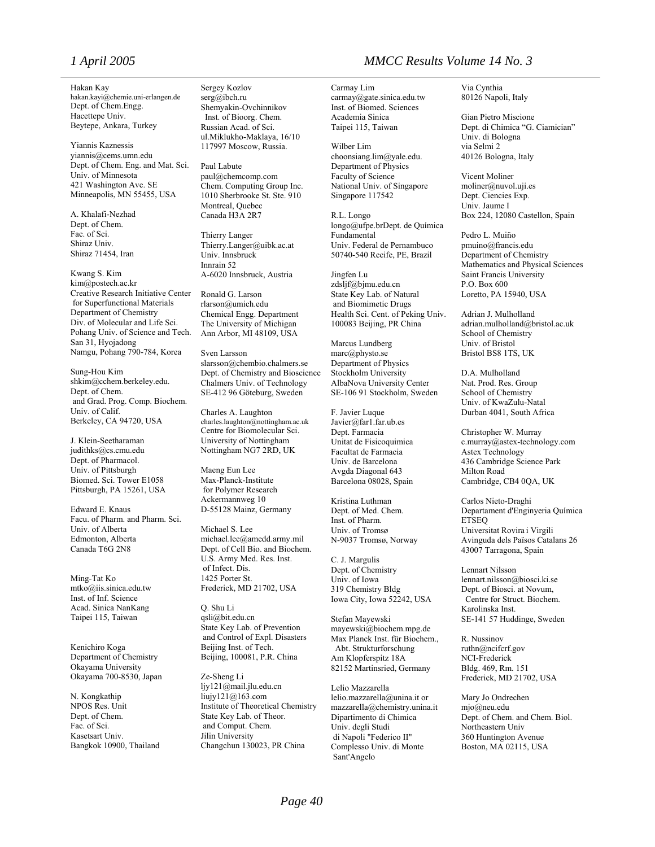Hakan Kay [hakan.kayi@chemie.uni-erlangen.de](mailto:hakan.kayi@chemie.uni-erlangen.de) Dept. of Chem.Engg. Hacettepe Univ. Beytepe, Ankara, Turkey

Yiannis Kaznessis yiannis@cems.umn.edu Dept. of Chem. Eng. and Mat. Sci. Univ. of Minnesota 421 Washington Ave. SE Minneapolis, MN 55455, USA

A. Khalafi-Nezhad Dept. of Chem. Fac. of Sci. Shiraz Univ. Shiraz 71454, Iran

Kwang S. Kim kim@postech.ac.kr Creative Research Initiative Center for Superfunctional Materials Department of Chemistry Div. of Molecular and Life Sci. Pohang Univ. of Science and Tech. San 31, Hyojadong Namgu, Pohang 790-784, Korea

Sung-Hou Kim shkim@cchem.berkeley.edu. Dept. of Chem. and Grad. Prog. Comp. Biochem. Univ. of Calif. Berkeley, CA 94720, USA

J. Klein-Seetharaman judithks@cs.cmu.edu Dept. of Pharmacol. Univ. of Pittsburgh Biomed. Sci. Tower E1058 Pittsburgh, PA 15261, USA

Edward E. Knaus Facu. of Pharm. and Pharm. Sci. Univ. of Alberta Edmonton, Alberta Canada T6G 2N8

Ming-Tat Ko mtko@iis.sinica.edu.tw Inst. of Inf. Science Acad. Sinica NanKang Taipei 115, Taiwan

Kenichiro Koga Department of Chemistry Okayama University Okayama 700-8530, Japan

N. Kongkathip NPOS Res. Unit Dept. of Chem. Fac. of Sci. Kasetsart Univ. Bangkok 10900, Thailand Sergey Kozlov serg@ibch.ru Shemyakin-Ovchinnikov Inst. of Bioorg. Chem. Russian Acad. of Sci. ul.Miklukho-Maklaya, 16/10 117997 Moscow, Russia.

Paul Labute paul@chemcomp.com Chem. Computing Group Inc. 1010 Sherbrooke St. Ste. 910 Montreal, Quebec Canada H3A 2R7

Thierry Langer Thierry.Langer@uibk.ac.at Univ. Innsbruck Innrain 52 A-6020 Innsbruck, Austria

Ronald G. Larson rlarson@umich.edu Chemical Engg. Department The University of Michigan Ann Arbor, MI 48109, USA

Sven Larsson slarsson@chembio.chalmers.se Dept. of Chemistry and Bioscience Chalmers Univ. of Technology SE-412 96 Göteburg, Sweden

Charles A. Laughton charles.laughton@nottingham.ac.uk Centre for Biomolecular Sci. University of Nottingham Nottingham NG7 2RD, UK

Maeng Eun Lee Max-Planck-Institute for Polymer Research Ackermannweg 10 D-55128 Mainz, Germany

Michael S. Lee michael.lee@amedd.army.mil Dept. of Cell Bio. and Biochem. U.S. Army Med. Res. Inst. of Infect. Dis. 1425 Porter St. Frederick, MD 21702, USA

Q. Shu Li qsli@bit.edu.cn State Key Lab. of Prevention and Control of Expl. Disasters Beijing Inst. of Tech. Beijing, 100081, P.R. China

Ze-Sheng Li ljy121@mail.jlu.edu.cn liujy121@163.com Institute of Theoretical Chemistry State Key Lab. of Theor. and Comput. Chem. Jilin University Changchun 130023, PR China

### *1 April 2005 MMCC Results Volume 14 No. 3*

Carmay Lim carmay@gate.sinica.edu.tw Inst. of Biomed. Sciences Academia Sinica Taipei 115, Taiwan

Wilber Lim choonsiang.lim@yale.edu. Department of Physics Faculty of Science National Univ. of Singapore Singapore 117542

R.L. Longo [longo@ufpe.br](mailto:longo@ufpe.br)Dept. de Química Fundamental Univ. Federal de Pernambuco 50740-540 Recife, PE, Brazil

Jingfen Lu [zdsljf@bjmu.edu.cn](mailto:zdsljf@bjmu.edu.cn) State Key Lab. of Natural and Biomimetic Drugs Health Sci. Cent. of Peking Univ. 100083 Beijing, PR China

Marcus Lundberg marc@physto.se Department of Physics Stockholm University AlbaNova University Center SE-106 91 Stockholm, Sweden

F. Javier Luque Javier@far1.far.ub.es Dept. Farmacia Unitat de Fisicoquimica Facultat de Farmacia Univ. de Barcelona Avgda Diagonal 643 Barcelona 08028, Spain

Kristina Luthman Dept. of Med. Chem. Inst. of Pharm. Univ. of Tromsø N-9037 Tromsø, Norway

C. J. Margulis Dept. of Chemistry Univ. of Iowa 319 Chemistry Bldg Iowa City, Iowa 52242, USA

Stefan Mayewski mayewski@biochem.mpg.de Max Planck Inst. für Biochem., Abt. Strukturforschung Am Klopferspitz 18A 82152 Martinsried, Germany

Lelio Mazzarella lelio.mazzarella@unina.it or mazzarella@chemistry.unina.it Dipartimento di Chimica Univ. degli Studi di Napoli "Federico II" Complesso Univ. di Monte Sant'Angelo

Via Cynthia 80126 Napoli, Italy

Gian Pietro Miscione Dept. di Chimica "G. Ciamician" Univ. di Bologna via Selmi 2 40126 Bologna, Italy

Vicent Moliner moliner@nuvol.uji.es Dept. Ciencies Exp. Univ. Jaume I Box 224, 12080 Castellon, Spain

Pedro L. Muiño pmuino@francis.edu Department of Chemistry Mathematics and Physical Sciences Saint Francis University P.O. Box 600 Loretto, PA 15940, USA

Adrian J. Mulholland adrian.mulholland@bristol.ac.uk School of Chemistry Univ. of Bristol Bristol BS8 1TS, UK

D.A. Mulholland Nat. Prod. Res. Group School of Chemistry Univ. of KwaZulu-Natal Durban 4041, South Africa

Christopher W. Murray c.murray@astex-technology.com Astex Technology 436 Cambridge Science Park Milton Road Cambridge, CB4 0QA, UK

Carlos Nieto-Draghi Departament d'Enginyeria Química ETSEQ Universitat Rovira i Virgili Avinguda dels Països Catalans 26 43007 Tarragona, Spain

Lennart Nilsson lennart.nilsson@biosci.ki.se Dept. of Biosci. at Novum, Centre for Struct. Biochem. Karolinska Inst. SE-141 57 Huddinge, Sweden

R. Nussinov ruthn@ncifcrf.gov NCI-Frederick Bldg. 469, Rm. 151 Frederick, MD 21702, USA

Mary Jo Ondrechen mjo@neu.edu Dept. of Chem. and Chem. Biol. Northeastern Univ 360 Huntington Avenue Boston, MA 02115, USA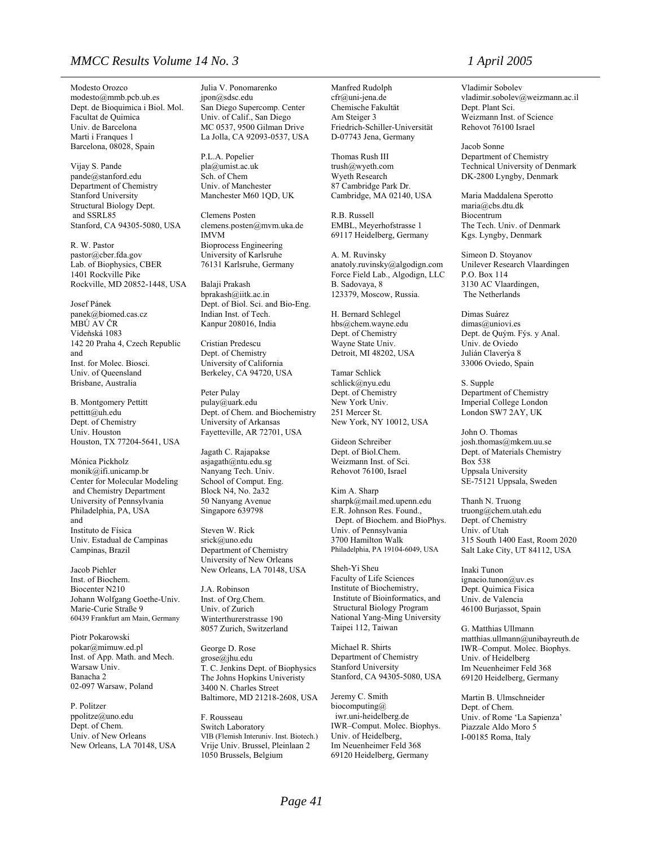### *MMCC Results Volume 14 No. 3 1 April 2005*

Modesto Orozco modesto@mmb.pcb.ub.es Dept. de Bioquimica i Biol. Mol. Facultat de Quimica Univ. de Barcelona Marti i Franques 1 Barcelona, 08028, Spain

Vijay S. Pande pande@stanford.edu Department of Chemistry Stanford University Structural Biology Dept. and SSRL85 Stanford, CA 94305-5080, USA

R. W. Pastor pastor@cber.fda.gov Lab. of Biophysics, CBER 1401 Rockville Pike Rockville, MD 20852-1448, USA

Josef Pánek panek@biomed.cas.cz MBÚ AV ČR Vídeňská 1083 142 20 Praha 4, Czech Republic and Inst. for Molec. Biosci. Univ. of Queensland Brisbane, Australia

B. Montgomery Pettitt pettitt@uh.edu Dept. of Chemistry Univ. Houston Houston, TX 77204-5641, USA

Mónica Pickholz monik@ifi.unicamp.br Center for Molecular Modeling and Chemistry Department University of Pennsylvania Philadelphia, PA, USA and Instituto de Física Univ. Estadual de Campinas Campinas, Brazil

Jacob Piehler Inst. of Biochem. Biocenter N210 Johann Wolfgang Goethe-Univ. Marie-Curie Straße 9 60439 Frankfurt am Main, Germany

Piotr Pokarowski pokar@mimuw.ed.pl Inst. of App. Math. and Mech. Warsaw Univ. Banacha 2 02-097 Warsaw, Poland

P. Politzer ppolitze@uno.edu Dept. of Chem. Univ. of New Orleans New Orleans, LA 70148, USA Julia V. Ponomarenko jpon@sdsc.edu San Diego Supercomp. Center Univ. of Calif., San Diego MC 0537, 9500 Gilman Drive La Jolla, CA 92093-0537, USA

P.L.A. Popelier pla@umist.ac.uk Sch. of Chem Univ. of Manchester Manchester M60 1QD, UK

Clemens Posten clemens.posten@mvm.uka.de IMVM Bioprocess Engineering University of Karlsruhe 76131 Karlsruhe, Germany

Balaji Prakash bprakash@iitk.ac.in Dept. of Biol. Sci. and Bio-Eng. Indian Inst. of Tech. Kanpur 208016, India

Cristian Predescu Dept. of Chemistry University of California Berkeley, CA 94720, USA

Peter Pulay pulay@uark.edu Dept. of Chem. and Biochemistry University of Arkansas Fayetteville, AR 72701, USA

Jagath C. Rajapakse asjagath@ntu.edu.sg Nanyang Tech. Univ. School of Comput. Eng. Block N4, No. 2a32 50 Nanyang Avenue Singapore 639798

Steven W. Rick srick@uno.edu Department of Chemistry University of New Orleans New Orleans, LA 70148, USA

J.A. Robinson Inst. of Org.Chem. Univ. of Zurich Winterthurerstrasse 190 8057 Zurich, Switzerland

George D. Rose grose@jhu.edu T. C. Jenkins Dept. of Biophysics The Johns Hopkins Univeristy 3400 N. Charles Street Baltimore, MD 21218-2608, USA

F. Rousseau Switch Laboratory VIB (Flemish Interuniv. Inst. Biotech.) Vrije Univ. Brussel, Pleinlaan 2 1050 Brussels, Belgium

Manfred Rudolph cfr@uni-jena.de Chemische Fakultät Am Steiger 3 Friedrich-Schiller-Universität D-07743 Jena, Germany

Thomas Rush III trush@wyeth.com Wyeth Research 87 Cambridge Park Dr. Cambridge, MA 02140, USA

R.B. Russell EMBL, Meyerhofstrasse 1 69117 Heidelberg, Germany

A. M. Ruvinsky anatoly.ruvinsky@algodign.com Force Field Lab., Algodign, LLC B. Sadovaya, 8 123379, Moscow, Russia.

H. Bernard Schlegel hbs@chem.wayne.edu Dept. of Chemistry Wayne State Univ. Detroit, MI 48202, USA

Tamar Schlick schlick@nyu.edu Dept. of Chemistry New York Univ. 251 Mercer St. New York, NY 10012, USA

Gideon Schreiber Dept. of Biol.Chem. Weizmann Inst. of Sci. Rehovot 76100, Israel

Kim A. Sharp sharpk@mail.med.upenn.edu E.R. Johnson Res. Found., Dept. of Biochem. and BioPhys. Univ. of Pennsylvania 3700 Hamilton Walk Philadelphia, PA 19104-6049, USA

Sheh-Yi Sheu Faculty of Life Sciences Institute of Biochemistry, Institute of Bioinformatics, and Structural Biology Program National Yang-Ming University Taipei 112, Taiwan

Michael R. Shirts Department of Chemistry Stanford University Stanford, CA 94305-5080, USA

Jeremy C. Smith biocomputing $@$  iwr.uni-heidelberg.de IWR–Comput. Molec. Biophys. Univ. of Heidelberg, Im Neuenheimer Feld 368 69120 Heidelberg, Germany

Vladimir Sobolev vladimir.sobolev@weizmann.ac.il Dept. Plant Sci. Weizmann Inst. of Science Rehovot 76100 Israel

Jacob Sonne Department of Chemistry Technical University of Denmark DK-2800 Lyngby, Denmark

Maria Maddalena Sperotto maria@cbs.dtu.dk Biocentrum The Tech. Univ. of Denmark Kgs. Lyngby, Denmark

Simeon D. Stoyanov Unilever Research Vlaardingen P.O. Box 114 3130 AC Vlaardingen, The Netherlands

Dimas Suárez dimas@uniovi.es Dept. de Quým. Fýs. y Anal. Univ. de Oviedo Julián Claverýa 8 33006 Oviedo, Spain

S. Supple Department of Chemistry Imperial College London London SW7 2AY, UK

John O. Thomas josh.thomas@mkem.uu.se Dept. of Materials Chemistry Box 538 Uppsala University SE-75121 Uppsala, Sweden

Thanh N. Truong truong@chem.utah.edu Dept. of Chemistry Univ. of Utah 315 South 1400 East, Room 2020 Salt Lake City, UT 84112, USA

Inaki Tunon ignacio.tunon@uv.es Dept. Quimica Fisica Univ. de Valencia 46100 Burjassot, Spain

G. Matthias Ullmann matthias.ullmann@unibayreuth.de IWR–Comput. Molec. Biophys. Univ. of Heidelberg Im Neuenheimer Feld 368 69120 Heidelberg, Germany

Martin B. Ulmschneider Dept. of Chem. Univ. of Rome 'La Sapienza' Piazzale Aldo Moro 5 I-00185 Roma, Italy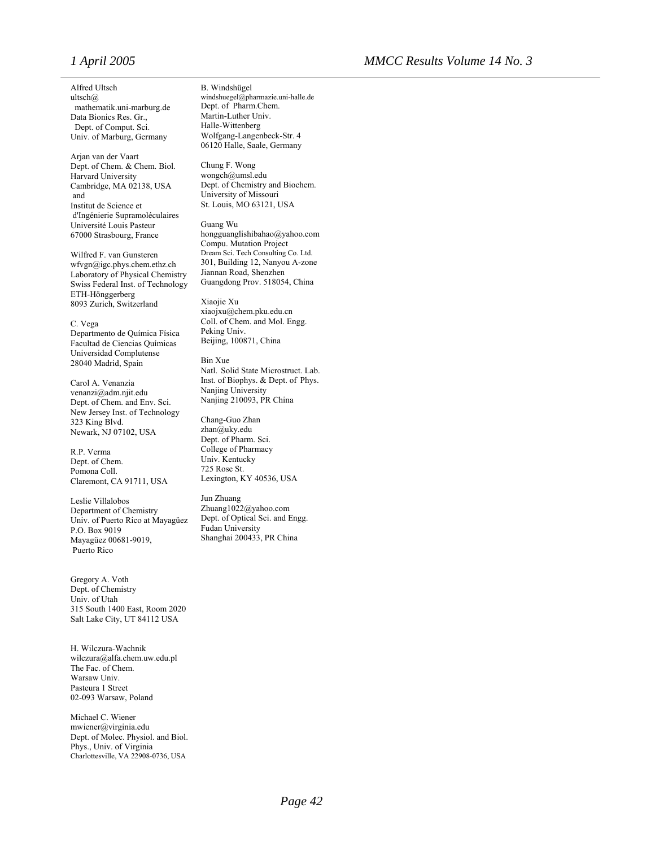Alfred Ultsch ultsch@ mathematik.uni-marburg.de Data Bionics Res. Gr., Dept. of Comput. Sci. Univ. of Marburg, Germany

Arjan van der Vaart Dept. of Chem. & Chem. Biol. Harvard University Cambridge, MA 02138, USA and Institut de Science et d'Ingénierie Supramoléculaires Université Louis Pasteur 67000 Strasbourg, France

Wilfred F. van Gunsteren wfvgn@igc.phys.chem.ethz.ch Laboratory of Physical Chemistry Swiss Federal Inst. of Technology ETH-Hönggerberg 8093 Zurich, Switzerland

C. Vega Departmento de Química Física Facultad de Ciencias Químicas Universidad Complutense 28040 Madrid, Spain

Carol A. Venanzia venanzi@adm.njit.edu Dept. of Chem. and Env. Sci. New Jersey Inst. of Technology 323 King Blvd. Newark, NJ 07102, USA

R.P. Verma Dept. of Chem. Pomona Coll. Claremont, CA 91711, USA

Leslie Villalobos Department of Chemistry Univ. of Puerto Rico at Mayagüez P.O. Box 9019 Mayagüez 00681-9019, Puerto Rico

Gregory A. Voth Dept. of Chemistry Univ. of Utah 315 South 1400 East, Room 2020 Salt Lake City, UT 84112 USA

H. Wilczura-Wachnik [wilczura@alfa.chem.uw.edu.pl](mailto:wilczura@alfa.chem.uw.edu.pl) The Fac. of Chem. Warsaw Univ. Pasteura 1 Street 02-093 Warsaw, Poland

Michael C. Wiener mwiener@virginia.edu Dept. of Molec. Physiol. and Biol. Phys., Univ. of Virginia Charlottesville, VA 22908-0736, USA

B. Windshügel windshuegel@pharmazie.uni-halle.de Dept. of Pharm.Chem. Martin-Luther Univ. Halle-Wittenberg Wolfgang-Langenbeck-Str. 4 06120 Halle, Saale, Germany

Chung F. Wong wongch@umsl.edu Dept. of Chemistry and Biochem. University of Missouri St. Louis, MO 63121, USA

Guang Wu [hongguanglishibahao@yahoo.com](mailto:hongguanglishibahao@yahoo.com) Compu. Mutation Project Dream Sci. Tech Consulting Co. Ltd. 301, Building 12, Nanyou A-zone Jiannan Road, Shenzhen Guangdong Prov. 518054, China

Xiaojie Xu [xiaojxu@chem.pku.edu.cn](mailto:xiaojxu@chem.pku.edu.cn) Coll. of Chem. and Mol. Engg. Peking Univ. Beijing, 100871, China

Bin Xue Natl. Solid State Microstruct. Lab. Inst. of Biophys. & Dept. of Phys. Nanjing University Nanjing 210093, PR China

Chang-Guo Zhan zhan@uky.edu Dept. of Pharm. Sci. College of Pharmacy Univ. Kentucky 725 Rose St. Lexington, KY 40536, USA

Jun Zhuang Zhuang1022@yahoo.com Dept. of Optical Sci. and Engg. Fudan University Shanghai 200433, PR China